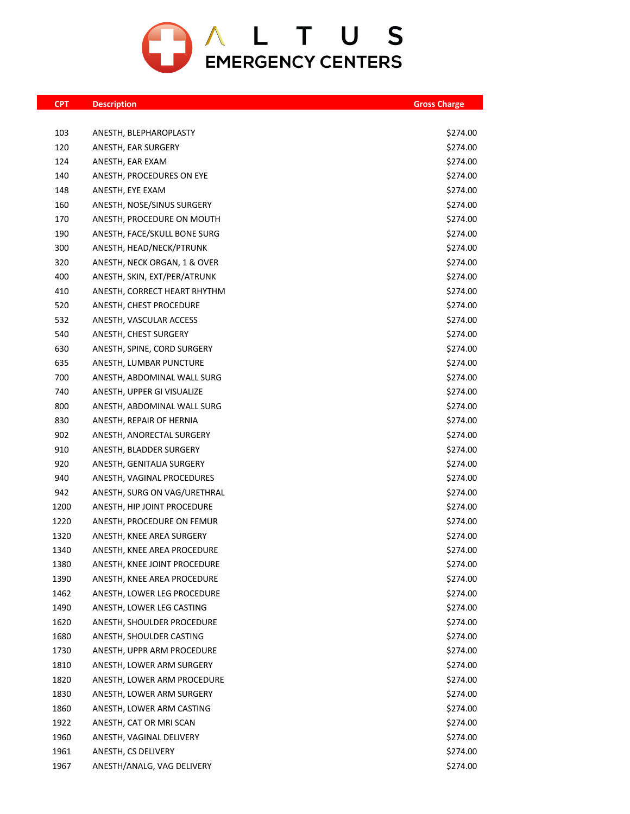

| <b>CPT</b> | <b>Description</b>           | <b>Gross Charge</b> |
|------------|------------------------------|---------------------|
|            |                              |                     |
| 103        | ANESTH, BLEPHAROPLASTY       | \$274.00            |
| 120        | ANESTH, EAR SURGERY          | \$274.00            |
| 124        | ANESTH, EAR EXAM             | \$274.00            |
| 140        | ANESTH, PROCEDURES ON EYE    | \$274.00            |
| 148        | ANESTH, EYE EXAM             | \$274.00            |
| 160        | ANESTH, NOSE/SINUS SURGERY   | \$274.00            |
| 170        | ANESTH, PROCEDURE ON MOUTH   | \$274.00            |
| 190        | ANESTH, FACE/SKULL BONE SURG | \$274.00            |
| 300        | ANESTH, HEAD/NECK/PTRUNK     | \$274.00            |
| 320        | ANESTH, NECK ORGAN, 1 & OVER | \$274.00            |
| 400        | ANESTH, SKIN, EXT/PER/ATRUNK | \$274.00            |
| 410        | ANESTH, CORRECT HEART RHYTHM | \$274.00            |
| 520        | ANESTH, CHEST PROCEDURE      | \$274.00            |
| 532        | ANESTH, VASCULAR ACCESS      | \$274.00            |
| 540        | ANESTH, CHEST SURGERY        | \$274.00            |
| 630        | ANESTH, SPINE, CORD SURGERY  | \$274.00            |
| 635        | ANESTH, LUMBAR PUNCTURE      | \$274.00            |
| 700        | ANESTH, ABDOMINAL WALL SURG  | \$274.00            |
| 740        | ANESTH, UPPER GI VISUALIZE   | \$274.00            |
| 800        | ANESTH, ABDOMINAL WALL SURG  | \$274.00            |
| 830        | ANESTH, REPAIR OF HERNIA     | \$274.00            |
| 902        | ANESTH, ANORECTAL SURGERY    | \$274.00            |
| 910        | ANESTH, BLADDER SURGERY      | \$274.00            |
| 920        | ANESTH, GENITALIA SURGERY    | \$274.00            |
| 940        | ANESTH, VAGINAL PROCEDURES   | \$274.00            |
| 942        | ANESTH, SURG ON VAG/URETHRAL | \$274.00            |
| 1200       | ANESTH, HIP JOINT PROCEDURE  | \$274.00            |
| 1220       | ANESTH, PROCEDURE ON FEMUR   | \$274.00            |
| 1320       | ANESTH, KNEE AREA SURGERY    | \$274.00            |
| 1340       | ANESTH, KNEE AREA PROCEDURE  | \$274.00            |
| 1380       | ANESTH, KNEE JOINT PROCEDURE | \$274.00            |
| 1390       | ANESTH, KNEE AREA PROCEDURE  | \$274.00            |
| 1462       | ANESTH, LOWER LEG PROCEDURE  | \$274.00            |
| 1490       | ANESTH, LOWER LEG CASTING    | \$274.00            |
| 1620       | ANESTH, SHOULDER PROCEDURE   | \$274.00            |
| 1680       | ANESTH, SHOULDER CASTING     | \$274.00            |
| 1730       | ANESTH, UPPR ARM PROCEDURE   | \$274.00            |
| 1810       | ANESTH, LOWER ARM SURGERY    | \$274.00            |
| 1820       | ANESTH, LOWER ARM PROCEDURE  | \$274.00            |
| 1830       | ANESTH, LOWER ARM SURGERY    | \$274.00            |
| 1860       | ANESTH, LOWER ARM CASTING    | \$274.00            |
| 1922       | ANESTH, CAT OR MRI SCAN      | \$274.00            |
| 1960       | ANESTH, VAGINAL DELIVERY     | \$274.00            |
| 1961       | ANESTH, CS DELIVERY          | \$274.00            |
| 1967       | ANESTH/ANALG, VAG DELIVERY   | \$274.00            |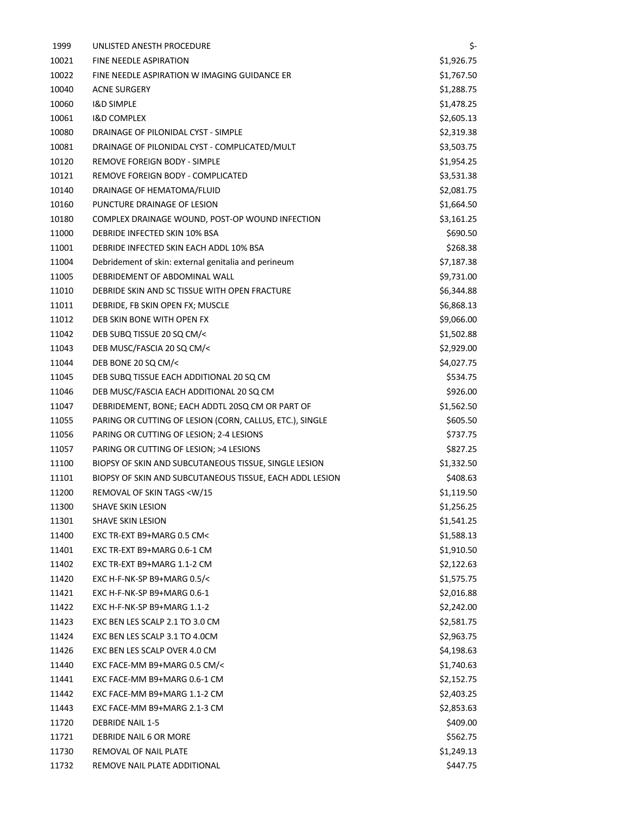| 1999  | UNLISTED ANESTH PROCEDURE                                    | \$-        |
|-------|--------------------------------------------------------------|------------|
| 10021 | <b>FINE NEEDLE ASPIRATION</b>                                | \$1,926.75 |
| 10022 | FINE NEEDLE ASPIRATION W IMAGING GUIDANCE ER                 | \$1,767.50 |
| 10040 | <b>ACNE SURGERY</b>                                          | \$1,288.75 |
| 10060 | <b>I&amp;D SIMPLE</b>                                        | \$1,478.25 |
| 10061 | <b>I&amp;D COMPLEX</b>                                       | \$2,605.13 |
| 10080 | DRAINAGE OF PILONIDAL CYST - SIMPLE                          | \$2,319.38 |
| 10081 | DRAINAGE OF PILONIDAL CYST - COMPLICATED/MULT                | \$3,503.75 |
| 10120 | <b>REMOVE FOREIGN BODY - SIMPLE</b>                          | \$1,954.25 |
| 10121 | REMOVE FOREIGN BODY - COMPLICATED                            | \$3,531.38 |
| 10140 | DRAINAGE OF HEMATOMA/FLUID                                   | \$2,081.75 |
| 10160 | PUNCTURE DRAINAGE OF LESION                                  | \$1,664.50 |
| 10180 | COMPLEX DRAINAGE WOUND, POST-OP WOUND INFECTION              | \$3,161.25 |
| 11000 | DEBRIDE INFECTED SKIN 10% BSA                                | \$690.50   |
| 11001 | DEBRIDE INFECTED SKIN EACH ADDL 10% BSA                      | \$268.38   |
| 11004 | Debridement of skin: external genitalia and perineum         | \$7,187.38 |
| 11005 | DEBRIDEMENT OF ABDOMINAL WALL                                | \$9,731.00 |
| 11010 | DEBRIDE SKIN AND SC TISSUE WITH OPEN FRACTURE                | \$6,344.88 |
| 11011 | DEBRIDE, FB SKIN OPEN FX; MUSCLE                             | \$6,868.13 |
| 11012 | DEB SKIN BONE WITH OPEN FX                                   | \$9,066.00 |
| 11042 | DEB SUBQ TISSUE 20 SQ CM/<                                   | \$1,502.88 |
| 11043 | DEB MUSC/FASCIA 20 SQ CM/<                                   | \$2,929.00 |
| 11044 | DEB BONE 20 SQ CM/<                                          | \$4,027.75 |
| 11045 | DEB SUBQ TISSUE EACH ADDITIONAL 20 SQ CM                     | \$534.75   |
| 11046 | DEB MUSC/FASCIA EACH ADDITIONAL 20 SQ CM                     | \$926.00   |
| 11047 | DEBRIDEMENT, BONE; EACH ADDTL 20SQ CM OR PART OF             | \$1,562.50 |
| 11055 | PARING OR CUTTING OF LESION (CORN, CALLUS, ETC.), SINGLE     | \$605.50   |
| 11056 | PARING OR CUTTING OF LESION; 2-4 LESIONS                     | \$737.75   |
| 11057 | PARING OR CUTTING OF LESION; >4 LESIONS                      | \$827.25   |
| 11100 | BIOPSY OF SKIN AND SUBCUTANEOUS TISSUE, SINGLE LESION        | \$1,332.50 |
| 11101 | BIOPSY OF SKIN AND SUBCUTANEOUS TISSUE, EACH ADDL LESION     | \$408.63   |
| 11200 | REMOVAL OF SKIN TAGS <w 15<="" td=""><td>\$1,119.50</td></w> | \$1,119.50 |
| 11300 | SHAVE SKIN LESION                                            | \$1,256.25 |
| 11301 | SHAVE SKIN LESION                                            | \$1,541.25 |
| 11400 | EXC TR-EXT B9+MARG 0.5 CM<                                   | \$1,588.13 |
| 11401 | EXC TR-EXT B9+MARG 0.6-1 CM                                  | \$1,910.50 |
| 11402 | EXC TR-EXT B9+MARG 1.1-2 CM                                  | \$2,122.63 |
| 11420 | EXC H-F-NK-SP B9+MARG 0.5/<                                  | \$1,575.75 |
| 11421 | EXC H-F-NK-SP B9+MARG 0.6-1                                  | \$2,016.88 |
| 11422 | EXC H-F-NK-SP B9+MARG 1.1-2                                  | \$2,242.00 |
| 11423 | EXC BEN LES SCALP 2.1 TO 3.0 CM                              | \$2,581.75 |
| 11424 | EXC BEN LES SCALP 3.1 TO 4.0CM                               | \$2,963.75 |
| 11426 | EXC BEN LES SCALP OVER 4.0 CM                                | \$4,198.63 |
| 11440 | EXC FACE-MM B9+MARG 0.5 CM/<                                 | \$1,740.63 |
| 11441 | EXC FACE-MM B9+MARG 0.6-1 CM                                 | \$2,152.75 |
| 11442 | EXC FACE-MM B9+MARG 1.1-2 CM                                 | \$2,403.25 |
| 11443 | EXC FACE-MM B9+MARG 2.1-3 CM                                 | \$2,853.63 |
| 11720 | <b>DEBRIDE NAIL 1-5</b>                                      | \$409.00   |
| 11721 | DEBRIDE NAIL 6 OR MORE                                       | \$562.75   |
| 11730 | REMOVAL OF NAIL PLATE                                        | \$1,249.13 |
| 11732 | REMOVE NAIL PLATE ADDITIONAL                                 | \$447.75   |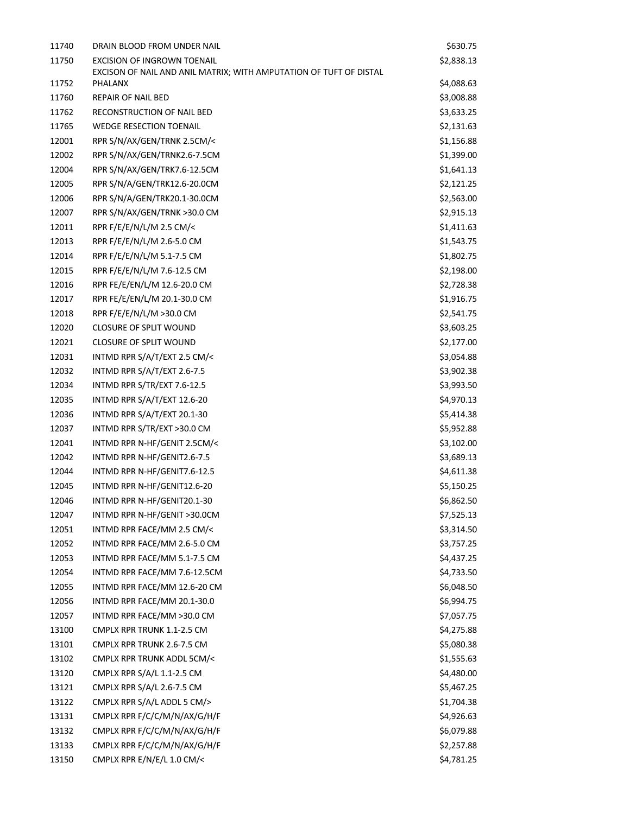| 11740 | DRAIN BLOOD FROM UNDER NAIL                                                   | \$630.75   |  |
|-------|-------------------------------------------------------------------------------|------------|--|
| 11750 | <b>EXCISION OF INGROWN TOENAIL</b>                                            | \$2,838.13 |  |
| 11752 | EXCISON OF NAIL AND ANIL MATRIX; WITH AMPUTATION OF TUFT OF DISTAL<br>PHALANX | \$4,088.63 |  |
| 11760 | <b>REPAIR OF NAIL BED</b>                                                     | \$3,008.88 |  |
| 11762 | RECONSTRUCTION OF NAIL BED                                                    | \$3,633.25 |  |
| 11765 | <b>WEDGE RESECTION TOENAIL</b>                                                | \$2,131.63 |  |
| 12001 | RPR S/N/AX/GEN/TRNK 2.5CM/<                                                   | \$1,156.88 |  |
| 12002 | RPR S/N/AX/GEN/TRNK2.6-7.5CM                                                  | \$1,399.00 |  |
| 12004 | RPR S/N/AX/GEN/TRK7.6-12.5CM                                                  | \$1,641.13 |  |
| 12005 | RPR S/N/A/GEN/TRK12.6-20.0CM                                                  | \$2,121.25 |  |
| 12006 | RPR S/N/A/GEN/TRK20.1-30.0CM                                                  | \$2,563.00 |  |
| 12007 | RPR S/N/AX/GEN/TRNK >30.0 CM                                                  | \$2,915.13 |  |
| 12011 | RPR F/E/E/N/L/M 2.5 CM/<                                                      | \$1,411.63 |  |
| 12013 | RPR F/E/E/N/L/M 2.6-5.0 CM                                                    | \$1,543.75 |  |
| 12014 | RPR F/E/E/N/L/M 5.1-7.5 CM                                                    | \$1,802.75 |  |
| 12015 | RPR F/E/E/N/L/M 7.6-12.5 CM                                                   | \$2,198.00 |  |
| 12016 | RPR FE/E/EN/L/M 12.6-20.0 CM                                                  | \$2,728.38 |  |
| 12017 | RPR FE/E/EN/L/M 20.1-30.0 CM                                                  | \$1,916.75 |  |
| 12018 | RPR F/E/E/N/L/M >30.0 CM                                                      | \$2,541.75 |  |
| 12020 | <b>CLOSURE OF SPLIT WOUND</b>                                                 | \$3,603.25 |  |
| 12021 | <b>CLOSURE OF SPLIT WOUND</b>                                                 | \$2,177.00 |  |
| 12031 | INTMD RPR S/A/T/EXT 2.5 CM/<                                                  | \$3,054.88 |  |
| 12032 | INTMD RPR S/A/T/EXT 2.6-7.5                                                   | \$3,902.38 |  |
| 12034 | INTMD RPR S/TR/EXT 7.6-12.5                                                   | \$3,993.50 |  |
| 12035 | INTMD RPR S/A/T/EXT 12.6-20                                                   | \$4,970.13 |  |
| 12036 | INTMD RPR S/A/T/EXT 20.1-30                                                   | \$5,414.38 |  |
| 12037 | INTMD RPR S/TR/EXT >30.0 CM                                                   | \$5,952.88 |  |
| 12041 | INTMD RPR N-HF/GENIT 2.5CM/<                                                  | \$3,102.00 |  |
| 12042 | INTMD RPR N-HF/GENIT2.6-7.5                                                   | \$3,689.13 |  |
| 12044 | INTMD RPR N-HF/GENIT7.6-12.5                                                  | \$4,611.38 |  |
| 12045 | INTMD RPR N-HF/GENIT12.6-20                                                   | \$5,150.25 |  |
| 12046 | INTMD RPR N-HF/GENIT20.1-30                                                   | \$6,862.50 |  |
| 12047 | INTMD RPR N-HF/GENIT >30.0CM                                                  | \$7,525.13 |  |
| 12051 | INTMD RPR FACE/MM 2.5 CM/<                                                    | \$3,314.50 |  |
| 12052 | INTMD RPR FACE/MM 2.6-5.0 CM                                                  | \$3,757.25 |  |
| 12053 | INTMD RPR FACE/MM 5.1-7.5 CM                                                  | \$4,437.25 |  |
| 12054 | INTMD RPR FACE/MM 7.6-12.5CM                                                  | \$4,733.50 |  |
| 12055 | INTMD RPR FACE/MM 12.6-20 CM                                                  | \$6,048.50 |  |
| 12056 | INTMD RPR FACE/MM 20.1-30.0                                                   | \$6,994.75 |  |
| 12057 | INTMD RPR FACE/MM >30.0 CM                                                    | \$7,057.75 |  |
| 13100 | CMPLX RPR TRUNK 1.1-2.5 CM                                                    | \$4,275.88 |  |
| 13101 | CMPLX RPR TRUNK 2.6-7.5 CM                                                    | \$5,080.38 |  |
| 13102 | CMPLX RPR TRUNK ADDL 5CM/<                                                    | \$1,555.63 |  |
| 13120 | CMPLX RPR S/A/L 1.1-2.5 CM                                                    | \$4,480.00 |  |
| 13121 | CMPLX RPR S/A/L 2.6-7.5 CM                                                    | \$5,467.25 |  |
| 13122 | CMPLX RPR S/A/L ADDL 5 CM/>                                                   | \$1,704.38 |  |
| 13131 | CMPLX RPR F/C/C/M/N/AX/G/H/F                                                  | \$4,926.63 |  |
| 13132 | CMPLX RPR F/C/C/M/N/AX/G/H/F                                                  | \$6,079.88 |  |
| 13133 | CMPLX RPR F/C/C/M/N/AX/G/H/F                                                  | \$2,257.88 |  |
| 13150 | CMPLX RPR E/N/E/L 1.0 CM/<                                                    | \$4,781.25 |  |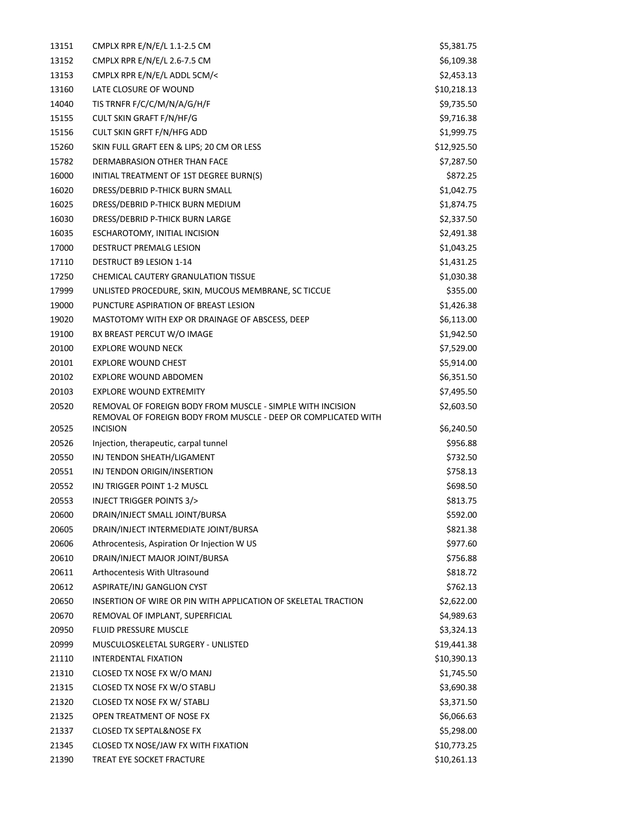| 13151 | CMPLX RPR E/N/E/L 1.1-2.5 CM                                                                                                 | \$5,381.75  |
|-------|------------------------------------------------------------------------------------------------------------------------------|-------------|
| 13152 | CMPLX RPR E/N/E/L 2.6-7.5 CM                                                                                                 | \$6,109.38  |
| 13153 | CMPLX RPR E/N/E/L ADDL 5CM/<                                                                                                 | \$2,453.13  |
| 13160 | LATE CLOSURE OF WOUND                                                                                                        | \$10,218.13 |
| 14040 | TIS TRNFR F/C/C/M/N/A/G/H/F                                                                                                  | \$9,735.50  |
| 15155 | CULT SKIN GRAFT F/N/HF/G                                                                                                     | \$9,716.38  |
| 15156 | <b>CULT SKIN GRFT F/N/HFG ADD</b>                                                                                            | \$1,999.75  |
| 15260 | SKIN FULL GRAFT EEN & LIPS; 20 CM OR LESS                                                                                    | \$12,925.50 |
| 15782 | DERMABRASION OTHER THAN FACE                                                                                                 | \$7,287.50  |
| 16000 | INITIAL TREATMENT OF 1ST DEGREE BURN(S)                                                                                      | \$872.25    |
| 16020 | DRESS/DEBRID P-THICK BURN SMALL                                                                                              | \$1,042.75  |
| 16025 | DRESS/DEBRID P-THICK BURN MEDIUM                                                                                             | \$1,874.75  |
| 16030 | DRESS/DEBRID P-THICK BURN LARGE                                                                                              | \$2,337.50  |
| 16035 | ESCHAROTOMY, INITIAL INCISION                                                                                                | \$2,491.38  |
| 17000 | DESTRUCT PREMALG LESION                                                                                                      | \$1,043.25  |
| 17110 | <b>DESTRUCT B9 LESION 1-14</b>                                                                                               | \$1,431.25  |
| 17250 | CHEMICAL CAUTERY GRANULATION TISSUE                                                                                          | \$1,030.38  |
| 17999 | UNLISTED PROCEDURE, SKIN, MUCOUS MEMBRANE, SC TICCUE                                                                         | \$355.00    |
| 19000 | PUNCTURE ASPIRATION OF BREAST LESION                                                                                         | \$1,426.38  |
| 19020 | MASTOTOMY WITH EXP OR DRAINAGE OF ABSCESS, DEEP                                                                              | \$6,113.00  |
| 19100 | BX BREAST PERCUT W/O IMAGE                                                                                                   | \$1,942.50  |
| 20100 | <b>EXPLORE WOUND NECK</b>                                                                                                    | \$7,529.00  |
| 20101 | <b>EXPLORE WOUND CHEST</b>                                                                                                   | \$5,914.00  |
| 20102 | EXPLORE WOUND ABDOMEN                                                                                                        | \$6,351.50  |
| 20103 | <b>EXPLORE WOUND EXTREMITY</b>                                                                                               | \$7,495.50  |
| 20520 | REMOVAL OF FOREIGN BODY FROM MUSCLE - SIMPLE WITH INCISION<br>REMOVAL OF FOREIGN BODY FROM MUSCLE - DEEP OR COMPLICATED WITH | \$2,603.50  |
| 20525 | <b>INCISION</b>                                                                                                              | \$6,240.50  |
| 20526 | Injection, therapeutic, carpal tunnel                                                                                        | \$956.88    |
| 20550 | INJ TENDON SHEATH/LIGAMENT                                                                                                   | \$732.50    |
| 20551 | INJ TENDON ORIGIN/INSERTION                                                                                                  | \$758.13    |
| 20552 | INJ TRIGGER POINT 1-2 MUSCL                                                                                                  | \$698.50    |
| 20553 | <b>INJECT TRIGGER POINTS 3/&gt;</b>                                                                                          | \$813.75    |
| 20600 | DRAIN/INJECT SMALL JOINT/BURSA                                                                                               | \$592.00    |
| 20605 | DRAIN/INJECT INTERMEDIATE JOINT/BURSA                                                                                        | \$821.38    |
| 20606 | Athrocentesis, Aspiration Or Injection W US                                                                                  | \$977.60    |
| 20610 | DRAIN/INJECT MAJOR JOINT/BURSA                                                                                               | \$756.88    |
| 20611 | Arthocentesis With Ultrasound                                                                                                | \$818.72    |
| 20612 | ASPIRATE/INJ GANGLION CYST                                                                                                   | \$762.13    |
| 20650 | INSERTION OF WIRE OR PIN WITH APPLICATION OF SKELETAL TRACTION                                                               | \$2,622.00  |
| 20670 | REMOVAL OF IMPLANT, SUPERFICIAL                                                                                              | \$4,989.63  |
| 20950 | FLUID PRESSURE MUSCLE                                                                                                        | \$3,324.13  |
| 20999 | MUSCULOSKELETAL SURGERY - UNLISTED                                                                                           | \$19,441.38 |
| 21110 | <b>INTERDENTAL FIXATION</b>                                                                                                  | \$10,390.13 |
| 21310 | CLOSED TX NOSE FX W/O MANJ                                                                                                   | \$1,745.50  |
| 21315 | CLOSED TX NOSE FX W/O STABLJ                                                                                                 | \$3,690.38  |
| 21320 | CLOSED TX NOSE FX W/ STABLJ                                                                                                  | \$3,371.50  |
| 21325 | OPEN TREATMENT OF NOSE FX                                                                                                    | \$6,066.63  |
| 21337 | CLOSED TX SEPTAL&NOSE FX                                                                                                     | \$5,298.00  |
| 21345 | CLOSED TX NOSE/JAW FX WITH FIXATION                                                                                          | \$10,773.25 |
| 21390 | TREAT EYE SOCKET FRACTURE                                                                                                    | \$10,261.13 |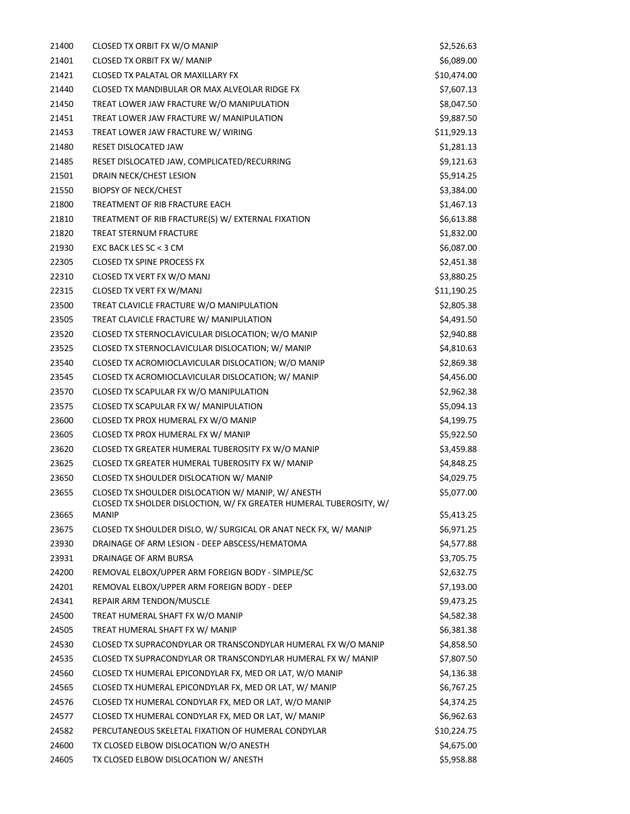| 21400          | CLOSED TX ORBIT FX W/O MANIP                                                       | \$2,526.63               |
|----------------|------------------------------------------------------------------------------------|--------------------------|
| 21401          | <b>CLOSED TX ORBIT FX W/ MANIP</b>                                                 | \$6,089.00               |
| 21421          | CLOSED TX PALATAL OR MAXILLARY FX                                                  | \$10,474.00              |
| 21440          | CLOSED TX MANDIBULAR OR MAX ALVEOLAR RIDGE FX                                      | \$7,607.13               |
| 21450          | TREAT LOWER JAW FRACTURE W/O MANIPULATION                                          | \$8,047.50               |
| 21451          | TREAT LOWER JAW FRACTURE W/ MANIPULATION                                           | \$9,887.50               |
| 21453          | TREAT LOWER JAW FRACTURE W/ WIRING                                                 | \$11,929.13              |
| 21480          | RESET DISLOCATED JAW                                                               | \$1,281.13               |
| 21485          | RESET DISLOCATED JAW, COMPLICATED/RECURRING                                        | \$9,121.63               |
| 21501          | DRAIN NECK/CHEST LESION                                                            | \$5,914.25               |
| 21550          | <b>BIOPSY OF NECK/CHEST</b>                                                        | \$3,384.00               |
| 21800          | TREATMENT OF RIB FRACTURE EACH                                                     | \$1,467.13               |
| 21810          | TREATMENT OF RIB FRACTURE(S) W/ EXTERNAL FIXATION                                  | \$6,613.88               |
| 21820          | TREAT STERNUM FRACTURE                                                             | \$1,832.00               |
| 21930          | EXC BACK LES SC < 3 CM                                                             | \$6,087.00               |
| 22305          | <b>CLOSED TX SPINE PROCESS FX</b>                                                  | \$2,451.38               |
| 22310          | CLOSED TX VERT FX W/O MANJ                                                         | \$3,880.25               |
| 22315          | CLOSED TX VERT FX W/MANJ                                                           | \$11,190.25              |
| 23500          | TREAT CLAVICLE FRACTURE W/O MANIPULATION                                           | \$2,805.38               |
| 23505          | TREAT CLAVICLE FRACTURE W/ MANIPULATION                                            | \$4,491.50               |
| 23520          | CLOSED TX STERNOCLAVICULAR DISLOCATION; W/O MANIP                                  | \$2,940.88               |
| 23525          | CLOSED TX STERNOCLAVICULAR DISLOCATION; W/ MANIP                                   | \$4,810.63               |
| 23540          | CLOSED TX ACROMIOCLAVICULAR DISLOCATION; W/O MANIP                                 | \$2,869.38               |
| 23545          | CLOSED TX ACROMIOCLAVICULAR DISLOCATION; W/ MANIP                                  | \$4,456.00               |
| 23570          | CLOSED TX SCAPULAR FX W/O MANIPULATION                                             | \$2,962.38               |
| 23575          | CLOSED TX SCAPULAR FX W/ MANIPULATION                                              | \$5,094.13               |
| 23600          | CLOSED TX PROX HUMERAL FX W/O MANIP                                                | \$4,199.75               |
| 23605          | CLOSED TX PROX HUMERAL FX W/ MANIP                                                 | \$5,922.50               |
| 23620          | CLOSED TX GREATER HUMERAL TUBEROSITY FX W/O MANIP                                  | \$3,459.88               |
| 23625          | CLOSED TX GREATER HUMERAL TUBEROSITY FX W/ MANIP                                   | \$4,848.25               |
| 23650          | CLOSED TX SHOULDER DISLOCATION W/ MANIP                                            | \$4,029.75               |
| 23655          | CLOSED TX SHOULDER DISLOCATION W/ MANIP, W/ ANESTH                                 | \$5,077.00               |
| 23665          | CLOSED TX SHOLDER DISLOCTION, W/ FX GREATER HUMERAL TUBEROSITY, W/<br><b>MANIP</b> | \$5,413.25               |
| 23675          |                                                                                    |                          |
|                | CLOSED TX SHOULDER DISLO, W/ SURGICAL OR ANAT NECK FX, W/ MANIP                    | \$6,971.25               |
| 23930<br>23931 | DRAINAGE OF ARM LESION - DEEP ABSCESS/HEMATOMA<br>DRAINAGE OF ARM BURSA            | \$4,577.88<br>\$3,705.75 |
| 24200          | REMOVAL ELBOX/UPPER ARM FOREIGN BODY - SIMPLE/SC                                   | \$2,632.75               |
| 24201          | REMOVAL ELBOX/UPPER ARM FOREIGN BODY - DEEP                                        | \$7,193.00               |
| 24341          | REPAIR ARM TENDON/MUSCLE                                                           | \$9,473.25               |
| 24500          | TREAT HUMERAL SHAFT FX W/O MANIP                                                   | \$4,582.38               |
| 24505          | TREAT HUMERAL SHAFT FX W/ MANIP                                                    | \$6,381.38               |
| 24530          | CLOSED TX SUPRACONDYLAR OR TRANSCONDYLAR HUMERAL FX W/O MANIP                      | \$4,858.50               |
| 24535          | CLOSED TX SUPRACONDYLAR OR TRANSCONDYLAR HUMERAL FX W/ MANIP                       | \$7,807.50               |
| 24560          | CLOSED TX HUMERAL EPICONDYLAR FX, MED OR LAT, W/O MANIP                            | \$4,136.38               |
| 24565          | CLOSED TX HUMERAL EPICONDYLAR FX, MED OR LAT, W/ MANIP                             | \$6,767.25               |
| 24576          | CLOSED TX HUMERAL CONDYLAR FX, MED OR LAT, W/O MANIP                               | \$4,374.25               |
| 24577          | CLOSED TX HUMERAL CONDYLAR FX, MED OR LAT, W/ MANIP                                | \$6,962.63               |
| 24582          | PERCUTANEOUS SKELETAL FIXATION OF HUMERAL CONDYLAR                                 | \$10,224.75              |
| 24600          | TX CLOSED ELBOW DISLOCATION W/O ANESTH                                             | \$4,675.00               |
| 24605          | TX CLOSED ELBOW DISLOCATION W/ ANESTH                                              | \$5,958.88               |
|                |                                                                                    |                          |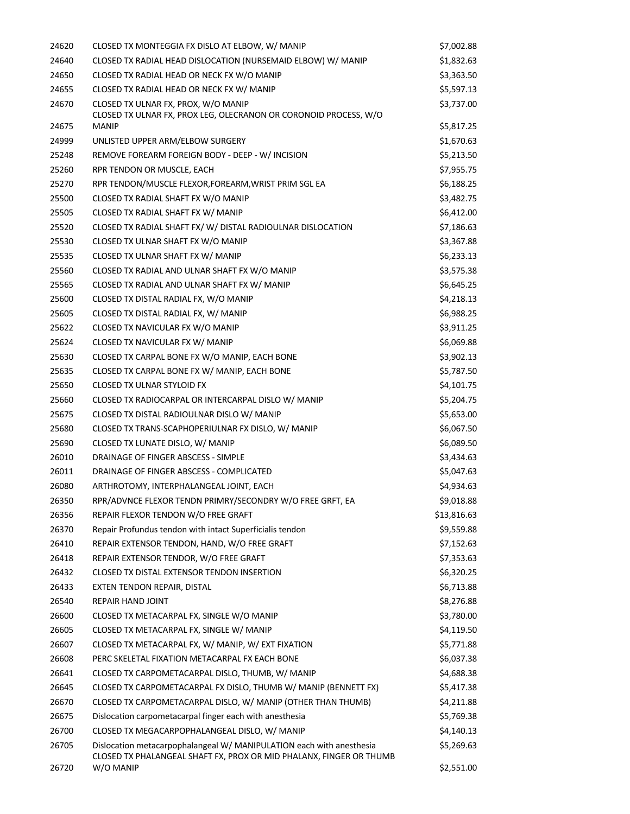| 24620 | CLOSED TX MONTEGGIA FX DISLO AT ELBOW, W/ MANIP                                                                                             | \$7,002.88  |
|-------|---------------------------------------------------------------------------------------------------------------------------------------------|-------------|
| 24640 | CLOSED TX RADIAL HEAD DISLOCATION (NURSEMAID ELBOW) W/ MANIP                                                                                | \$1,832.63  |
| 24650 | CLOSED TX RADIAL HEAD OR NECK FX W/O MANIP                                                                                                  | \$3,363.50  |
| 24655 | CLOSED TX RADIAL HEAD OR NECK FX W/ MANIP                                                                                                   | \$5,597.13  |
| 24670 | CLOSED TX ULNAR FX, PROX, W/O MANIP<br>CLOSED TX ULNAR FX, PROX LEG, OLECRANON OR CORONOID PROCESS, W/O                                     | \$3,737.00  |
| 24675 | <b>MANIP</b>                                                                                                                                | \$5,817.25  |
| 24999 | UNLISTED UPPER ARM/ELBOW SURGERY                                                                                                            | \$1,670.63  |
| 25248 | REMOVE FOREARM FOREIGN BODY - DEEP - W/ INCISION                                                                                            | \$5,213.50  |
| 25260 | RPR TENDON OR MUSCLE, EACH                                                                                                                  | \$7,955.75  |
| 25270 | RPR TENDON/MUSCLE FLEXOR, FOREARM, WRIST PRIM SGL EA                                                                                        | \$6,188.25  |
| 25500 | CLOSED TX RADIAL SHAFT FX W/O MANIP                                                                                                         | \$3,482.75  |
| 25505 | CLOSED TX RADIAL SHAFT FX W/ MANIP                                                                                                          | \$6,412.00  |
| 25520 | CLOSED TX RADIAL SHAFT FX/W/DISTAL RADIOULNAR DISLOCATION                                                                                   | \$7,186.63  |
| 25530 | CLOSED TX ULNAR SHAFT FX W/O MANIP                                                                                                          | \$3,367.88  |
| 25535 | CLOSED TX ULNAR SHAFT FX W/ MANIP                                                                                                           | \$6,233.13  |
| 25560 | CLOSED TX RADIAL AND ULNAR SHAFT FX W/O MANIP                                                                                               | \$3,575.38  |
| 25565 | CLOSED TX RADIAL AND ULNAR SHAFT FX W/ MANIP                                                                                                | \$6,645.25  |
| 25600 | CLOSED TX DISTAL RADIAL FX, W/O MANIP                                                                                                       | \$4,218.13  |
| 25605 | CLOSED TX DISTAL RADIAL FX, W/ MANIP                                                                                                        | \$6,988.25  |
| 25622 | CLOSED TX NAVICULAR FX W/O MANIP                                                                                                            | \$3,911.25  |
| 25624 | CLOSED TX NAVICULAR FX W/ MANIP                                                                                                             | \$6,069.88  |
| 25630 | CLOSED TX CARPAL BONE FX W/O MANIP, EACH BONE                                                                                               | \$3,902.13  |
| 25635 | CLOSED TX CARPAL BONE FX W/ MANIP, EACH BONE                                                                                                | \$5,787.50  |
| 25650 | <b>CLOSED TX ULNAR STYLOID FX</b>                                                                                                           | \$4,101.75  |
| 25660 | CLOSED TX RADIOCARPAL OR INTERCARPAL DISLO W/ MANIP                                                                                         | \$5,204.75  |
| 25675 | CLOSED TX DISTAL RADIOULNAR DISLO W/ MANIP                                                                                                  | \$5,653.00  |
| 25680 | CLOSED TX TRANS-SCAPHOPERIULNAR FX DISLO, W/ MANIP                                                                                          | \$6,067.50  |
| 25690 | CLOSED TX LUNATE DISLO, W/ MANIP                                                                                                            | \$6,089.50  |
| 26010 | DRAINAGE OF FINGER ABSCESS - SIMPLE                                                                                                         | \$3,434.63  |
| 26011 | DRAINAGE OF FINGER ABSCESS - COMPLICATED                                                                                                    | \$5,047.63  |
| 26080 | ARTHROTOMY, INTERPHALANGEAL JOINT, EACH                                                                                                     | \$4,934.63  |
| 26350 | RPR/ADVNCE FLEXOR TENDN PRIMRY/SECONDRY W/O FREE GRFT, EA                                                                                   | \$9,018.88  |
| 26356 | REPAIR FLEXOR TENDON W/O FREE GRAFT                                                                                                         | \$13,816.63 |
| 26370 | Repair Profundus tendon with intact Superficialis tendon                                                                                    | \$9,559.88  |
| 26410 | REPAIR EXTENSOR TENDON, HAND, W/O FREE GRAFT                                                                                                | \$7,152.63  |
| 26418 | REPAIR EXTENSOR TENDOR, W/O FREE GRAFT                                                                                                      | \$7,353.63  |
| 26432 | CLOSED TX DISTAL EXTENSOR TENDON INSERTION                                                                                                  | \$6,320.25  |
| 26433 | EXTEN TENDON REPAIR, DISTAL                                                                                                                 | \$6,713.88  |
| 26540 | REPAIR HAND JOINT                                                                                                                           | \$8,276.88  |
| 26600 | CLOSED TX METACARPAL FX, SINGLE W/O MANIP                                                                                                   | \$3,780.00  |
| 26605 | CLOSED TX METACARPAL FX, SINGLE W/ MANIP                                                                                                    | \$4,119.50  |
| 26607 | CLOSED TX METACARPAL FX, W/ MANIP, W/ EXT FIXATION                                                                                          | \$5,771.88  |
| 26608 | PERC SKELETAL FIXATION METACARPAL FX EACH BONE                                                                                              | \$6,037.38  |
| 26641 | CLOSED TX CARPOMETACARPAL DISLO, THUMB, W/ MANIP                                                                                            | \$4,688.38  |
| 26645 | CLOSED TX CARPOMETACARPAL FX DISLO, THUMB W/ MANIP (BENNETT FX)                                                                             | \$5,417.38  |
| 26670 | CLOSED TX CARPOMETACARPAL DISLO, W/ MANIP (OTHER THAN THUMB)                                                                                | \$4,211.88  |
| 26675 | Dislocation carpometacarpal finger each with anesthesia                                                                                     | \$5,769.38  |
| 26700 | CLOSED TX MEGACARPOPHALANGEAL DISLO, W/ MANIP                                                                                               | \$4,140.13  |
| 26705 | Dislocation metacarpophalangeal W/ MANIPULATION each with anesthesia<br>CLOSED TX PHALANGEAL SHAFT FX, PROX OR MID PHALANX, FINGER OR THUMB | \$5,269.63  |
| 26720 | W/O MANIP                                                                                                                                   | \$2,551.00  |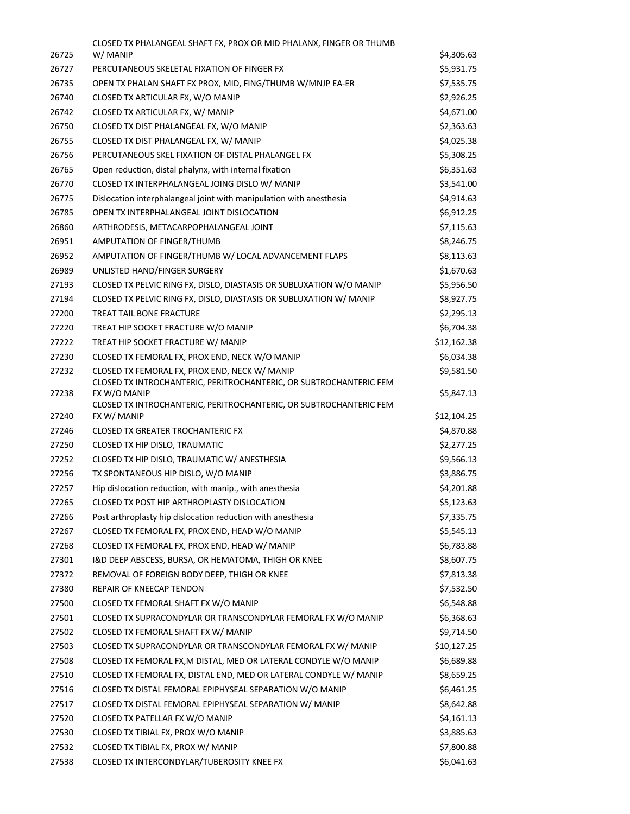|       | CLOSED TX PHALANGEAL SHAFT FX, PROX OR MID PHALANX, FINGER OR THUMB                |             |
|-------|------------------------------------------------------------------------------------|-------------|
| 26725 | W/ MANIP                                                                           | \$4,305.63  |
| 26727 | PERCUTANEOUS SKELETAL FIXATION OF FINGER FX                                        | \$5,931.75  |
| 26735 | OPEN TX PHALAN SHAFT FX PROX, MID, FING/THUMB W/MNJP EA-ER                         | \$7,535.75  |
| 26740 | CLOSED TX ARTICULAR FX, W/O MANIP                                                  | \$2,926.25  |
| 26742 | CLOSED TX ARTICULAR FX, W/ MANIP                                                   | \$4,671.00  |
| 26750 | CLOSED TX DIST PHALANGEAL FX, W/O MANIP                                            | \$2,363.63  |
| 26755 | CLOSED TX DIST PHALANGEAL FX, W/ MANIP                                             | \$4,025.38  |
| 26756 | PERCUTANEOUS SKEL FIXATION OF DISTAL PHALANGEL FX                                  | \$5,308.25  |
| 26765 | Open reduction, distal phalynx, with internal fixation                             | \$6,351.63  |
| 26770 | CLOSED TX INTERPHALANGEAL JOING DISLO W/ MANIP                                     | \$3,541.00  |
| 26775 | Dislocation interphalangeal joint with manipulation with anesthesia                | \$4,914.63  |
| 26785 | OPEN TX INTERPHALANGEAL JOINT DISLOCATION                                          | \$6,912.25  |
| 26860 | ARTHRODESIS, METACARPOPHALANGEAL JOINT                                             | \$7,115.63  |
| 26951 | AMPUTATION OF FINGER/THUMB                                                         | \$8,246.75  |
| 26952 | AMPUTATION OF FINGER/THUMB W/ LOCAL ADVANCEMENT FLAPS                              | \$8,113.63  |
| 26989 | UNLISTED HAND/FINGER SURGERY                                                       | \$1,670.63  |
| 27193 | CLOSED TX PELVIC RING FX, DISLO, DIASTASIS OR SUBLUXATION W/O MANIP                | \$5,956.50  |
| 27194 | CLOSED TX PELVIC RING FX, DISLO, DIASTASIS OR SUBLUXATION W/ MANIP                 | \$8,927.75  |
| 27200 | <b>TREAT TAIL BONE FRACTURE</b>                                                    | \$2,295.13  |
| 27220 | TREAT HIP SOCKET FRACTURE W/O MANIP                                                | \$6,704.38  |
| 27222 | TREAT HIP SOCKET FRACTURE W/ MANIP                                                 | \$12,162.38 |
| 27230 | CLOSED TX FEMORAL FX, PROX END, NECK W/O MANIP                                     | \$6,034.38  |
| 27232 | CLOSED TX FEMORAL FX, PROX END, NECK W/ MANIP                                      | \$9,581.50  |
|       | CLOSED TX INTROCHANTERIC, PERITROCHANTERIC, OR SUBTROCHANTERIC FEM                 |             |
| 27238 | FX W/O MANIP<br>CLOSED TX INTROCHANTERIC, PERITROCHANTERIC, OR SUBTROCHANTERIC FEM | \$5,847.13  |
| 27240 | FX W/ MANIP                                                                        | \$12,104.25 |
| 27246 | <b>CLOSED TX GREATER TROCHANTERIC FX</b>                                           | \$4,870.88  |
| 27250 | CLOSED TX HIP DISLO, TRAUMATIC                                                     | \$2,277.25  |
| 27252 | CLOSED TX HIP DISLO, TRAUMATIC W/ ANESTHESIA                                       | \$9,566.13  |
| 27256 | TX SPONTANEOUS HIP DISLO, W/O MANIP                                                | \$3,886.75  |
| 27257 | Hip dislocation reduction, with manip., with anesthesia                            | \$4,201.88  |
| 27265 | CLOSED TX POST HIP ARTHROPLASTY DISLOCATION                                        | \$5,123.63  |
| 27266 | Post arthroplasty hip dislocation reduction with anesthesia                        | \$7,335.75  |
| 27267 | CLOSED TX FEMORAL FX, PROX END, HEAD W/O MANIP                                     | \$5,545.13  |
| 27268 | CLOSED TX FEMORAL FX, PROX END, HEAD W/ MANIP                                      | \$6,783.88  |
| 27301 | I&D DEEP ABSCESS, BURSA, OR HEMATOMA, THIGH OR KNEE                                | \$8,607.75  |
| 27372 | REMOVAL OF FOREIGN BODY DEEP, THIGH OR KNEE                                        | \$7,813.38  |
| 27380 | REPAIR OF KNEECAP TENDON                                                           | \$7,532.50  |
| 27500 | CLOSED TX FEMORAL SHAFT FX W/O MANIP                                               | \$6,548.88  |
| 27501 | CLOSED TX SUPRACONDYLAR OR TRANSCONDYLAR FEMORAL FX W/O MANIP                      | \$6,368.63  |
| 27502 | CLOSED TX FEMORAL SHAFT FX W/ MANIP                                                | \$9,714.50  |
| 27503 | CLOSED TX SUPRACONDYLAR OR TRANSCONDYLAR FEMORAL FX W/ MANIP                       | \$10,127.25 |
| 27508 | CLOSED TX FEMORAL FX, M DISTAL, MED OR LATERAL CONDYLE W/O MANIP                   | \$6,689.88  |
| 27510 | CLOSED TX FEMORAL FX, DISTAL END, MED OR LATERAL CONDYLE W/ MANIP                  | \$8,659.25  |
| 27516 | CLOSED TX DISTAL FEMORAL EPIPHYSEAL SEPARATION W/O MANIP                           | \$6,461.25  |
| 27517 | CLOSED TX DISTAL FEMORAL EPIPHYSEAL SEPARATION W/ MANIP                            | \$8,642.88  |
| 27520 | CLOSED TX PATELLAR FX W/O MANIP                                                    | \$4,161.13  |
| 27530 | CLOSED TX TIBIAL FX, PROX W/O MANIP                                                | \$3,885.63  |
| 27532 | CLOSED TX TIBIAL FX, PROX W/ MANIP                                                 | \$7,800.88  |
| 27538 | CLOSED TX INTERCONDYLAR/TUBEROSITY KNEE FX                                         | \$6,041.63  |
|       |                                                                                    |             |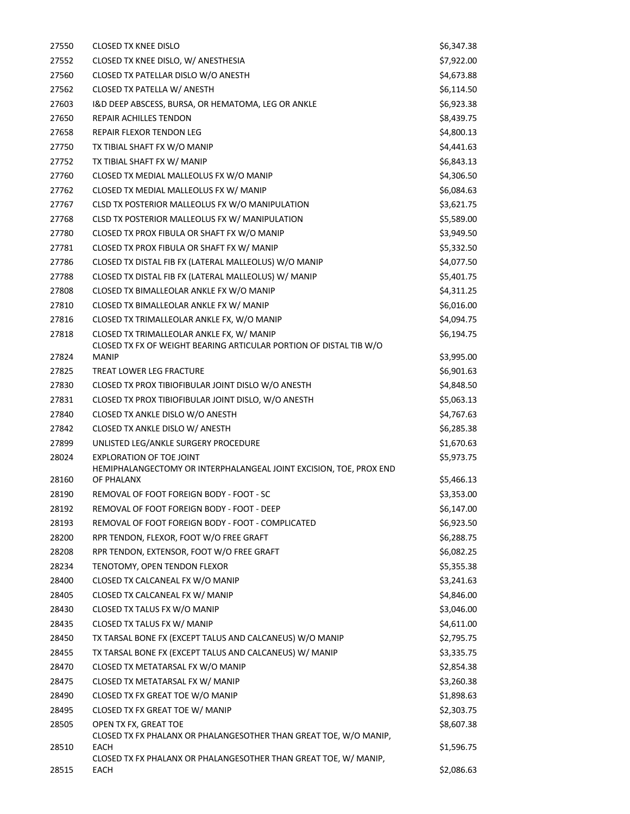| 27550 | <b>CLOSED TX KNEE DISLO</b>                                                                | \$6,347.38 |
|-------|--------------------------------------------------------------------------------------------|------------|
| 27552 | CLOSED TX KNEE DISLO, W/ ANESTHESIA                                                        | \$7,922.00 |
| 27560 | CLOSED TX PATELLAR DISLO W/O ANESTH                                                        | \$4,673.88 |
| 27562 | CLOSED TX PATELLA W/ ANESTH                                                                | \$6,114.50 |
| 27603 | I&D DEEP ABSCESS, BURSA, OR HEMATOMA, LEG OR ANKLE                                         | \$6,923.38 |
| 27650 | REPAIR ACHILLES TENDON                                                                     | \$8,439.75 |
| 27658 | REPAIR FLEXOR TENDON LEG                                                                   | \$4,800.13 |
| 27750 | TX TIBIAL SHAFT FX W/O MANIP                                                               | \$4,441.63 |
| 27752 | TX TIBIAL SHAFT FX W/ MANIP                                                                | \$6,843.13 |
| 27760 | CLOSED TX MEDIAL MALLEOLUS FX W/O MANIP                                                    | \$4,306.50 |
| 27762 | CLOSED TX MEDIAL MALLEOLUS FX W/ MANIP                                                     | \$6,084.63 |
| 27767 | CLSD TX POSTERIOR MALLEOLUS FX W/O MANIPULATION                                            | \$3,621.75 |
| 27768 | CLSD TX POSTERIOR MALLEOLUS FX W/ MANIPULATION                                             | \$5,589.00 |
| 27780 | CLOSED TX PROX FIBULA OR SHAFT FX W/O MANIP                                                | \$3,949.50 |
| 27781 | CLOSED TX PROX FIBULA OR SHAFT FX W/ MANIP                                                 | \$5,332.50 |
| 27786 | CLOSED TX DISTAL FIB FX (LATERAL MALLEOLUS) W/O MANIP                                      | \$4,077.50 |
| 27788 | CLOSED TX DISTAL FIB FX (LATERAL MALLEOLUS) W/ MANIP                                       | \$5,401.75 |
| 27808 | CLOSED TX BIMALLEOLAR ANKLE FX W/O MANIP                                                   | \$4,311.25 |
| 27810 | CLOSED TX BIMALLEOLAR ANKLE FX W/ MANIP                                                    | \$6,016.00 |
| 27816 | CLOSED TX TRIMALLEOLAR ANKLE FX, W/O MANIP                                                 | \$4,094.75 |
| 27818 | CLOSED TX TRIMALLEOLAR ANKLE FX, W/ MANIP                                                  | \$6,194.75 |
| 27824 | CLOSED TX FX OF WEIGHT BEARING ARTICULAR PORTION OF DISTAL TIB W/O<br><b>MANIP</b>         | \$3,995.00 |
| 27825 | TREAT LOWER LEG FRACTURE                                                                   | \$6,901.63 |
| 27830 | CLOSED TX PROX TIBIOFIBULAR JOINT DISLO W/O ANESTH                                         | \$4,848.50 |
| 27831 | CLOSED TX PROX TIBIOFIBULAR JOINT DISLO, W/O ANESTH                                        | \$5,063.13 |
| 27840 | CLOSED TX ANKLE DISLO W/O ANESTH                                                           | \$4,767.63 |
| 27842 | CLOSED TX ANKLE DISLO W/ ANESTH                                                            | \$6,285.38 |
| 27899 | UNLISTED LEG/ANKLE SURGERY PROCEDURE                                                       | \$1,670.63 |
| 28024 | <b>EXPLORATION OF TOE JOINT</b>                                                            | \$5,973.75 |
|       | HEMIPHALANGECTOMY OR INTERPHALANGEAL JOINT EXCISION, TOE, PROX END                         |            |
| 28160 | OF PHALANX                                                                                 | \$5,466.13 |
| 28190 | REMOVAL OF FOOT FOREIGN BODY - FOOT - SC                                                   | \$3,353.00 |
| 28192 | REMOVAL OF FOOT FOREIGN BODY - FOOT - DEEP                                                 | \$6,147.00 |
| 28193 | REMOVAL OF FOOT FOREIGN BODY - FOOT - COMPLICATED                                          | \$6,923.50 |
| 28200 | RPR TENDON, FLEXOR, FOOT W/O FREE GRAFT                                                    | \$6,288.75 |
| 28208 | RPR TENDON, EXTENSOR, FOOT W/O FREE GRAFT                                                  | \$6,082.25 |
| 28234 | TENOTOMY, OPEN TENDON FLEXOR                                                               | \$5,355.38 |
| 28400 | CLOSED TX CALCANEAL FX W/O MANIP                                                           | \$3,241.63 |
| 28405 | CLOSED TX CALCANEAL FX W/ MANIP                                                            | \$4,846.00 |
| 28430 | CLOSED TX TALUS FX W/O MANIP                                                               | \$3,046.00 |
| 28435 | CLOSED TX TALUS FX W/ MANIP                                                                | \$4,611.00 |
| 28450 | TX TARSAL BONE FX (EXCEPT TALUS AND CALCANEUS) W/O MANIP                                   | \$2,795.75 |
| 28455 | TX TARSAL BONE FX (EXCEPT TALUS AND CALCANEUS) W/ MANIP                                    | \$3,335.75 |
| 28470 | CLOSED TX METATARSAL FX W/O MANIP                                                          | \$2,854.38 |
| 28475 | CLOSED TX METATARSAL FX W/ MANIP                                                           | \$3,260.38 |
| 28490 | CLOSED TX FX GREAT TOE W/O MANIP                                                           | \$1,898.63 |
| 28495 | CLOSED TX FX GREAT TOE W/ MANIP                                                            | \$2,303.75 |
| 28505 | OPEN TX FX, GREAT TOE<br>CLOSED TX FX PHALANX OR PHALANGESOTHER THAN GREAT TOE, W/O MANIP, | \$8,607.38 |
| 28510 | EACH                                                                                       | \$1,596.75 |
|       | CLOSED TX FX PHALANX OR PHALANGESOTHER THAN GREAT TOE, W/ MANIP,                           |            |
| 28515 | EACH                                                                                       | \$2,086.63 |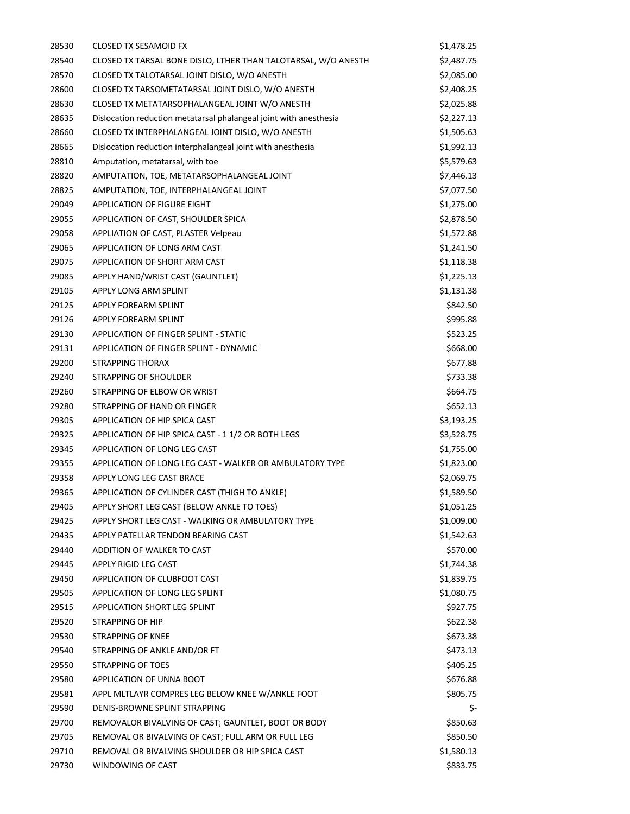| 28530 | CLOSED TX SESAMOID FX                                             | \$1,478.25 |
|-------|-------------------------------------------------------------------|------------|
| 28540 | CLOSED TX TARSAL BONE DISLO, LTHER THAN TALOTARSAL, W/O ANESTH    | \$2,487.75 |
| 28570 | CLOSED TX TALOTARSAL JOINT DISLO, W/O ANESTH                      | \$2,085.00 |
| 28600 | CLOSED TX TARSOMETATARSAL JOINT DISLO, W/O ANESTH                 | \$2,408.25 |
| 28630 | CLOSED TX METATARSOPHALANGEAL JOINT W/O ANESTH                    | \$2,025.88 |
| 28635 | Dislocation reduction metatarsal phalangeal joint with anesthesia | \$2,227.13 |
| 28660 | CLOSED TX INTERPHALANGEAL JOINT DISLO, W/O ANESTH                 | \$1,505.63 |
| 28665 | Dislocation reduction interphalangeal joint with anesthesia       | \$1,992.13 |
| 28810 | Amputation, metatarsal, with toe                                  | \$5,579.63 |
| 28820 | AMPUTATION, TOE, METATARSOPHALANGEAL JOINT                        | \$7,446.13 |
| 28825 | AMPUTATION, TOE, INTERPHALANGEAL JOINT                            | \$7,077.50 |
| 29049 | APPLICATION OF FIGURE EIGHT                                       | \$1,275.00 |
| 29055 | APPLICATION OF CAST, SHOULDER SPICA                               | \$2,878.50 |
| 29058 | <b>APPLIATION OF CAST, PLASTER Velpeau</b>                        | \$1,572.88 |
| 29065 | APPLICATION OF LONG ARM CAST                                      | \$1,241.50 |
| 29075 | APPLICATION OF SHORT ARM CAST                                     | \$1,118.38 |
| 29085 | APPLY HAND/WRIST CAST (GAUNTLET)                                  | \$1,225.13 |
| 29105 | APPLY LONG ARM SPLINT                                             | \$1,131.38 |
| 29125 | APPLY FOREARM SPLINT                                              | \$842.50   |
| 29126 | APPLY FOREARM SPLINT                                              | \$995.88   |
| 29130 | APPLICATION OF FINGER SPLINT - STATIC                             | \$523.25   |
| 29131 | APPLICATION OF FINGER SPLINT - DYNAMIC                            | \$668.00   |
| 29200 | STRAPPING THORAX                                                  | \$677.88   |
| 29240 | STRAPPING OF SHOULDER                                             | \$733.38   |
| 29260 | STRAPPING OF ELBOW OR WRIST                                       | \$664.75   |
| 29280 | STRAPPING OF HAND OR FINGER                                       | \$652.13   |
| 29305 | APPLICATION OF HIP SPICA CAST                                     | \$3,193.25 |
| 29325 | APPLICATION OF HIP SPICA CAST - 11/2 OR BOTH LEGS                 | \$3,528.75 |
| 29345 | APPLICATION OF LONG LEG CAST                                      | \$1,755.00 |
| 29355 | APPLICATION OF LONG LEG CAST - WALKER OR AMBULATORY TYPE          | \$1,823.00 |
| 29358 | APPLY LONG LEG CAST BRACE                                         | \$2,069.75 |
| 29365 | APPLICATION OF CYLINDER CAST (THIGH TO ANKLE)                     | \$1,589.50 |
| 29405 | APPLY SHORT LEG CAST (BELOW ANKLE TO TOES)                        | \$1,051.25 |
| 29425 | APPLY SHORT LEG CAST - WALKING OR AMBULATORY TYPE                 | \$1,009.00 |
| 29435 | APPLY PATELLAR TENDON BEARING CAST                                | \$1,542.63 |
| 29440 | ADDITION OF WALKER TO CAST                                        | \$570.00   |
| 29445 | APPLY RIGID LEG CAST                                              | \$1,744.38 |
| 29450 | APPLICATION OF CLUBFOOT CAST                                      | \$1,839.75 |
| 29505 | APPLICATION OF LONG LEG SPLINT                                    | \$1,080.75 |
| 29515 | APPLICATION SHORT LEG SPLINT                                      | \$927.75   |
| 29520 | STRAPPING OF HIP                                                  | \$622.38   |
| 29530 | STRAPPING OF KNEE                                                 | \$673.38   |
| 29540 | STRAPPING OF ANKLE AND/OR FT                                      | \$473.13   |
| 29550 | <b>STRAPPING OF TOES</b>                                          | \$405.25   |
| 29580 | APPLICATION OF UNNA BOOT                                          | \$676.88   |
| 29581 | APPL MLTLAYR COMPRES LEG BELOW KNEE W/ANKLE FOOT                  | \$805.75   |
| 29590 | DENIS-BROWNE SPLINT STRAPPING                                     | \$-        |
| 29700 | REMOVALOR BIVALVING OF CAST; GAUNTLET, BOOT OR BODY               | \$850.63   |
| 29705 | REMOVAL OR BIVALVING OF CAST; FULL ARM OR FULL LEG                | \$850.50   |
| 29710 | REMOVAL OR BIVALVING SHOULDER OR HIP SPICA CAST                   | \$1,580.13 |
| 29730 | WINDOWING OF CAST                                                 | \$833.75   |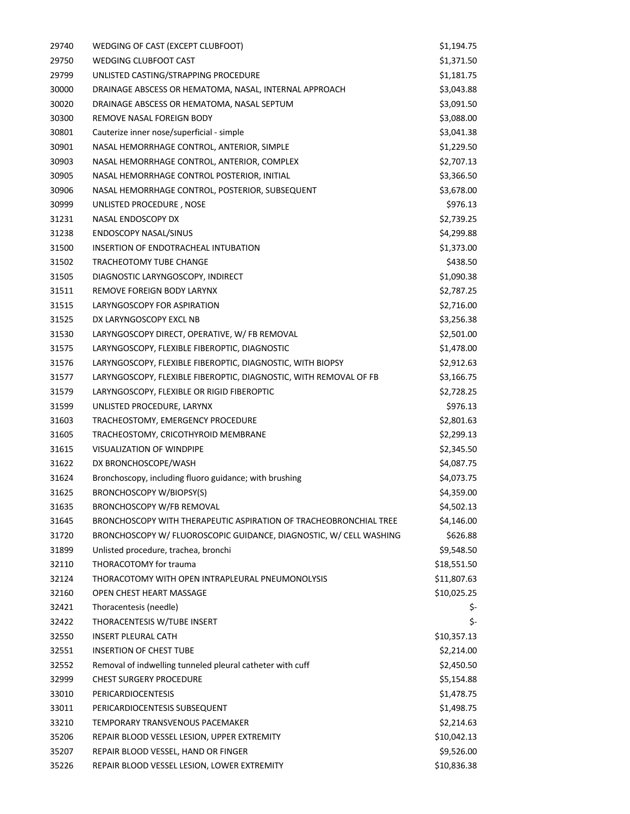| 29740 | WEDGING OF CAST (EXCEPT CLUBFOOT)                                 | \$1,194.75  |
|-------|-------------------------------------------------------------------|-------------|
| 29750 | <b>WEDGING CLUBFOOT CAST</b>                                      | \$1,371.50  |
| 29799 | UNLISTED CASTING/STRAPPING PROCEDURE                              | \$1,181.75  |
| 30000 | DRAINAGE ABSCESS OR HEMATOMA, NASAL, INTERNAL APPROACH            | \$3,043.88  |
| 30020 | DRAINAGE ABSCESS OR HEMATOMA, NASAL SEPTUM                        | \$3,091.50  |
| 30300 | REMOVE NASAL FOREIGN BODY                                         | \$3,088.00  |
| 30801 | Cauterize inner nose/superficial - simple                         | \$3,041.38  |
| 30901 | NASAL HEMORRHAGE CONTROL, ANTERIOR, SIMPLE                        | \$1,229.50  |
| 30903 | NASAL HEMORRHAGE CONTROL, ANTERIOR, COMPLEX                       | \$2,707.13  |
| 30905 | NASAL HEMORRHAGE CONTROL POSTERIOR, INITIAL                       | \$3,366.50  |
| 30906 | NASAL HEMORRHAGE CONTROL, POSTERIOR, SUBSEQUENT                   | \$3,678.00  |
| 30999 | UNLISTED PROCEDURE, NOSE                                          | \$976.13    |
| 31231 | NASAL ENDOSCOPY DX                                                | \$2,739.25  |
| 31238 | <b>ENDOSCOPY NASAL/SINUS</b>                                      | \$4,299.88  |
| 31500 | INSERTION OF ENDOTRACHEAL INTUBATION                              | \$1,373.00  |
| 31502 | TRACHEOTOMY TUBE CHANGE                                           | \$438.50    |
| 31505 | DIAGNOSTIC LARYNGOSCOPY, INDIRECT                                 | \$1,090.38  |
| 31511 | REMOVE FOREIGN BODY LARYNX                                        | \$2,787.25  |
| 31515 | LARYNGOSCOPY FOR ASPIRATION                                       | \$2,716.00  |
| 31525 | DX LARYNGOSCOPY EXCL NB                                           | \$3,256.38  |
| 31530 | LARYNGOSCOPY DIRECT, OPERATIVE, W/ FB REMOVAL                     | \$2,501.00  |
| 31575 | LARYNGOSCOPY, FLEXIBLE FIBEROPTIC, DIAGNOSTIC                     | \$1,478.00  |
| 31576 | LARYNGOSCOPY, FLEXIBLE FIBEROPTIC, DIAGNOSTIC, WITH BIOPSY        | \$2,912.63  |
| 31577 | LARYNGOSCOPY, FLEXIBLE FIBEROPTIC, DIAGNOSTIC, WITH REMOVAL OF FB | \$3,166.75  |
| 31579 | LARYNGOSCOPY, FLEXIBLE OR RIGID FIBEROPTIC                        | \$2,728.25  |
| 31599 | UNLISTED PROCEDURE, LARYNX                                        | \$976.13    |
| 31603 | TRACHEOSTOMY, EMERGENCY PROCEDURE                                 | \$2,801.63  |
| 31605 | TRACHEOSTOMY, CRICOTHYROID MEMBRANE                               | \$2,299.13  |
| 31615 | <b>VISUALIZATION OF WINDPIPE</b>                                  | \$2,345.50  |
| 31622 | DX BRONCHOSCOPE/WASH                                              | \$4,087.75  |
| 31624 | Bronchoscopy, including fluoro guidance; with brushing            | \$4,073.75  |
| 31625 | <b>BRONCHOSCOPY W/BIOPSY(S)</b>                                   | \$4,359.00  |
| 31635 | <b>BRONCHOSCOPY W/FB REMOVAL</b>                                  | \$4,502.13  |
| 31645 | BRONCHOSCOPY WITH THERAPEUTIC ASPIRATION OF TRACHEOBRONCHIAL TREE | \$4,146.00  |
| 31720 | BRONCHOSCOPY W/FLUOROSCOPIC GUIDANCE, DIAGNOSTIC, W/CELL WASHING  | \$626.88    |
| 31899 | Unlisted procedure, trachea, bronchi                              | \$9,548.50  |
| 32110 | THORACOTOMY for trauma                                            | \$18,551.50 |
| 32124 | THORACOTOMY WITH OPEN INTRAPLEURAL PNEUMONOLYSIS                  | \$11,807.63 |
| 32160 | OPEN CHEST HEART MASSAGE                                          | \$10,025.25 |
| 32421 | Thoracentesis (needle)                                            | \$-         |
| 32422 | THORACENTESIS W/TUBE INSERT                                       | \$-         |
| 32550 | <b>INSERT PLEURAL CATH</b>                                        | \$10,357.13 |
| 32551 | <b>INSERTION OF CHEST TUBE</b>                                    | \$2,214.00  |
| 32552 | Removal of indwelling tunneled pleural catheter with cuff         | \$2,450.50  |
| 32999 | <b>CHEST SURGERY PROCEDURE</b>                                    | \$5,154.88  |
| 33010 | <b>PERICARDIOCENTESIS</b>                                         | \$1,478.75  |
| 33011 | PERICARDIOCENTESIS SUBSEQUENT                                     | \$1,498.75  |
| 33210 | TEMPORARY TRANSVENOUS PACEMAKER                                   | \$2,214.63  |
| 35206 | REPAIR BLOOD VESSEL LESION, UPPER EXTREMITY                       | \$10,042.13 |
| 35207 | REPAIR BLOOD VESSEL, HAND OR FINGER                               | \$9,526.00  |
| 35226 | REPAIR BLOOD VESSEL LESION, LOWER EXTREMITY                       | \$10,836.38 |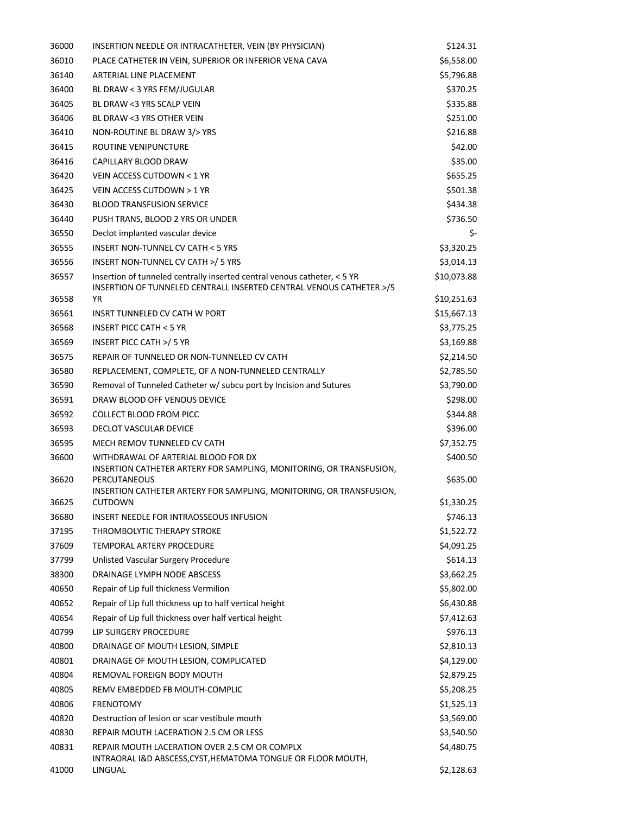| 36000 | INSERTION NEEDLE OR INTRACATHETER, VEIN (BY PHYSICIAN)                                                        | \$124.31    |
|-------|---------------------------------------------------------------------------------------------------------------|-------------|
| 36010 | PLACE CATHETER IN VEIN, SUPERIOR OR INFERIOR VENA CAVA                                                        | \$6,558.00  |
| 36140 | ARTERIAL LINE PLACEMENT                                                                                       | \$5,796.88  |
| 36400 | BL DRAW < 3 YRS FEM/JUGULAR                                                                                   | \$370.25    |
| 36405 | BL DRAW <3 YRS SCALP VEIN                                                                                     | \$335.88    |
| 36406 | BL DRAW <3 YRS OTHER VEIN                                                                                     | \$251.00    |
| 36410 | NON-ROUTINE BL DRAW 3/> YRS                                                                                   | \$216.88    |
| 36415 | ROUTINE VENIPUNCTURE                                                                                          | \$42.00     |
| 36416 | CAPILLARY BLOOD DRAW                                                                                          | \$35.00     |
| 36420 | VEIN ACCESS CUTDOWN < 1 YR                                                                                    | \$655.25    |
| 36425 | VEIN ACCESS CUTDOWN > 1 YR                                                                                    | \$501.38    |
| 36430 | <b>BLOOD TRANSFUSION SERVICE</b>                                                                              | \$434.38    |
| 36440 | PUSH TRANS, BLOOD 2 YRS OR UNDER                                                                              | \$736.50    |
| 36550 | Declot implanted vascular device                                                                              | \$-         |
| 36555 | INSERT NON-TUNNEL CV CATH < 5 YRS                                                                             | \$3,320.25  |
| 36556 | INSERT NON-TUNNEL CV CATH >/ 5 YRS                                                                            | \$3,014.13  |
| 36557 | Insertion of tunneled centrally inserted central venous catheter, < 5 YR                                      | \$10,073.88 |
| 36558 | INSERTION OF TUNNELED CENTRALL INSERTED CENTRAL VENOUS CATHETER >/5<br>ΥR                                     | \$10,251.63 |
| 36561 | INSRT TUNNELED CV CATH W PORT                                                                                 | \$15,667.13 |
| 36568 | <b>INSERT PICC CATH &lt; 5 YR</b>                                                                             | \$3,775.25  |
| 36569 | INSERT PICC CATH >/ 5 YR                                                                                      | \$3,169.88  |
| 36575 | REPAIR OF TUNNELED OR NON-TUNNELED CV CATH                                                                    | \$2,214.50  |
| 36580 | REPLACEMENT, COMPLETE, OF A NON-TUNNELED CENTRALLY                                                            | \$2,785.50  |
| 36590 | Removal of Tunneled Catheter w/ subcu port by Incision and Sutures                                            | \$3,790.00  |
| 36591 | DRAW BLOOD OFF VENOUS DEVICE                                                                                  | \$298.00    |
| 36592 | <b>COLLECT BLOOD FROM PICC</b>                                                                                | \$344.88    |
| 36593 | DECLOT VASCULAR DEVICE                                                                                        | \$396.00    |
| 36595 | MECH REMOV TUNNELED CV CATH                                                                                   | \$7,352.75  |
| 36600 | WITHDRAWAL OF ARTERIAL BLOOD FOR DX                                                                           | \$400.50    |
|       | INSERTION CATHETER ARTERY FOR SAMPLING, MONITORING, OR TRANSFUSION,                                           |             |
| 36620 | <b>PERCUTANEOUS</b>                                                                                           | \$635.00    |
| 36625 | INSERTION CATHETER ARTERY FOR SAMPLING, MONITORING, OR TRANSFUSION,<br><b>CUTDOWN</b>                         | \$1,330.25  |
| 36680 | INSERT NEEDLE FOR INTRAOSSEOUS INFUSION                                                                       | \$746.13    |
| 37195 | THROMBOLYTIC THERAPY STROKE                                                                                   | \$1,522.72  |
| 37609 | TEMPORAL ARTERY PROCEDURE                                                                                     | \$4,091.25  |
| 37799 | Unlisted Vascular Surgery Procedure                                                                           | \$614.13    |
| 38300 | DRAINAGE LYMPH NODE ABSCESS                                                                                   | \$3,662.25  |
| 40650 | Repair of Lip full thickness Vermilion                                                                        | \$5,802.00  |
| 40652 | Repair of Lip full thickness up to half vertical height                                                       | \$6,430.88  |
| 40654 | Repair of Lip full thickness over half vertical height                                                        | \$7,412.63  |
| 40799 | LIP SURGERY PROCEDURE                                                                                         | \$976.13    |
| 40800 | DRAINAGE OF MOUTH LESION, SIMPLE                                                                              | \$2,810.13  |
| 40801 | DRAINAGE OF MOUTH LESION, COMPLICATED                                                                         | \$4,129.00  |
| 40804 | REMOVAL FOREIGN BODY MOUTH                                                                                    | \$2,879.25  |
| 40805 | REMV EMBEDDED FB MOUTH-COMPLIC                                                                                | \$5,208.25  |
| 40806 | FRENOTOMY                                                                                                     | \$1,525.13  |
| 40820 | Destruction of lesion or scar vestibule mouth                                                                 | \$3,569.00  |
| 40830 | REPAIR MOUTH LACERATION 2.5 CM OR LESS                                                                        | \$3,540.50  |
| 40831 | REPAIR MOUTH LACERATION OVER 2.5 CM OR COMPLX<br>INTRAORAL I&D ABSCESS, CYST, HEMATOMA TONGUE OR FLOOR MOUTH, | \$4,480.75  |
| 41000 | LINGUAL                                                                                                       | \$2,128.63  |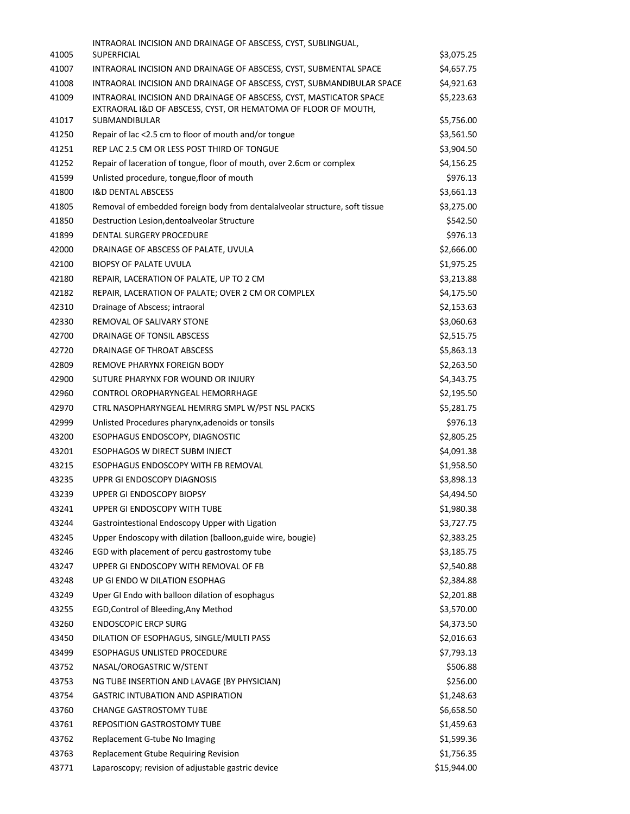|       | INTRAORAL INCISION AND DRAINAGE OF ABSCESS, CYST, SUBLINGUAL,                                                                        |             |
|-------|--------------------------------------------------------------------------------------------------------------------------------------|-------------|
| 41005 | SUPERFICIAL                                                                                                                          | \$3,075.25  |
| 41007 | INTRAORAL INCISION AND DRAINAGE OF ABSCESS, CYST, SUBMENTAL SPACE                                                                    | \$4,657.75  |
| 41008 | INTRAORAL INCISION AND DRAINAGE OF ABSCESS, CYST, SUBMANDIBULAR SPACE                                                                | \$4,921.63  |
| 41009 | INTRAORAL INCISION AND DRAINAGE OF ABSCESS, CYST, MASTICATOR SPACE<br>EXTRAORAL I&D OF ABSCESS, CYST, OR HEMATOMA OF FLOOR OF MOUTH, | \$5,223.63  |
| 41017 | <b>SUBMANDIBULAR</b>                                                                                                                 | \$5,756.00  |
| 41250 | Repair of lac <2.5 cm to floor of mouth and/or tongue                                                                                | \$3,561.50  |
| 41251 | REP LAC 2.5 CM OR LESS POST THIRD OF TONGUE                                                                                          | \$3,904.50  |
| 41252 | Repair of laceration of tongue, floor of mouth, over 2.6cm or complex                                                                | \$4,156.25  |
| 41599 | Unlisted procedure, tongue, floor of mouth                                                                                           | \$976.13    |
| 41800 | <b>I&amp;D DENTAL ABSCESS</b>                                                                                                        | \$3,661.13  |
| 41805 | Removal of embedded foreign body from dentalalveolar structure, soft tissue                                                          | \$3,275.00  |
| 41850 | Destruction Lesion, dentoalveolar Structure                                                                                          | \$542.50    |
| 41899 | DENTAL SURGERY PROCEDURE                                                                                                             | \$976.13    |
| 42000 | DRAINAGE OF ABSCESS OF PALATE, UVULA                                                                                                 | \$2,666.00  |
| 42100 | <b>BIOPSY OF PALATE UVULA</b>                                                                                                        | \$1,975.25  |
| 42180 | REPAIR, LACERATION OF PALATE, UP TO 2 CM                                                                                             | \$3,213.88  |
| 42182 | REPAIR, LACERATION OF PALATE; OVER 2 CM OR COMPLEX                                                                                   | \$4,175.50  |
| 42310 | Drainage of Abscess; intraoral                                                                                                       | \$2,153.63  |
| 42330 | REMOVAL OF SALIVARY STONE                                                                                                            | \$3,060.63  |
| 42700 | DRAINAGE OF TONSIL ABSCESS                                                                                                           | \$2,515.75  |
| 42720 | DRAINAGE OF THROAT ABSCESS                                                                                                           | \$5,863.13  |
| 42809 | REMOVE PHARYNX FOREIGN BODY                                                                                                          | \$2,263.50  |
| 42900 | SUTURE PHARYNX FOR WOUND OR INJURY                                                                                                   | \$4,343.75  |
| 42960 | CONTROL OROPHARYNGEAL HEMORRHAGE                                                                                                     | \$2,195.50  |
| 42970 | CTRL NASOPHARYNGEAL HEMRRG SMPL W/PST NSL PACKS                                                                                      | \$5,281.75  |
| 42999 | Unlisted Procedures pharynx, adenoids or tonsils                                                                                     | \$976.13    |
| 43200 | ESOPHAGUS ENDOSCOPY, DIAGNOSTIC                                                                                                      | \$2,805.25  |
| 43201 | ESOPHAGOS W DIRECT SUBM INJECT                                                                                                       | \$4,091.38  |
| 43215 | ESOPHAGUS ENDOSCOPY WITH FB REMOVAL                                                                                                  | \$1,958.50  |
| 43235 | UPPR GI ENDOSCOPY DIAGNOSIS                                                                                                          | \$3,898.13  |
| 43239 | UPPER GI ENDOSCOPY BIOPSY                                                                                                            | \$4,494.50  |
| 43241 | UPPER GI ENDOSCOPY WITH TUBE                                                                                                         | \$1,980.38  |
| 43244 | Gastrointestional Endoscopy Upper with Ligation                                                                                      | \$3,727.75  |
| 43245 | Upper Endoscopy with dilation (balloon, guide wire, bougie)                                                                          | \$2,383.25  |
| 43246 | EGD with placement of percu gastrostomy tube                                                                                         | \$3,185.75  |
| 43247 | UPPER GI ENDOSCOPY WITH REMOVAL OF FB                                                                                                | \$2,540.88  |
| 43248 | UP GI ENDO W DILATION ESOPHAG                                                                                                        | \$2,384.88  |
| 43249 | Uper GI Endo with balloon dilation of esophagus                                                                                      | \$2,201.88  |
| 43255 | EGD, Control of Bleeding, Any Method                                                                                                 | \$3,570.00  |
| 43260 | <b>ENDOSCOPIC ERCP SURG</b>                                                                                                          | \$4,373.50  |
| 43450 | DILATION OF ESOPHAGUS, SINGLE/MULTI PASS                                                                                             | \$2,016.63  |
| 43499 | <b>ESOPHAGUS UNLISTED PROCEDURE</b>                                                                                                  | \$7,793.13  |
| 43752 | NASAL/OROGASTRIC W/STENT                                                                                                             | \$506.88    |
| 43753 | NG TUBE INSERTION AND LAVAGE (BY PHYSICIAN)                                                                                          | \$256.00    |
| 43754 | <b>GASTRIC INTUBATION AND ASPIRATION</b>                                                                                             | \$1,248.63  |
|       |                                                                                                                                      |             |
| 43760 | <b>CHANGE GASTROSTOMY TUBE</b>                                                                                                       | \$6,658.50  |
| 43761 | <b>REPOSITION GASTROSTOMY TUBE</b>                                                                                                   | \$1,459.63  |
| 43762 | Replacement G-tube No Imaging                                                                                                        | \$1,599.36  |
| 43763 | Replacement Gtube Requiring Revision                                                                                                 | \$1,756.35  |
| 43771 | Laparoscopy; revision of adjustable gastric device                                                                                   | \$15,944.00 |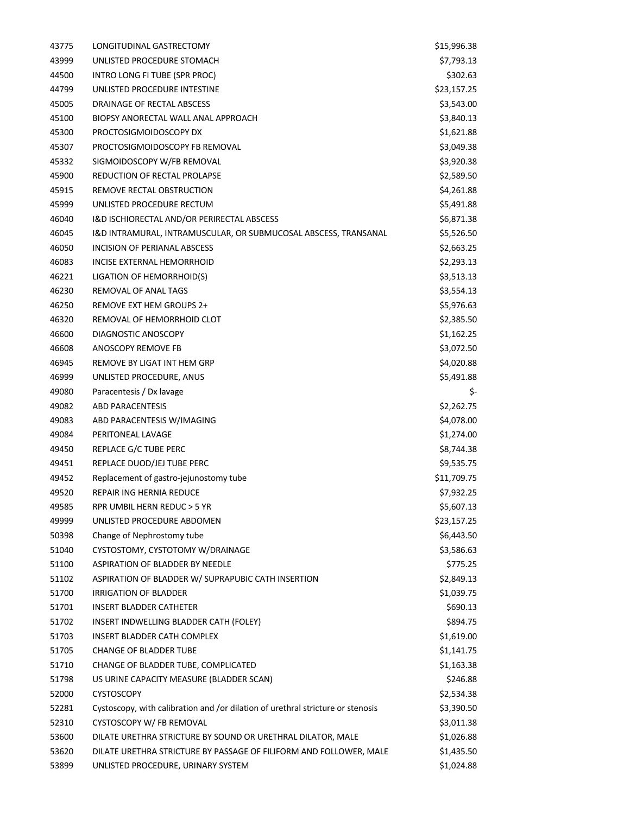| 43775 | LONGITUDINAL GASTRECTOMY                                                        | \$15,996.38 |
|-------|---------------------------------------------------------------------------------|-------------|
| 43999 | UNLISTED PROCEDURE STOMACH                                                      | \$7,793.13  |
| 44500 | INTRO LONG FI TUBE (SPR PROC)                                                   | \$302.63    |
| 44799 | UNLISTED PROCEDURE INTESTINE                                                    | \$23,157.25 |
| 45005 | DRAINAGE OF RECTAL ABSCESS                                                      | \$3,543.00  |
| 45100 | BIOPSY ANORECTAL WALL ANAL APPROACH                                             | \$3,840.13  |
| 45300 | PROCTOSIGMOIDOSCOPY DX                                                          | \$1,621.88  |
| 45307 | PROCTOSIGMOIDOSCOPY FB REMOVAL                                                  | \$3,049.38  |
| 45332 | SIGMOIDOSCOPY W/FB REMOVAL                                                      | \$3,920.38  |
| 45900 | REDUCTION OF RECTAL PROLAPSE                                                    | \$2,589.50  |
| 45915 | REMOVE RECTAL OBSTRUCTION                                                       | \$4,261.88  |
| 45999 | UNLISTED PROCEDURE RECTUM                                                       | \$5,491.88  |
| 46040 | I&D ISCHIORECTAL AND/OR PERIRECTAL ABSCESS                                      | \$6,871.38  |
| 46045 | I&D INTRAMURAL, INTRAMUSCULAR, OR SUBMUCOSAL ABSCESS, TRANSANAL                 | \$5,526.50  |
| 46050 | INCISION OF PERIANAL ABSCESS                                                    | \$2,663.25  |
| 46083 | INCISE EXTERNAL HEMORRHOID                                                      | \$2,293.13  |
| 46221 | LIGATION OF HEMORRHOID(S)                                                       | \$3,513.13  |
| 46230 | REMOVAL OF ANAL TAGS                                                            | \$3,554.13  |
| 46250 | REMOVE EXT HEM GROUPS 2+                                                        | \$5,976.63  |
| 46320 | REMOVAL OF HEMORRHOID CLOT                                                      | \$2,385.50  |
| 46600 | DIAGNOSTIC ANOSCOPY                                                             | \$1,162.25  |
| 46608 | ANOSCOPY REMOVE FB                                                              | \$3,072.50  |
| 46945 | REMOVE BY LIGAT INT HEM GRP                                                     | \$4,020.88  |
| 46999 | UNLISTED PROCEDURE, ANUS                                                        | \$5,491.88  |
| 49080 | Paracentesis / Dx lavage                                                        | \$-         |
| 49082 | <b>ABD PARACENTESIS</b>                                                         | \$2,262.75  |
| 49083 | ABD PARACENTESIS W/IMAGING                                                      | \$4,078.00  |
| 49084 | PERITONEAL LAVAGE                                                               | \$1,274.00  |
| 49450 | REPLACE G/C TUBE PERC                                                           | \$8,744.38  |
| 49451 | REPLACE DUOD/JEJ TUBE PERC                                                      | \$9,535.75  |
| 49452 | Replacement of gastro-jejunostomy tube                                          | \$11,709.75 |
| 49520 | REPAIR ING HERNIA REDUCE                                                        | \$7,932.25  |
| 49585 | RPR UMBIL HERN REDUC > 5 YR                                                     | \$5,607.13  |
| 49999 | UNLISTED PROCEDURE ABDOMEN                                                      | \$23,157.25 |
| 50398 | Change of Nephrostomy tube                                                      | \$6,443.50  |
| 51040 | CYSTOSTOMY, CYSTOTOMY W/DRAINAGE                                                | \$3,586.63  |
| 51100 | ASPIRATION OF BLADDER BY NEEDLE                                                 | \$775.25    |
| 51102 | ASPIRATION OF BLADDER W/ SUPRAPUBIC CATH INSERTION                              | \$2,849.13  |
| 51700 | IRRIGATION OF BLADDER                                                           | \$1,039.75  |
| 51701 | <b>INSERT BLADDER CATHETER</b>                                                  | \$690.13    |
| 51702 | INSERT INDWELLING BLADDER CATH (FOLEY)                                          | \$894.75    |
| 51703 | INSERT BLADDER CATH COMPLEX                                                     | \$1,619.00  |
| 51705 | <b>CHANGE OF BLADDER TUBE</b>                                                   | \$1,141.75  |
| 51710 | CHANGE OF BLADDER TUBE, COMPLICATED                                             | \$1,163.38  |
| 51798 | US URINE CAPACITY MEASURE (BLADDER SCAN)                                        | \$246.88    |
| 52000 | <b>CYSTOSCOPY</b>                                                               | \$2,534.38  |
| 52281 | Cystoscopy, with calibration and /or dilation of urethral stricture or stenosis | \$3,390.50  |
| 52310 | CYSTOSCOPY W/ FB REMOVAL                                                        | \$3,011.38  |
| 53600 | DILATE URETHRA STRICTURE BY SOUND OR URETHRAL DILATOR, MALE                     | \$1,026.88  |
| 53620 | DILATE URETHRA STRICTURE BY PASSAGE OF FILIFORM AND FOLLOWER, MALE              | \$1,435.50  |
| 53899 | UNLISTED PROCEDURE, URINARY SYSTEM                                              | \$1,024.88  |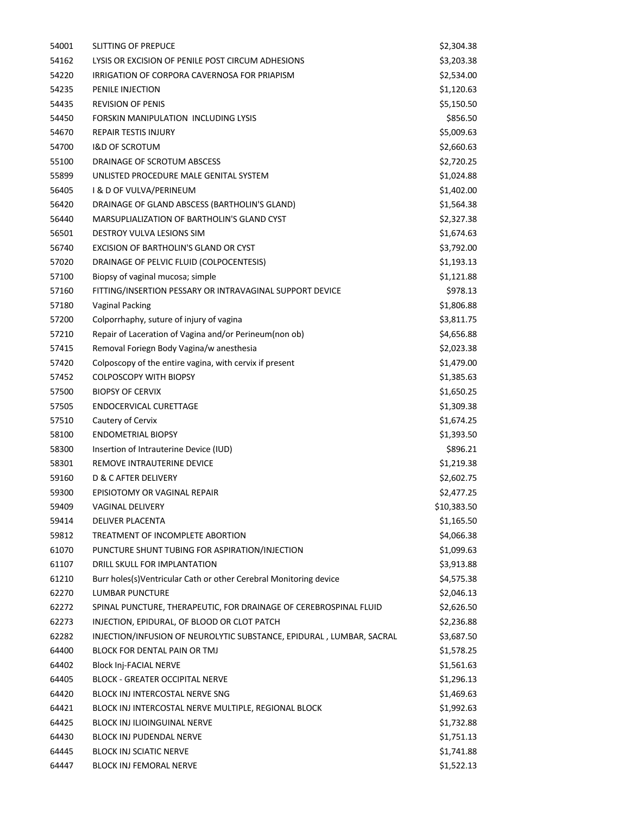| 54001 | SLITTING OF PREPUCE                                                  | \$2,304.38  |
|-------|----------------------------------------------------------------------|-------------|
| 54162 | LYSIS OR EXCISION OF PENILE POST CIRCUM ADHESIONS                    | \$3,203.38  |
| 54220 | IRRIGATION OF CORPORA CAVERNOSA FOR PRIAPISM                         | \$2,534.00  |
| 54235 | PENILE INJECTION                                                     | \$1,120.63  |
| 54435 | <b>REVISION OF PENIS</b>                                             | \$5,150.50  |
| 54450 | FORSKIN MANIPULATION INCLUDING LYSIS                                 | \$856.50    |
| 54670 | <b>REPAIR TESTIS INJURY</b>                                          | \$5,009.63  |
| 54700 | <b>I&amp;D OF SCROTUM</b>                                            | \$2,660.63  |
| 55100 | DRAINAGE OF SCROTUM ABSCESS                                          | \$2,720.25  |
| 55899 | UNLISTED PROCEDURE MALE GENITAL SYSTEM                               | \$1,024.88  |
| 56405 | <b>I &amp; D OF VULVA/PERINEUM</b>                                   | \$1,402.00  |
| 56420 | DRAINAGE OF GLAND ABSCESS (BARTHOLIN'S GLAND)                        | \$1,564.38  |
| 56440 | MARSUPLIALIZATION OF BARTHOLIN'S GLAND CYST                          | \$2,327.38  |
| 56501 | DESTROY VULVA LESIONS SIM                                            | \$1,674.63  |
| 56740 | EXCISION OF BARTHOLIN'S GLAND OR CYST                                | \$3,792.00  |
| 57020 | DRAINAGE OF PELVIC FLUID (COLPOCENTESIS)                             | \$1,193.13  |
| 57100 | Biopsy of vaginal mucosa; simple                                     | \$1,121.88  |
| 57160 | FITTING/INSERTION PESSARY OR INTRAVAGINAL SUPPORT DEVICE             | \$978.13    |
| 57180 | <b>Vaginal Packing</b>                                               | \$1,806.88  |
| 57200 | Colporrhaphy, suture of injury of vagina                             | \$3,811.75  |
| 57210 | Repair of Laceration of Vagina and/or Perineum(non ob)               | \$4,656.88  |
| 57415 | Removal Foriegn Body Vagina/w anesthesia                             | \$2,023.38  |
| 57420 | Colposcopy of the entire vagina, with cervix if present              | \$1,479.00  |
| 57452 | <b>COLPOSCOPY WITH BIOPSY</b>                                        | \$1,385.63  |
| 57500 | <b>BIOPSY OF CERVIX</b>                                              | \$1,650.25  |
| 57505 | ENDOCERVICAL CURETTAGE                                               | \$1,309.38  |
| 57510 | Cautery of Cervix                                                    | \$1,674.25  |
| 58100 | <b>ENDOMETRIAL BIOPSY</b>                                            | \$1,393.50  |
| 58300 | Insertion of Intrauterine Device (IUD)                               | \$896.21    |
| 58301 | REMOVE INTRAUTERINE DEVICE                                           | \$1,219.38  |
| 59160 | D & C AFTER DELIVERY                                                 | \$2,602.75  |
| 59300 | EPISIOTOMY OR VAGINAL REPAIR                                         | \$2,477.25  |
| 59409 | <b>VAGINAL DELIVERY</b>                                              | \$10,383.50 |
| 59414 | DELIVER PLACENTA                                                     | \$1,165.50  |
| 59812 | TREATMENT OF INCOMPLETE ABORTION                                     | \$4,066.38  |
| 61070 | PUNCTURE SHUNT TUBING FOR ASPIRATION/INJECTION                       | \$1,099.63  |
| 61107 | DRILL SKULL FOR IMPLANTATION                                         | \$3,913.88  |
| 61210 | Burr holes(s)Ventricular Cath or other Cerebral Monitoring device    | \$4,575.38  |
| 62270 | LUMBAR PUNCTURE                                                      | \$2,046.13  |
| 62272 | SPINAL PUNCTURE, THERAPEUTIC, FOR DRAINAGE OF CEREBROSPINAL FLUID    | \$2,626.50  |
| 62273 | INJECTION, EPIDURAL, OF BLOOD OR CLOT PATCH                          | \$2,236.88  |
| 62282 | INJECTION/INFUSION OF NEUROLYTIC SUBSTANCE, EPIDURAL, LUMBAR, SACRAL | \$3,687.50  |
| 64400 | BLOCK FOR DENTAL PAIN OR TMJ                                         | \$1,578.25  |
| 64402 | <b>Block Inj-FACIAL NERVE</b>                                        | \$1,561.63  |
| 64405 | <b>BLOCK - GREATER OCCIPITAL NERVE</b>                               | \$1,296.13  |
| 64420 | BLOCK INJ INTERCOSTAL NERVE SNG                                      | \$1,469.63  |
| 64421 | BLOCK INJ INTERCOSTAL NERVE MULTIPLE, REGIONAL BLOCK                 | \$1,992.63  |
| 64425 | <b>BLOCK INJ ILIOINGUINAL NERVE</b>                                  | \$1,732.88  |
| 64430 | <b>BLOCK INJ PUDENDAL NERVE</b>                                      | \$1,751.13  |
| 64445 | <b>BLOCK INJ SCIATIC NERVE</b>                                       | \$1,741.88  |
| 64447 | BLOCK INJ FEMORAL NERVE                                              | \$1,522.13  |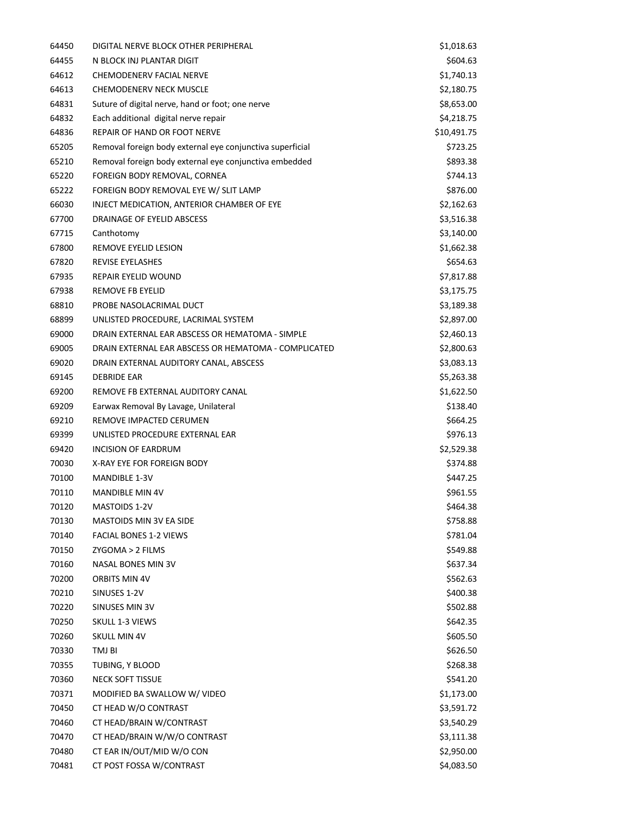| 64450 | DIGITAL NERVE BLOCK OTHER PERIPHERAL                      | \$1,018.63  |
|-------|-----------------------------------------------------------|-------------|
| 64455 | N BLOCK INJ PLANTAR DIGIT                                 | \$604.63    |
| 64612 | CHEMODENERV FACIAL NERVE                                  | \$1,740.13  |
| 64613 | <b>CHEMODENERV NECK MUSCLE</b>                            | \$2,180.75  |
| 64831 | Suture of digital nerve, hand or foot; one nerve          | \$8,653.00  |
| 64832 | Each additional digital nerve repair                      | \$4,218.75  |
| 64836 | REPAIR OF HAND OR FOOT NERVE                              | \$10,491.75 |
| 65205 | Removal foreign body external eye conjunctiva superficial | \$723.25    |
| 65210 | Removal foreign body external eye conjunctiva embedded    | \$893.38    |
| 65220 | FOREIGN BODY REMOVAL, CORNEA                              | \$744.13    |
| 65222 | FOREIGN BODY REMOVAL EYE W/ SLIT LAMP                     | \$876.00    |
| 66030 | INJECT MEDICATION, ANTERIOR CHAMBER OF EYE                | \$2,162.63  |
| 67700 | DRAINAGE OF EYELID ABSCESS                                | \$3,516.38  |
| 67715 | Canthotomy                                                | \$3,140.00  |
| 67800 | <b>REMOVE EYELID LESION</b>                               | \$1,662.38  |
| 67820 | <b>REVISE EYELASHES</b>                                   | \$654.63    |
| 67935 | <b>REPAIR EYELID WOUND</b>                                | \$7,817.88  |
| 67938 | <b>REMOVE FB EYELID</b>                                   | \$3,175.75  |
| 68810 | PROBE NASOLACRIMAL DUCT                                   | \$3,189.38  |
| 68899 | UNLISTED PROCEDURE, LACRIMAL SYSTEM                       | \$2,897.00  |
| 69000 | DRAIN EXTERNAL EAR ABSCESS OR HEMATOMA - SIMPLE           | \$2,460.13  |
| 69005 | DRAIN EXTERNAL EAR ABSCESS OR HEMATOMA - COMPLICATED      | \$2,800.63  |
| 69020 | DRAIN EXTERNAL AUDITORY CANAL, ABSCESS                    | \$3,083.13  |
| 69145 | <b>DEBRIDE EAR</b>                                        | \$5,263.38  |
| 69200 | REMOVE FB EXTERNAL AUDITORY CANAL                         | \$1,622.50  |
| 69209 | Earwax Removal By Lavage, Unilateral                      | \$138.40    |
| 69210 | REMOVE IMPACTED CERUMEN                                   | \$664.25    |
| 69399 | UNLISTED PROCEDURE EXTERNAL EAR                           | \$976.13    |
| 69420 | INCISION OF EARDRUM                                       | \$2,529.38  |
| 70030 | X-RAY EYE FOR FOREIGN BODY                                | \$374.88    |
| 70100 | <b>MANDIBLE 1-3V</b>                                      | \$447.25    |
| 70110 | <b>MANDIBLE MIN 4V</b>                                    | \$961.55    |
| 70120 | MASTOIDS 1-2V                                             | \$464.38    |
| 70130 | MASTOIDS MIN 3V EA SIDE                                   | \$758.88    |
| 70140 | <b>FACIAL BONES 1-2 VIEWS</b>                             | \$781.04    |
| 70150 | ZYGOMA > 2 FILMS                                          | \$549.88    |
| 70160 | NASAL BONES MIN 3V                                        | \$637.34    |
| 70200 | ORBITS MIN 4V                                             | \$562.63    |
| 70210 | SINUSES 1-2V                                              | \$400.38    |
| 70220 | SINUSES MIN 3V                                            | \$502.88    |
| 70250 | SKULL 1-3 VIEWS                                           | \$642.35    |
| 70260 | <b>SKULL MIN 4V</b>                                       | \$605.50    |
| 70330 | TMJ BI                                                    | \$626.50    |
| 70355 | TUBING, Y BLOOD                                           | \$268.38    |
| 70360 | <b>NECK SOFT TISSUE</b>                                   | \$541.20    |
| 70371 | MODIFIED BA SWALLOW W/ VIDEO                              | \$1,173.00  |
| 70450 | CT HEAD W/O CONTRAST                                      | \$3,591.72  |
| 70460 | CT HEAD/BRAIN W/CONTRAST                                  | \$3,540.29  |
| 70470 | CT HEAD/BRAIN W/W/O CONTRAST                              | \$3,111.38  |
| 70480 | CT EAR IN/OUT/MID W/O CON                                 | \$2,950.00  |
| 70481 | CT POST FOSSA W/CONTRAST                                  | \$4,083.50  |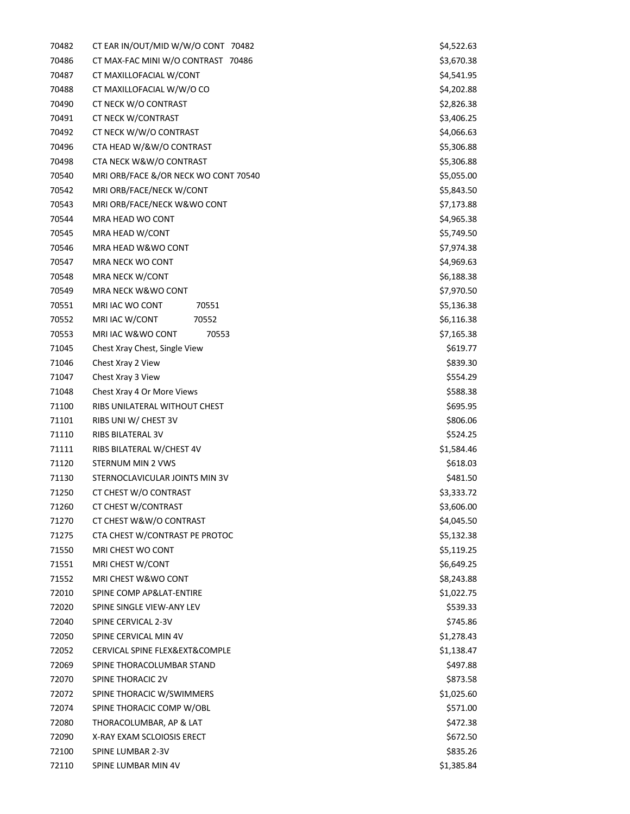| 70482 | CT EAR IN/OUT/MID W/W/O CONT 70482   | \$4,522.63 |
|-------|--------------------------------------|------------|
| 70486 | CT MAX-FAC MINI W/O CONTRAST 70486   | \$3,670.38 |
| 70487 | CT MAXILLOFACIAL W/CONT              | \$4,541.95 |
| 70488 | CT MAXILLOFACIAL W/W/O CO            | \$4,202.88 |
| 70490 | CT NECK W/O CONTRAST                 | \$2,826.38 |
| 70491 | CT NECK W/CONTRAST                   | \$3,406.25 |
| 70492 | CT NECK W/W/O CONTRAST               | \$4,066.63 |
| 70496 | CTA HEAD W/&W/O CONTRAST             | \$5,306.88 |
| 70498 | CTA NECK W&W/O CONTRAST              | \$5,306.88 |
| 70540 | MRI ORB/FACE &/OR NECK WO CONT 70540 | \$5,055.00 |
| 70542 | MRI ORB/FACE/NECK W/CONT             | \$5,843.50 |
| 70543 | MRI ORB/FACE/NECK W&WO CONT          | \$7,173.88 |
| 70544 | MRA HEAD WO CONT                     | \$4,965.38 |
| 70545 | MRA HEAD W/CONT                      | \$5,749.50 |
| 70546 | MRA HEAD W&WO CONT                   | \$7,974.38 |
| 70547 | MRA NECK WO CONT                     | \$4,969.63 |
| 70548 | MRA NECK W/CONT                      | \$6,188.38 |
| 70549 | MRA NECK W&WO CONT                   | \$7,970.50 |
| 70551 | MRI IAC WO CONT<br>70551             | \$5,136.38 |
| 70552 | MRI IAC W/CONT<br>70552              | \$6,116.38 |
| 70553 | MRI IAC W&WO CONT<br>70553           | \$7,165.38 |
| 71045 | Chest Xray Chest, Single View        | \$619.77   |
| 71046 | Chest Xray 2 View                    | \$839.30   |
| 71047 | Chest Xray 3 View                    | \$554.29   |
| 71048 | Chest Xray 4 Or More Views           | \$588.38   |
| 71100 | RIBS UNILATERAL WITHOUT CHEST        | \$695.95   |
| 71101 | RIBS UNI W/ CHEST 3V                 | \$806.06   |
| 71110 | RIBS BILATERAL 3V                    | \$524.25   |
| 71111 | RIBS BILATERAL W/CHEST 4V            | \$1,584.46 |
| 71120 | STERNUM MIN 2 VWS                    | \$618.03   |
| 71130 | STERNOCLAVICULAR JOINTS MIN 3V       | \$481.50   |
| 71250 | CT CHEST W/O CONTRAST                | \$3,333.72 |
| 71260 | CT CHEST W/CONTRAST                  | \$3,606.00 |
| 71270 | CT CHEST W&W/O CONTRAST              | \$4,045.50 |
| 71275 | CTA CHEST W/CONTRAST PE PROTOC       | \$5,132.38 |
| 71550 | MRI CHEST WO CONT                    | \$5,119.25 |
| 71551 | MRI CHEST W/CONT                     | \$6,649.25 |
| 71552 | MRI CHEST W&WO CONT                  | \$8,243.88 |
| 72010 | SPINE COMP AP&LAT-ENTIRE             | \$1,022.75 |
| 72020 | SPINE SINGLE VIEW-ANY LEV            | \$539.33   |
| 72040 | SPINE CERVICAL 2-3V                  | \$745.86   |
| 72050 | SPINE CERVICAL MIN 4V                | \$1,278.43 |
| 72052 | CERVICAL SPINE FLEX&EXT&COMPLE       | \$1,138.47 |
| 72069 | SPINE THORACOLUMBAR STAND            | \$497.88   |
| 72070 | SPINE THORACIC 2V                    | \$873.58   |
| 72072 | SPINE THORACIC W/SWIMMERS            | \$1,025.60 |
| 72074 | SPINE THORACIC COMP W/OBL            | \$571.00   |
| 72080 | THORACOLUMBAR, AP & LAT              | \$472.38   |
| 72090 | X-RAY EXAM SCLOIOSIS ERECT           | \$672.50   |
| 72100 | SPINE LUMBAR 2-3V                    | \$835.26   |
| 72110 | SPINE LUMBAR MIN 4V                  | \$1,385.84 |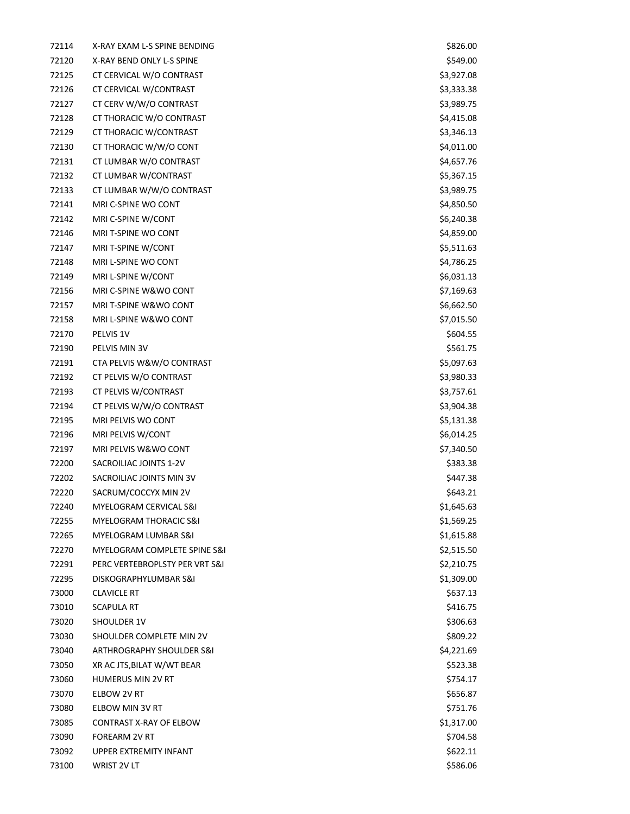| 72114 | X-RAY EXAM L-S SPINE BENDING      | \$826.00   |
|-------|-----------------------------------|------------|
| 72120 | X-RAY BEND ONLY L-S SPINE         | \$549.00   |
| 72125 | CT CERVICAL W/O CONTRAST          | \$3,927.08 |
| 72126 | CT CERVICAL W/CONTRAST            | \$3,333.38 |
| 72127 | CT CERV W/W/O CONTRAST            | \$3,989.75 |
| 72128 | CT THORACIC W/O CONTRAST          | \$4,415.08 |
| 72129 | CT THORACIC W/CONTRAST            | \$3,346.13 |
| 72130 | CT THORACIC W/W/O CONT            | \$4,011.00 |
| 72131 | CT LUMBAR W/O CONTRAST            | \$4,657.76 |
| 72132 | CT LUMBAR W/CONTRAST              | \$5,367.15 |
| 72133 | CT LUMBAR W/W/O CONTRAST          | \$3,989.75 |
| 72141 | MRI C-SPINE WO CONT               | \$4,850.50 |
| 72142 | MRI C-SPINE W/CONT                | \$6,240.38 |
| 72146 | MRI T-SPINE WO CONT               | \$4,859.00 |
| 72147 | MRI T-SPINE W/CONT                | \$5,511.63 |
| 72148 | MRI L-SPINE WO CONT               | \$4,786.25 |
| 72149 | MRI L-SPINE W/CONT                | \$6,031.13 |
| 72156 | MRI C-SPINE W&WO CONT             | \$7,169.63 |
| 72157 | MRI T-SPINE W&WO CONT             | \$6,662.50 |
| 72158 | MRI L-SPINE W&WO CONT             | \$7,015.50 |
| 72170 | PELVIS 1V                         | \$604.55   |
| 72190 | PELVIS MIN 3V                     | \$561.75   |
| 72191 | CTA PELVIS W&W/O CONTRAST         | \$5,097.63 |
| 72192 | CT PELVIS W/O CONTRAST            | \$3,980.33 |
| 72193 | CT PELVIS W/CONTRAST              | \$3,757.61 |
| 72194 | CT PELVIS W/W/O CONTRAST          | \$3,904.38 |
| 72195 | MRI PELVIS WO CONT                | \$5,131.38 |
| 72196 | MRI PELVIS W/CONT                 | \$6,014.25 |
| 72197 | MRI PELVIS W&WO CONT              | \$7,340.50 |
| 72200 | SACROILIAC JOINTS 1-2V            | \$383.38   |
| 72202 | SACROILIAC JOINTS MIN 3V          | \$447.38   |
| 72220 | SACRUM/COCCYX MIN 2V              | \$643.21   |
| 72240 | MYELOGRAM CERVICAL S&I            | \$1,645.63 |
| 72255 | <b>MYELOGRAM THORACIC S&amp;I</b> | \$1,569.25 |
| 72265 | MYELOGRAM LUMBAR S&I              | \$1,615.88 |
| 72270 | MYELOGRAM COMPLETE SPINE S&I      | \$2,515.50 |
| 72291 | PERC VERTEBROPLSTY PER VRT S&I    | \$2,210.75 |
| 72295 | DISKOGRAPHYLUMBAR S&I             | \$1,309.00 |
| 73000 | <b>CLAVICLE RT</b>                | \$637.13   |
| 73010 | SCAPULA RT                        | \$416.75   |
| 73020 | <b>SHOULDER 1V</b>                | \$306.63   |
| 73030 | SHOULDER COMPLETE MIN 2V          | \$809.22   |
| 73040 | ARTHROGRAPHY SHOULDER S&I         | \$4,221.69 |
| 73050 | XR AC JTS, BILAT W/WT BEAR        | \$523.38   |
| 73060 | <b>HUMERUS MIN 2V RT</b>          | \$754.17   |
| 73070 | ELBOW 2V RT                       | \$656.87   |
| 73080 | ELBOW MIN 3V RT                   | \$751.76   |
| 73085 | CONTRAST X-RAY OF ELBOW           | \$1,317.00 |
| 73090 | FOREARM 2V RT                     | \$704.58   |
| 73092 | UPPER EXTREMITY INFANT            | \$622.11   |
| 73100 | WRIST 2V LT                       | \$586.06   |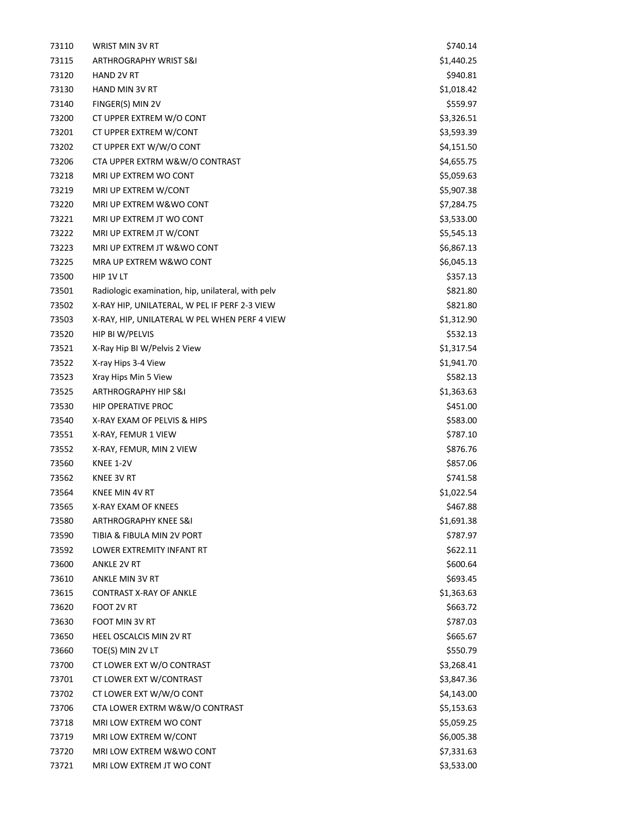| 73110 | WRIST MIN 3V RT                                    | \$740.14   |
|-------|----------------------------------------------------|------------|
| 73115 | ARTHROGRAPHY WRIST S&I                             | \$1,440.25 |
| 73120 | <b>HAND 2V RT</b>                                  | \$940.81   |
| 73130 | <b>HAND MIN 3V RT</b>                              | \$1,018.42 |
| 73140 | FINGER(S) MIN 2V                                   | \$559.97   |
| 73200 | CT UPPER EXTREM W/O CONT                           | \$3,326.51 |
| 73201 | CT UPPER EXTREM W/CONT                             | \$3,593.39 |
| 73202 | CT UPPER EXT W/W/O CONT                            | \$4,151.50 |
| 73206 | CTA UPPER EXTRM W&W/O CONTRAST                     | \$4,655.75 |
| 73218 | MRI UP EXTREM WO CONT                              | \$5,059.63 |
| 73219 | MRI UP EXTREM W/CONT                               | \$5,907.38 |
| 73220 | MRI UP EXTREM W&WO CONT                            | \$7,284.75 |
| 73221 | MRI UP EXTREM JT WO CONT                           | \$3,533.00 |
| 73222 | MRI UP EXTREM JT W/CONT                            | \$5,545.13 |
| 73223 | MRI UP EXTREM JT W&WO CONT                         | \$6,867.13 |
| 73225 | MRA UP EXTREM W&WO CONT                            | \$6,045.13 |
| 73500 | HIP 1V LT                                          | \$357.13   |
| 73501 | Radiologic examination, hip, unilateral, with pelv | \$821.80   |
| 73502 | X-RAY HIP, UNILATERAL, W PEL IF PERF 2-3 VIEW      | \$821.80   |
| 73503 | X-RAY, HIP, UNILATERAL W PEL WHEN PERF 4 VIEW      | \$1,312.90 |
| 73520 | HIP BI W/PELVIS                                    | \$532.13   |
| 73521 | X-Ray Hip BI W/Pelvis 2 View                       | \$1,317.54 |
| 73522 | X-ray Hips 3-4 View                                | \$1,941.70 |
| 73523 | Xray Hips Min 5 View                               | \$582.13   |
| 73525 | ARTHROGRAPHY HIP S&I                               | \$1,363.63 |
| 73530 | <b>HIP OPERATIVE PROC</b>                          | \$451.00   |
| 73540 | X-RAY EXAM OF PELVIS & HIPS                        | \$583.00   |
| 73551 | X-RAY, FEMUR 1 VIEW                                | \$787.10   |
| 73552 | X-RAY, FEMUR, MIN 2 VIEW                           | \$876.76   |
| 73560 | <b>KNEE 1-2V</b>                                   | \$857.06   |
| 73562 | KNEE 3V RT                                         | \$741.58   |
| 73564 | KNEE MIN 4V RT                                     | \$1,022.54 |
| 73565 | X-RAY EXAM OF KNEES                                | \$467.88   |
| 73580 | <b>ARTHROGRAPHY KNEE S&amp;I</b>                   | \$1,691.38 |
| 73590 | TIBIA & FIBULA MIN 2V PORT                         | \$787.97   |
| 73592 | LOWER EXTREMITY INFANT RT                          | \$622.11   |
| 73600 | <b>ANKLE 2V RT</b>                                 | \$600.64   |
| 73610 | ANKLE MIN 3V RT                                    | \$693.45   |
| 73615 | <b>CONTRAST X-RAY OF ANKLE</b>                     | \$1,363.63 |
| 73620 | FOOT 2V RT                                         | \$663.72   |
| 73630 | FOOT MIN 3V RT                                     | \$787.03   |
| 73650 | HEEL OSCALCIS MIN 2V RT                            | \$665.67   |
| 73660 | TOE(S) MIN 2V LT                                   | \$550.79   |
| 73700 | CT LOWER EXT W/O CONTRAST                          | \$3,268.41 |
| 73701 | CT LOWER EXT W/CONTRAST                            | \$3,847.36 |
| 73702 | CT LOWER EXT W/W/O CONT                            | \$4,143.00 |
| 73706 | CTA LOWER EXTRM W&W/O CONTRAST                     | \$5,153.63 |
| 73718 | MRI LOW EXTREM WO CONT                             | \$5,059.25 |
| 73719 | MRI LOW EXTREM W/CONT                              | \$6,005.38 |
| 73720 | MRI LOW EXTREM W&WO CONT                           | \$7,331.63 |
| 73721 | MRI LOW EXTREM JT WO CONT                          | \$3,533.00 |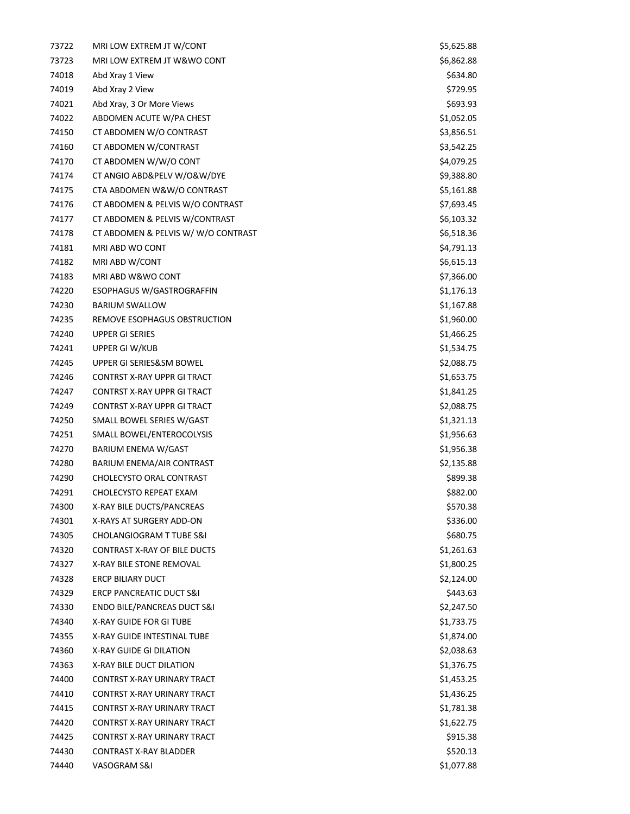| 73722 | MRI LOW EXTREM JT W/CONT            | \$5,625.88 |
|-------|-------------------------------------|------------|
| 73723 | MRI LOW EXTREM JT W&WO CONT         | \$6,862.88 |
| 74018 | Abd Xray 1 View                     | \$634.80   |
| 74019 | Abd Xray 2 View                     | \$729.95   |
| 74021 | Abd Xray, 3 Or More Views           | \$693.93   |
| 74022 | ABDOMEN ACUTE W/PA CHEST            | \$1,052.05 |
| 74150 | CT ABDOMEN W/O CONTRAST             | \$3,856.51 |
| 74160 | CT ABDOMEN W/CONTRAST               | \$3,542.25 |
| 74170 | CT ABDOMEN W/W/O CONT               | \$4,079.25 |
| 74174 | CT ANGIO ABD&PELV W/O&W/DYE         | \$9,388.80 |
| 74175 | CTA ABDOMEN W&W/O CONTRAST          | \$5,161.88 |
| 74176 | CT ABDOMEN & PELVIS W/O CONTRAST    | \$7,693.45 |
| 74177 | CT ABDOMEN & PELVIS W/CONTRAST      | \$6,103.32 |
| 74178 | CT ABDOMEN & PELVIS W/W/O CONTRAST  | \$6,518.36 |
| 74181 | MRI ABD WO CONT                     | \$4,791.13 |
| 74182 | MRI ABD W/CONT                      | \$6,615.13 |
| 74183 | MRI ABD W&WO CONT                   | \$7,366.00 |
| 74220 | <b>ESOPHAGUS W/GASTROGRAFFIN</b>    | \$1,176.13 |
| 74230 | <b>BARIUM SWALLOW</b>               | \$1,167.88 |
| 74235 | REMOVE ESOPHAGUS OBSTRUCTION        | \$1,960.00 |
| 74240 | <b>UPPER GI SERIES</b>              | \$1,466.25 |
| 74241 | UPPER GI W/KUB                      | \$1,534.75 |
| 74245 | UPPER GI SERIES&SM BOWEL            | \$2,088.75 |
| 74246 | CONTRST X-RAY UPPR GI TRACT         | \$1,653.75 |
| 74247 | CONTRST X-RAY UPPR GI TRACT         | \$1,841.25 |
| 74249 | CONTRST X-RAY UPPR GI TRACT         | \$2,088.75 |
| 74250 | SMALL BOWEL SERIES W/GAST           | \$1,321.13 |
| 74251 | SMALL BOWEL/ENTEROCOLYSIS           | \$1,956.63 |
| 74270 | BARIUM ENEMA W/GAST                 | \$1,956.38 |
| 74280 | <b>BARIUM ENEMA/AIR CONTRAST</b>    | \$2,135.88 |
| 74290 | CHOLECYSTO ORAL CONTRAST            | \$899.38   |
| 74291 | <b>CHOLECYSTO REPEAT EXAM</b>       | \$882.00   |
| 74300 | X-RAY BILE DUCTS/PANCREAS           | \$570.38   |
| 74301 | X-RAYS AT SURGERY ADD-ON            | \$336.00   |
| 74305 | CHOLANGIOGRAM T TUBE S&I            | \$680.75   |
| 74320 | <b>CONTRAST X-RAY OF BILE DUCTS</b> | \$1,261.63 |
| 74327 | X-RAY BILE STONE REMOVAL            | \$1,800.25 |
| 74328 | <b>ERCP BILIARY DUCT</b>            | \$2,124.00 |
| 74329 | <b>ERCP PANCREATIC DUCT S&amp;I</b> | \$443.63   |
| 74330 | ENDO BILE/PANCREAS DUCT S&I         | \$2,247.50 |
| 74340 | <b>X-RAY GUIDE FOR GITUBE</b>       | \$1,733.75 |
| 74355 | X-RAY GUIDE INTESTINAL TUBE         | \$1,874.00 |
| 74360 | X-RAY GUIDE GI DILATION             | \$2,038.63 |
| 74363 | X-RAY BILE DUCT DILATION            | \$1,376.75 |
| 74400 | CONTRST X-RAY URINARY TRACT         | \$1,453.25 |
| 74410 | CONTRST X-RAY URINARY TRACT         | \$1,436.25 |
| 74415 | CONTRST X-RAY URINARY TRACT         | \$1,781.38 |
| 74420 | CONTRST X-RAY URINARY TRACT         | \$1,622.75 |
| 74425 | CONTRST X-RAY URINARY TRACT         | \$915.38   |
| 74430 | <b>CONTRAST X-RAY BLADDER</b>       | \$520.13   |
| 74440 | VASOGRAM S&I                        | \$1,077.88 |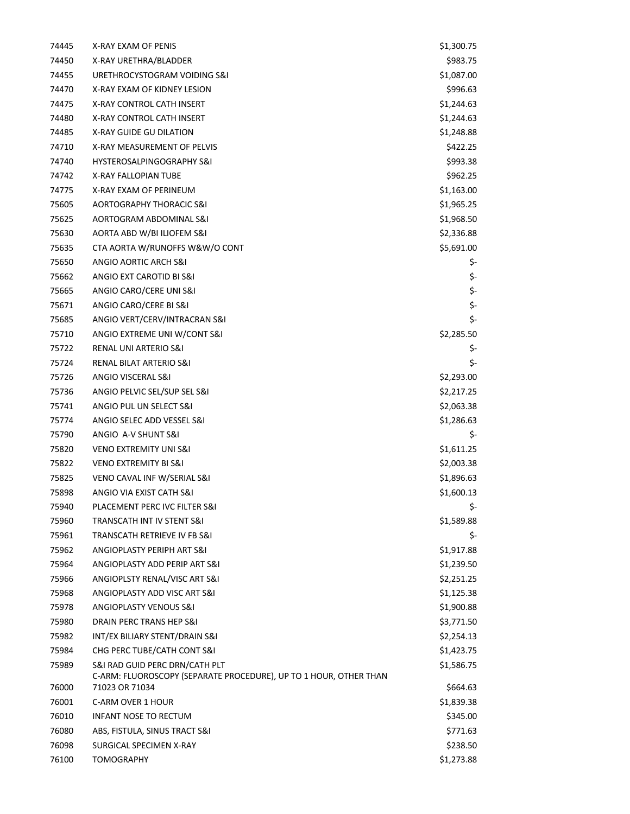| 74445 | X-RAY EXAM OF PENIS                                                                 | \$1,300.75 |
|-------|-------------------------------------------------------------------------------------|------------|
| 74450 | X-RAY URETHRA/BLADDER                                                               | \$983.75   |
| 74455 | URETHROCYSTOGRAM VOIDING S&I                                                        | \$1,087.00 |
| 74470 | X-RAY EXAM OF KIDNEY LESION                                                         | \$996.63   |
| 74475 | X-RAY CONTROL CATH INSERT                                                           | \$1,244.63 |
| 74480 | X-RAY CONTROL CATH INSERT                                                           | \$1,244.63 |
| 74485 | X-RAY GUIDE GU DILATION                                                             | \$1,248.88 |
| 74710 | X-RAY MEASUREMENT OF PELVIS                                                         | \$422.25   |
| 74740 | <b>HYSTEROSALPINGOGRAPHY S&amp;I</b>                                                | \$993.38   |
| 74742 | <b>X-RAY FALLOPIAN TUBE</b>                                                         | \$962.25   |
| 74775 | X-RAY EXAM OF PERINEUM                                                              | \$1,163.00 |
| 75605 | AORTOGRAPHY THORACIC S&I                                                            | \$1,965.25 |
| 75625 | AORTOGRAM ABDOMINAL S&I                                                             | \$1,968.50 |
| 75630 | AORTA ABD W/BI ILIOFEM S&I                                                          | \$2,336.88 |
| 75635 | CTA AORTA W/RUNOFFS W&W/O CONT                                                      | \$5,691.00 |
| 75650 | ANGIO AORTIC ARCH S&I                                                               | \$-        |
| 75662 | ANGIO EXT CAROTID BI S&I                                                            | \$-        |
| 75665 | ANGIO CARO/CERE UNI S&I                                                             | \$-        |
| 75671 | ANGIO CARO/CERE BI S&I                                                              | \$-        |
| 75685 | ANGIO VERT/CERV/INTRACRAN S&I                                                       | \$-        |
| 75710 | ANGIO EXTREME UNI W/CONT S&I                                                        | \$2,285.50 |
| 75722 | RENAL UNI ARTERIO S&I                                                               | \$-        |
| 75724 | RENAL BILAT ARTERIO S&I                                                             | \$-        |
| 75726 | ANGIO VISCERAL S&I                                                                  | \$2,293.00 |
| 75736 | ANGIO PELVIC SEL/SUP SEL S&I                                                        | \$2,217.25 |
| 75741 | ANGIO PUL UN SELECT S&I                                                             | \$2,063.38 |
| 75774 | ANGIO SELEC ADD VESSEL S&I                                                          | \$1,286.63 |
| 75790 | ANGIO A-V SHUNT S&I                                                                 | \$-        |
| 75820 | <b>VENO EXTREMITY UNI S&amp;I</b>                                                   | \$1,611.25 |
| 75822 | <b>VENO EXTREMITY BI S&amp;I</b>                                                    | \$2,003.38 |
| 75825 | VENO CAVAL INF W/SERIAL S&I                                                         | \$1,896.63 |
| 75898 | ANGIO VIA EXIST CATH S&I                                                            | \$1,600.13 |
| 75940 | PLACEMENT PERC IVC FILTER S&I                                                       | \$-        |
| 75960 | TRANSCATH INT IV STENT S&I                                                          | \$1,589.88 |
| 75961 | TRANSCATH RETRIEVE IV FB S&I                                                        | \$-        |
| 75962 | ANGIOPLASTY PERIPH ART S&I                                                          | \$1,917.88 |
| 75964 | ANGIOPLASTY ADD PERIP ART S&I                                                       | \$1,239.50 |
| 75966 | ANGIOPLSTY RENAL/VISC ART S&I                                                       | \$2,251.25 |
| 75968 | ANGIOPLASTY ADD VISC ART S&I                                                        | \$1,125.38 |
| 75978 | ANGIOPLASTY VENOUS S&I                                                              | \$1,900.88 |
| 75980 | DRAIN PERC TRANS HEP S&I                                                            | \$3,771.50 |
| 75982 | INT/EX BILIARY STENT/DRAIN S&I                                                      | \$2,254.13 |
| 75984 | CHG PERC TUBE/CATH CONT S&I                                                         | \$1,423.75 |
| 75989 | S&I RAD GUID PERC DRN/CATH PLT                                                      | \$1,586.75 |
| 76000 | C-ARM: FLUOROSCOPY (SEPARATE PROCEDURE), UP TO 1 HOUR, OTHER THAN<br>71023 OR 71034 | \$664.63   |
| 76001 | C-ARM OVER 1 HOUR                                                                   | \$1,839.38 |
| 76010 | <b>INFANT NOSE TO RECTUM</b>                                                        | \$345.00   |
| 76080 | ABS, FISTULA, SINUS TRACT S&I                                                       | \$771.63   |
| 76098 | SURGICAL SPECIMEN X-RAY                                                             | \$238.50   |
| 76100 | <b>TOMOGRAPHY</b>                                                                   | \$1,273.88 |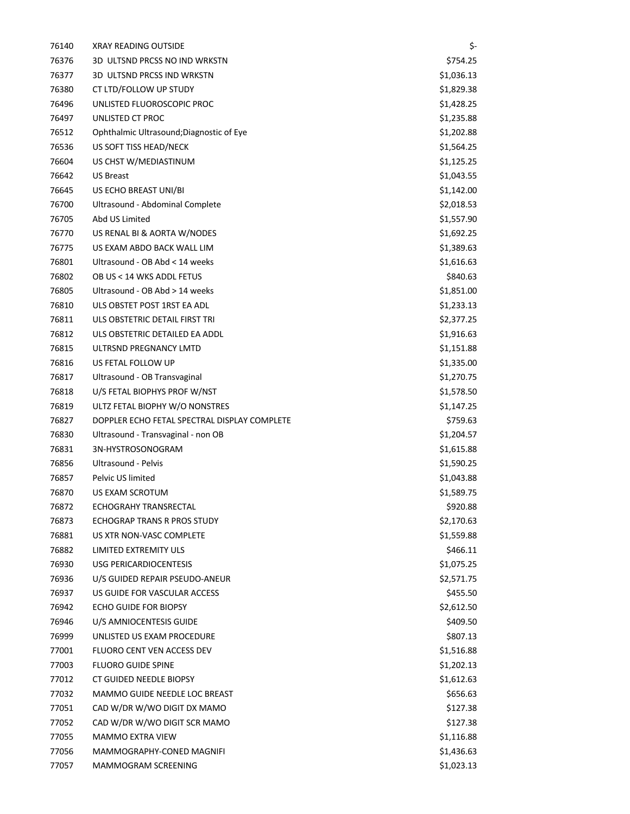| 76140 | <b>XRAY READING OUTSIDE</b>                  | \$-        |
|-------|----------------------------------------------|------------|
| 76376 | 3D ULTSND PRCSS NO IND WRKSTN                | \$754.25   |
| 76377 | 3D ULTSND PRCSS IND WRKSTN                   | \$1,036.13 |
| 76380 | CT LTD/FOLLOW UP STUDY                       | \$1,829.38 |
| 76496 | UNLISTED FLUOROSCOPIC PROC                   | \$1,428.25 |
| 76497 | UNLISTED CT PROC                             | \$1,235.88 |
| 76512 | Ophthalmic Ultrasound; Diagnostic of Eye     | \$1,202.88 |
| 76536 | US SOFT TISS HEAD/NECK                       | \$1,564.25 |
| 76604 | US CHST W/MEDIASTINUM                        | \$1,125.25 |
| 76642 | <b>US Breast</b>                             | \$1,043.55 |
| 76645 | US ECHO BREAST UNI/BI                        | \$1,142.00 |
| 76700 | Ultrasound - Abdominal Complete              | \$2,018.53 |
| 76705 | Abd US Limited                               | \$1,557.90 |
| 76770 | US RENAL BI & AORTA W/NODES                  | \$1,692.25 |
| 76775 | US EXAM ABDO BACK WALL LIM                   | \$1,389.63 |
| 76801 | Ultrasound - OB Abd < 14 weeks               | \$1,616.63 |
| 76802 | OB US < 14 WKS ADDL FETUS                    | \$840.63   |
| 76805 | Ultrasound - OB Abd > 14 weeks               | \$1,851.00 |
| 76810 | ULS OBSTET POST 1RST EA ADL                  | \$1,233.13 |
| 76811 | ULS OBSTETRIC DETAIL FIRST TRI               | \$2,377.25 |
| 76812 | ULS OBSTETRIC DETAILED EA ADDL               | \$1,916.63 |
| 76815 | ULTRSND PREGNANCY LMTD                       | \$1,151.88 |
| 76816 | US FETAL FOLLOW UP                           | \$1,335.00 |
| 76817 | Ultrasound - OB Transvaginal                 | \$1,270.75 |
| 76818 | U/S FETAL BIOPHYS PROF W/NST                 | \$1,578.50 |
| 76819 | ULTZ FETAL BIOPHY W/O NONSTRES               | \$1,147.25 |
| 76827 | DOPPLER ECHO FETAL SPECTRAL DISPLAY COMPLETE | \$759.63   |
| 76830 | Ultrasound - Transvaginal - non OB           | \$1,204.57 |
| 76831 | 3N-HYSTROSONOGRAM                            | \$1,615.88 |
| 76856 | Ultrasound - Pelvis                          | \$1,590.25 |
| 76857 | Pelvic US limited                            | \$1,043.88 |
| 76870 | US EXAM SCROTUM                              | \$1,589.75 |
| 76872 | <b>ECHOGRAHY TRANSRECTAL</b>                 | \$920.88   |
| 76873 | ECHOGRAP TRANS R PROS STUDY                  | \$2,170.63 |
| 76881 | US XTR NON-VASC COMPLETE                     | \$1,559.88 |
| 76882 | LIMITED EXTREMITY ULS                        | \$466.11   |
| 76930 | USG PERICARDIOCENTESIS                       | \$1,075.25 |
| 76936 | U/S GUIDED REPAIR PSEUDO-ANEUR               | \$2,571.75 |
| 76937 | US GUIDE FOR VASCULAR ACCESS                 | \$455.50   |
| 76942 | <b>ECHO GUIDE FOR BIOPSY</b>                 | \$2,612.50 |
| 76946 | U/S AMNIOCENTESIS GUIDE                      | \$409.50   |
| 76999 | UNLISTED US EXAM PROCEDURE                   | \$807.13   |
| 77001 | FLUORO CENT VEN ACCESS DEV                   | \$1,516.88 |
| 77003 | <b>FLUORO GUIDE SPINE</b>                    | \$1,202.13 |
| 77012 | CT GUIDED NEEDLE BIOPSY                      | \$1,612.63 |
| 77032 | MAMMO GUIDE NEEDLE LOC BREAST                | \$656.63   |
| 77051 | CAD W/DR W/WO DIGIT DX MAMO                  | \$127.38   |
| 77052 | CAD W/DR W/WO DIGIT SCR MAMO                 | \$127.38   |
| 77055 | <b>MAMMO EXTRA VIEW</b>                      | \$1,116.88 |
| 77056 | MAMMOGRAPHY-CONED MAGNIFI                    | \$1,436.63 |
| 77057 | MAMMOGRAM SCREENING                          | \$1,023.13 |
|       |                                              |            |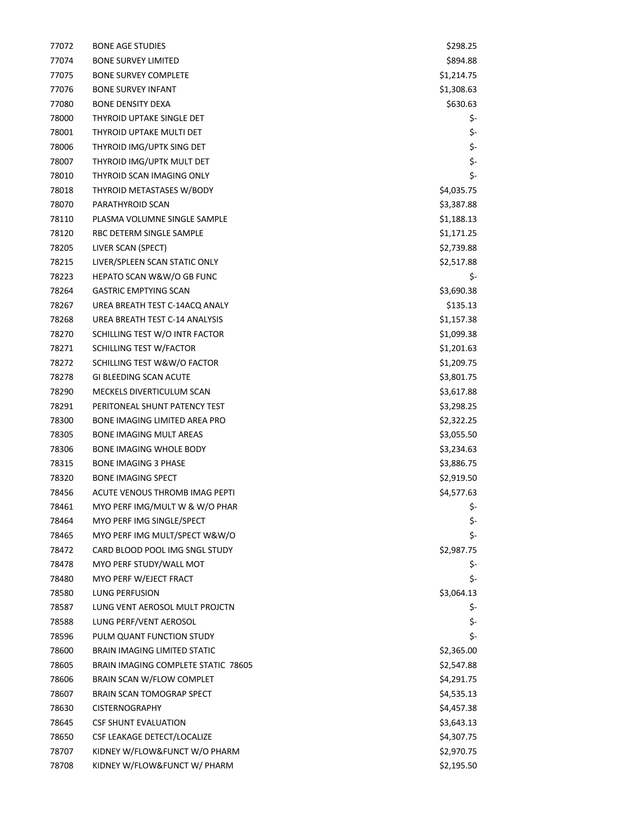| 77072 | <b>BONE AGE STUDIES</b>              | \$298.25   |
|-------|--------------------------------------|------------|
| 77074 | <b>BONE SURVEY LIMITED</b>           | \$894.88   |
| 77075 | <b>BONE SURVEY COMPLETE</b>          | \$1,214.75 |
| 77076 | <b>BONE SURVEY INFANT</b>            | \$1,308.63 |
| 77080 | <b>BONE DENSITY DEXA</b>             | \$630.63   |
| 78000 | THYROID UPTAKE SINGLE DET            | \$-        |
| 78001 | THYROID UPTAKE MULTI DET             | \$-        |
| 78006 | THYROID IMG/UPTK SING DET            | \$-        |
| 78007 | THYROID IMG/UPTK MULT DET            | \$-        |
| 78010 | THYROID SCAN IMAGING ONLY            | \$-        |
| 78018 | THYROID METASTASES W/BODY            | \$4,035.75 |
| 78070 | PARATHYROID SCAN                     | \$3,387.88 |
| 78110 | PLASMA VOLUMNE SINGLE SAMPLE         | \$1,188.13 |
| 78120 | RBC DETERM SINGLE SAMPLE             | \$1,171.25 |
| 78205 | LIVER SCAN (SPECT)                   | \$2,739.88 |
| 78215 | LIVER/SPLEEN SCAN STATIC ONLY        | \$2,517.88 |
| 78223 | HEPATO SCAN W&W/O GB FUNC            | \$-        |
| 78264 | <b>GASTRIC EMPTYING SCAN</b>         | \$3,690.38 |
| 78267 | UREA BREATH TEST C-14ACQ ANALY       | \$135.13   |
| 78268 | UREA BREATH TEST C-14 ANALYSIS       | \$1,157.38 |
| 78270 | SCHILLING TEST W/O INTR FACTOR       | \$1,099.38 |
| 78271 | SCHILLING TEST W/FACTOR              | \$1,201.63 |
| 78272 | SCHILLING TEST W&W/O FACTOR          | \$1,209.75 |
| 78278 | <b>GI BLEEDING SCAN ACUTE</b>        | \$3,801.75 |
| 78290 | MECKELS DIVERTICULUM SCAN            | \$3,617.88 |
| 78291 | PERITONEAL SHUNT PATENCY TEST        | \$3,298.25 |
| 78300 | <b>BONE IMAGING LIMITED AREA PRO</b> | \$2,322.25 |
| 78305 | <b>BONE IMAGING MULT AREAS</b>       | \$3,055.50 |
| 78306 | <b>BONE IMAGING WHOLE BODY</b>       | \$3,234.63 |
| 78315 | <b>BONE IMAGING 3 PHASE</b>          | \$3,886.75 |
| 78320 | <b>BONE IMAGING SPECT</b>            | \$2,919.50 |
| 78456 | ACUTE VENOUS THROMB IMAG PEPTI       | \$4,577.63 |
| 78461 | MYO PERF IMG/MULT W & W/O PHAR       | \$-        |
| 78464 | MYO PERF IMG SINGLE/SPECT            | \$-        |
| 78465 | MYO PERF IMG MULT/SPECT W&W/O        | \$-        |
| 78472 | CARD BLOOD POOL IMG SNGL STUDY       | \$2,987.75 |
| 78478 | MYO PERF STUDY/WALL MOT              | \$-        |
| 78480 | MYO PERF W/EJECT FRACT               | \$-        |
| 78580 | <b>LUNG PERFUSION</b>                | \$3,064.13 |
| 78587 | LUNG VENT AEROSOL MULT PROJCTN       | \$-        |
| 78588 | LUNG PERF/VENT AEROSOL               | \$-        |
| 78596 | PULM QUANT FUNCTION STUDY            | \$-        |
| 78600 | <b>BRAIN IMAGING LIMITED STATIC</b>  | \$2,365.00 |
| 78605 | BRAIN IMAGING COMPLETE STATIC 78605  | \$2,547.88 |
| 78606 | BRAIN SCAN W/FLOW COMPLET            | \$4,291.75 |
| 78607 | BRAIN SCAN TOMOGRAP SPECT            | \$4,535.13 |
| 78630 | <b>CISTERNOGRAPHY</b>                | \$4,457.38 |
| 78645 | <b>CSF SHUNT EVALUATION</b>          | \$3,643.13 |
| 78650 | CSF LEAKAGE DETECT/LOCALIZE          | \$4,307.75 |
| 78707 | KIDNEY W/FLOW&FUNCT W/O PHARM        | \$2,970.75 |
| 78708 | KIDNEY W/FLOW&FUNCT W/ PHARM         | \$2,195.50 |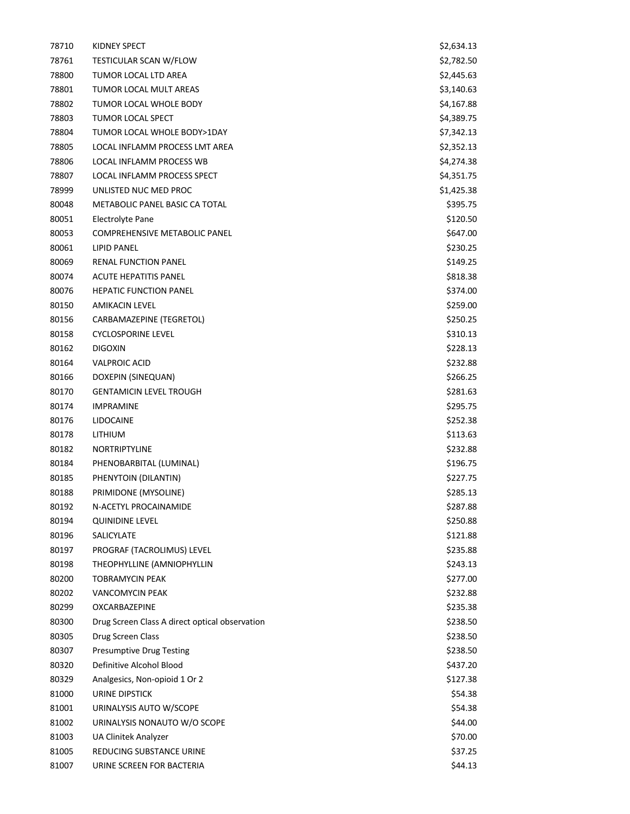| 78710 | KIDNEY SPECT                                   | \$2,634.13 |
|-------|------------------------------------------------|------------|
| 78761 | TESTICULAR SCAN W/FLOW                         | \$2,782.50 |
| 78800 | TUMOR LOCAL LTD AREA                           | \$2,445.63 |
| 78801 | TUMOR LOCAL MULT AREAS                         | \$3,140.63 |
| 78802 | TUMOR LOCAL WHOLE BODY                         | \$4,167.88 |
| 78803 | <b>TUMOR LOCAL SPECT</b>                       | \$4,389.75 |
| 78804 | TUMOR LOCAL WHOLE BODY>1DAY                    | \$7,342.13 |
| 78805 | LOCAL INFLAMM PROCESS LMT AREA                 | \$2,352.13 |
| 78806 | LOCAL INFLAMM PROCESS WB                       | \$4,274.38 |
| 78807 | <b>LOCAL INFLAMM PROCESS SPECT</b>             | \$4,351.75 |
| 78999 | UNLISTED NUC MED PROC                          | \$1,425.38 |
| 80048 | METABOLIC PANEL BASIC CA TOTAL                 | \$395.75   |
| 80051 | Electrolyte Pane                               | \$120.50   |
| 80053 | <b>COMPREHENSIVE METABOLIC PANEL</b>           | \$647.00   |
| 80061 | <b>LIPID PANEL</b>                             | \$230.25   |
| 80069 | RENAL FUNCTION PANEL                           | \$149.25   |
| 80074 | ACUTE HEPATITIS PANEL                          | \$818.38   |
| 80076 | <b>HEPATIC FUNCTION PANEL</b>                  | \$374.00   |
| 80150 | AMIKACIN LEVEL                                 | \$259.00   |
| 80156 | CARBAMAZEPINE (TEGRETOL)                       | \$250.25   |
| 80158 | <b>CYCLOSPORINE LEVEL</b>                      | \$310.13   |
| 80162 | <b>DIGOXIN</b>                                 | \$228.13   |
| 80164 | <b>VALPROIC ACID</b>                           | \$232.88   |
| 80166 | DOXEPIN (SINEQUAN)                             | \$266.25   |
| 80170 | <b>GENTAMICIN LEVEL TROUGH</b>                 | \$281.63   |
| 80174 | <b>IMPRAMINE</b>                               | \$295.75   |
| 80176 | <b>LIDOCAINE</b>                               | \$252.38   |
| 80178 | LITHIUM                                        | \$113.63   |
| 80182 | <b>NORTRIPTYLINE</b>                           | \$232.88   |
| 80184 | PHENOBARBITAL (LUMINAL)                        | \$196.75   |
| 80185 | PHENYTOIN (DILANTIN)                           | \$227.75   |
| 80188 | PRIMIDONE (MYSOLINE)                           | \$285.13   |
| 80192 | N-ACETYL PROCAINAMIDE                          | \$287.88   |
| 80194 | <b>QUINIDINE LEVEL</b>                         | \$250.88   |
| 80196 | <b>SALICYLATE</b>                              | \$121.88   |
| 80197 | PROGRAF (TACROLIMUS) LEVEL                     | \$235.88   |
| 80198 | THEOPHYLLINE (AMNIOPHYLLIN                     | \$243.13   |
| 80200 | TOBRAMYCIN PEAK                                | \$277.00   |
| 80202 | <b>VANCOMYCIN PEAK</b>                         | \$232.88   |
| 80299 | <b>OXCARBAZEPINE</b>                           | \$235.38   |
| 80300 | Drug Screen Class A direct optical observation | \$238.50   |
| 80305 | Drug Screen Class                              | \$238.50   |
| 80307 | <b>Presumptive Drug Testing</b>                | \$238.50   |
| 80320 | Definitive Alcohol Blood                       | \$437.20   |
| 80329 | Analgesics, Non-opioid 1 Or 2                  | \$127.38   |
| 81000 | URINE DIPSTICK                                 | \$54.38    |
| 81001 | URINALYSIS AUTO W/SCOPE                        | \$54.38    |
| 81002 | URINALYSIS NONAUTO W/O SCOPE                   | \$44.00    |
| 81003 | <b>UA Clinitek Analyzer</b>                    | \$70.00    |
| 81005 | REDUCING SUBSTANCE URINE                       | \$37.25    |
| 81007 | URINE SCREEN FOR BACTERIA                      | \$44.13    |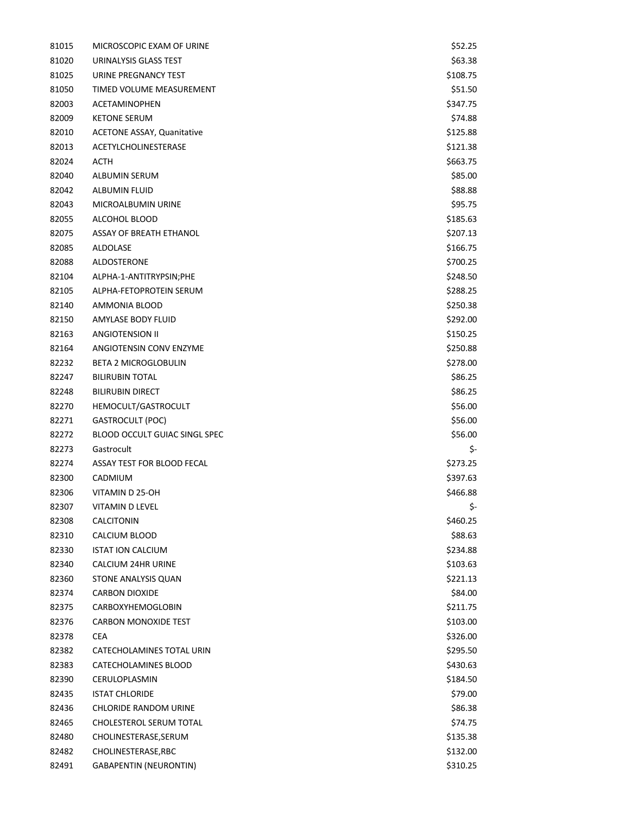| 81015 | MICROSCOPIC EXAM OF URINE            | \$52.25  |
|-------|--------------------------------------|----------|
| 81020 | URINALYSIS GLASS TEST                | \$63.38  |
| 81025 | URINE PREGNANCY TEST                 | \$108.75 |
| 81050 | TIMED VOLUME MEASUREMENT             | \$51.50  |
| 82003 | <b>ACETAMINOPHEN</b>                 | \$347.75 |
| 82009 | <b>KETONE SERUM</b>                  | \$74.88  |
| 82010 | <b>ACETONE ASSAY, Quanitative</b>    | \$125.88 |
| 82013 | <b>ACETYLCHOLINESTERASE</b>          | \$121.38 |
| 82024 | <b>ACTH</b>                          | \$663.75 |
| 82040 | ALBUMIN SERUM                        | \$85.00  |
| 82042 | <b>ALBUMIN FLUID</b>                 | \$88.88  |
| 82043 | MICROALBUMIN URINE                   | \$95.75  |
| 82055 | ALCOHOL BLOOD                        | \$185.63 |
| 82075 | ASSAY OF BREATH ETHANOL              | \$207.13 |
| 82085 | ALDOLASE                             | \$166.75 |
| 82088 | ALDOSTERONE                          | \$700.25 |
| 82104 | ALPHA-1-ANTITRYPSIN;PHE              | \$248.50 |
| 82105 | ALPHA-FETOPROTEIN SERUM              | \$288.25 |
| 82140 | AMMONIA BLOOD                        | \$250.38 |
| 82150 | AMYLASE BODY FLUID                   | \$292.00 |
| 82163 | <b>ANGIOTENSION II</b>               | \$150.25 |
| 82164 | ANGIOTENSIN CONV ENZYME              | \$250.88 |
| 82232 | <b>BETA 2 MICROGLOBULIN</b>          | \$278.00 |
| 82247 | <b>BILIRUBIN TOTAL</b>               | \$86.25  |
| 82248 | <b>BILIRUBIN DIRECT</b>              | \$86.25  |
| 82270 | HEMOCULT/GASTROCULT                  | \$56.00  |
| 82271 | <b>GASTROCULT (POC)</b>              | \$56.00  |
| 82272 | <b>BLOOD OCCULT GUIAC SINGL SPEC</b> | \$56.00  |
| 82273 | Gastrocult                           | \$-      |
| 82274 | ASSAY TEST FOR BLOOD FECAL           | \$273.25 |
| 82300 | CADMIUM                              | \$397.63 |
| 82306 | VITAMIN D 25-OH                      | \$466.88 |
| 82307 | VITAMIN D LEVEL                      | \$-      |
| 82308 | CALCITONIN                           | \$460.25 |
| 82310 | CALCIUM BLOOD                        | \$88.63  |
| 82330 | <b>ISTAT ION CALCIUM</b>             | \$234.88 |
| 82340 | <b>CALCIUM 24HR URINE</b>            | \$103.63 |
| 82360 | STONE ANALYSIS QUAN                  | \$221.13 |
| 82374 | <b>CARBON DIOXIDE</b>                | \$84.00  |
| 82375 | CARBOXYHEMOGLOBIN                    | \$211.75 |
| 82376 | <b>CARBON MONOXIDE TEST</b>          | \$103.00 |
| 82378 | <b>CEA</b>                           | \$326.00 |
| 82382 | CATECHOLAMINES TOTAL URIN            | \$295.50 |
| 82383 | CATECHOLAMINES BLOOD                 | \$430.63 |
| 82390 | CERULOPLASMIN                        | \$184.50 |
| 82435 | <b>ISTAT CHLORIDE</b>                | \$79.00  |
| 82436 | <b>CHLORIDE RANDOM URINE</b>         | \$86.38  |
| 82465 | CHOLESTEROL SERUM TOTAL              | \$74.75  |
| 82480 | CHOLINESTERASE, SERUM                | \$135.38 |
| 82482 | CHOLINESTERASE, RBC                  | \$132.00 |
| 82491 | <b>GABAPENTIN (NEURONTIN)</b>        | \$310.25 |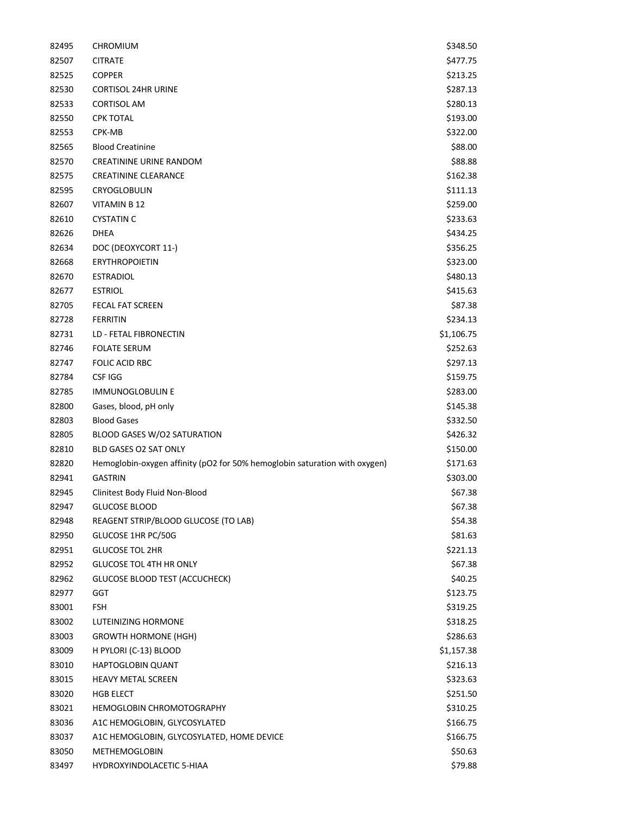| 82495 | <b>CHROMIUM</b>                                                            | \$348.50   |
|-------|----------------------------------------------------------------------------|------------|
| 82507 | <b>CITRATE</b>                                                             | \$477.75   |
| 82525 | <b>COPPER</b>                                                              | \$213.25   |
| 82530 | <b>CORTISOL 24HR URINE</b>                                                 | \$287.13   |
| 82533 | <b>CORTISOL AM</b>                                                         | \$280.13   |
| 82550 | <b>CPK TOTAL</b>                                                           | \$193.00   |
| 82553 | CPK-MB                                                                     | \$322.00   |
| 82565 | <b>Blood Creatinine</b>                                                    | \$88.00    |
| 82570 | CREATININE URINE RANDOM                                                    | \$88.88    |
| 82575 | CREATININE CLEARANCE                                                       | \$162.38   |
| 82595 | CRYOGLOBULIN                                                               | \$111.13   |
| 82607 | <b>VITAMIN B 12</b>                                                        | \$259.00   |
| 82610 | <b>CYSTATIN C</b>                                                          | \$233.63   |
| 82626 | <b>DHEA</b>                                                                | \$434.25   |
| 82634 | DOC (DEOXYCORT 11-)                                                        | \$356.25   |
| 82668 | <b>ERYTHROPOIETIN</b>                                                      | \$323.00   |
| 82670 | <b>ESTRADIOL</b>                                                           | \$480.13   |
| 82677 | <b>ESTRIOL</b>                                                             | \$415.63   |
| 82705 | <b>FECAL FAT SCREEN</b>                                                    | \$87.38    |
| 82728 | <b>FERRITIN</b>                                                            | \$234.13   |
| 82731 | LD - FETAL FIBRONECTIN                                                     | \$1,106.75 |
| 82746 | <b>FOLATE SERUM</b>                                                        | \$252.63   |
| 82747 | <b>FOLIC ACID RBC</b>                                                      | \$297.13   |
| 82784 | <b>CSF IGG</b>                                                             | \$159.75   |
| 82785 | <b>IMMUNOGLOBULIN E</b>                                                    | \$283.00   |
| 82800 | Gases, blood, pH only                                                      | \$145.38   |
| 82803 | <b>Blood Gases</b>                                                         | \$332.50   |
| 82805 | <b>BLOOD GASES W/O2 SATURATION</b>                                         | \$426.32   |
| 82810 | BLD GASES O2 SAT ONLY                                                      | \$150.00   |
| 82820 | Hemoglobin-oxygen affinity (pO2 for 50% hemoglobin saturation with oxygen) | \$171.63   |
| 82941 | <b>GASTRIN</b>                                                             | \$303.00   |
| 82945 | Clinitest Body Fluid Non-Blood                                             | \$67.38    |
| 82947 | <b>GLUCOSE BLOOD</b>                                                       | \$67.38    |
| 82948 | REAGENT STRIP/BLOOD GLUCOSE (TO LAB)                                       | \$54.38    |
| 82950 | GLUCOSE 1HR PC/50G                                                         | \$81.63    |
| 82951 | <b>GLUCOSE TOL 2HR</b>                                                     | \$221.13   |
| 82952 | <b>GLUCOSE TOL 4TH HR ONLY</b>                                             | \$67.38    |
| 82962 | <b>GLUCOSE BLOOD TEST (ACCUCHECK)</b>                                      | \$40.25    |
| 82977 | GGT                                                                        | \$123.75   |
| 83001 | FSH                                                                        | \$319.25   |
| 83002 | <b>LUTEINIZING HORMONE</b>                                                 | \$318.25   |
| 83003 | <b>GROWTH HORMONE (HGH)</b>                                                | \$286.63   |
| 83009 | H PYLORI (C-13) BLOOD                                                      | \$1,157.38 |
| 83010 | HAPTOGLOBIN QUANT                                                          | \$216.13   |
| 83015 | <b>HEAVY METAL SCREEN</b>                                                  | \$323.63   |
| 83020 | <b>HGB ELECT</b>                                                           | \$251.50   |
| 83021 | <b>HEMOGLOBIN CHROMOTOGRAPHY</b>                                           | \$310.25   |
| 83036 | A1C HEMOGLOBIN, GLYCOSYLATED                                               | \$166.75   |
| 83037 | A1C HEMOGLOBIN, GLYCOSYLATED, HOME DEVICE                                  | \$166.75   |
| 83050 | <b>METHEMOGLOBIN</b>                                                       | \$50.63    |
| 83497 | HYDROXYINDOLACETIC 5-HIAA                                                  | \$79.88    |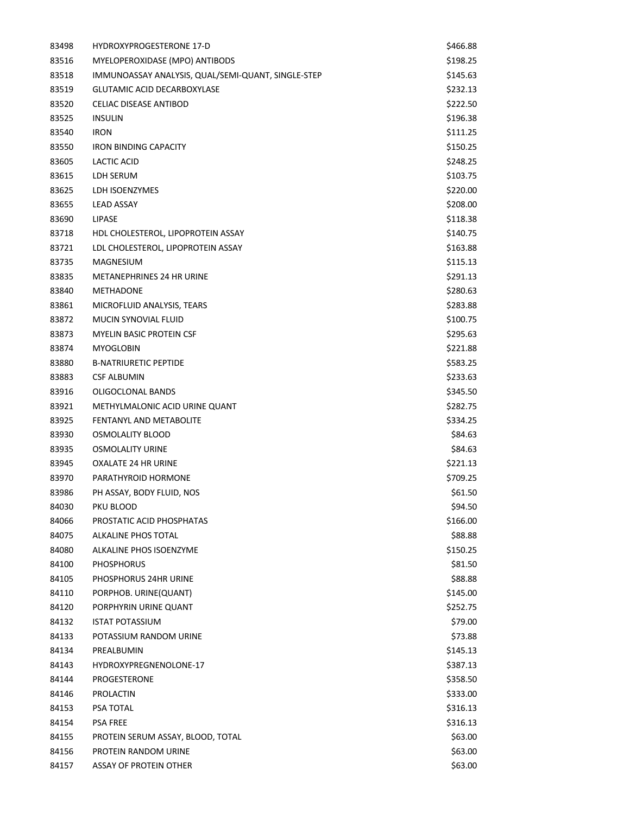| 83498 | <b>HYDROXYPROGESTERONE 17-D</b>                    | \$466.88 |
|-------|----------------------------------------------------|----------|
| 83516 | MYELOPEROXIDASE (MPO) ANTIBODS                     | \$198.25 |
| 83518 | IMMUNOASSAY ANALYSIS, QUAL/SEMI-QUANT, SINGLE-STEP | \$145.63 |
| 83519 | GLUTAMIC ACID DECARBOXYLASE                        | \$232.13 |
| 83520 | <b>CELIAC DISEASE ANTIBOD</b>                      | \$222.50 |
| 83525 | <b>INSULIN</b>                                     | \$196.38 |
| 83540 | <b>IRON</b>                                        | \$111.25 |
| 83550 | <b>IRON BINDING CAPACITY</b>                       | \$150.25 |
| 83605 | LACTIC ACID                                        | \$248.25 |
| 83615 | LDH SERUM                                          | \$103.75 |
| 83625 | LDH ISOENZYMES                                     | \$220.00 |
| 83655 | <b>LEAD ASSAY</b>                                  | \$208.00 |
| 83690 | LIPASE                                             | \$118.38 |
| 83718 | HDL CHOLESTEROL, LIPOPROTEIN ASSAY                 | \$140.75 |
| 83721 | LDL CHOLESTEROL, LIPOPROTEIN ASSAY                 | \$163.88 |
| 83735 | <b>MAGNESIUM</b>                                   | \$115.13 |
| 83835 | <b>METANEPHRINES 24 HR URINE</b>                   | \$291.13 |
| 83840 | <b>METHADONE</b>                                   | \$280.63 |
| 83861 | MICROFLUID ANALYSIS, TEARS                         | \$283.88 |
| 83872 | MUCIN SYNOVIAL FLUID                               | \$100.75 |
| 83873 | <b>MYELIN BASIC PROTEIN CSF</b>                    | \$295.63 |
| 83874 | <b>MYOGLOBIN</b>                                   | \$221.88 |
| 83880 | <b>B-NATRIURETIC PEPTIDE</b>                       | \$583.25 |
| 83883 | <b>CSF ALBUMIN</b>                                 | \$233.63 |
| 83916 | OLIGOCLONAL BANDS                                  | \$345.50 |
| 83921 | METHYLMALONIC ACID URINE QUANT                     | \$282.75 |
| 83925 | FENTANYL AND METABOLITE                            | \$334.25 |
| 83930 | OSMOLALITY BLOOD                                   | \$84.63  |
| 83935 | <b>OSMOLALITY URINE</b>                            | \$84.63  |
| 83945 | <b>OXALATE 24 HR URINE</b>                         | \$221.13 |
| 83970 | PARATHYROID HORMONE                                | \$709.25 |
| 83986 | PH ASSAY, BODY FLUID, NOS                          | \$61.50  |
| 84030 | PKU BLOOD                                          | \$94.50  |
| 84066 | PROSTATIC ACID PHOSPHATAS                          | \$166.00 |
| 84075 | ALKALINE PHOS TOTAL                                | \$88.88  |
| 84080 | ALKALINE PHOS ISOENZYME                            | \$150.25 |
| 84100 | <b>PHOSPHORUS</b>                                  | \$81.50  |
| 84105 | PHOSPHORUS 24HR URINE                              | \$88.88  |
| 84110 | PORPHOB. URINE(QUANT)                              | \$145.00 |
| 84120 | PORPHYRIN URINE QUANT                              | \$252.75 |
| 84132 | <b>ISTAT POTASSIUM</b>                             | \$79.00  |
| 84133 | POTASSIUM RANDOM URINE                             | \$73.88  |
| 84134 | PREALBUMIN                                         | \$145.13 |
| 84143 | HYDROXYPREGNENOLONE-17                             | \$387.13 |
| 84144 | PROGESTERONE                                       | \$358.50 |
| 84146 | PROLACTIN                                          | \$333.00 |
| 84153 | PSA TOTAL                                          | \$316.13 |
| 84154 | <b>PSA FREE</b>                                    | \$316.13 |
| 84155 | PROTEIN SERUM ASSAY, BLOOD, TOTAL                  | \$63.00  |
| 84156 | PROTEIN RANDOM URINE                               | \$63.00  |
| 84157 | ASSAY OF PROTEIN OTHER                             | \$63.00  |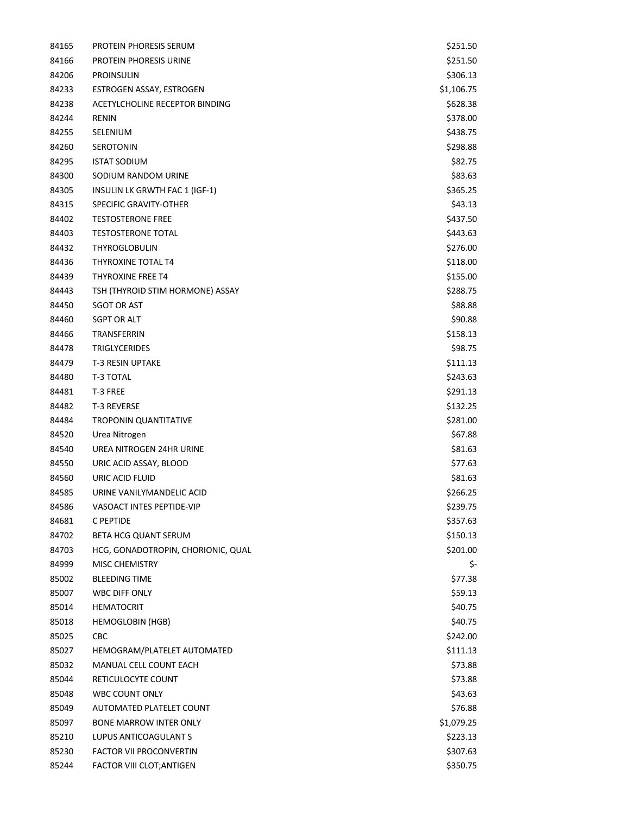| 84165 | PROTEIN PHORESIS SERUM             | \$251.50   |
|-------|------------------------------------|------------|
| 84166 | <b>PROTEIN PHORESIS URINE</b>      | \$251.50   |
| 84206 | <b>PROINSULIN</b>                  | \$306.13   |
| 84233 | ESTROGEN ASSAY, ESTROGEN           | \$1,106.75 |
| 84238 | ACETYLCHOLINE RECEPTOR BINDING     | \$628.38   |
| 84244 | <b>RENIN</b>                       | \$378.00   |
| 84255 | SELENIUM                           | \$438.75   |
| 84260 | <b>SEROTONIN</b>                   | \$298.88   |
| 84295 | <b>ISTAT SODIUM</b>                | \$82.75    |
| 84300 | SODIUM RANDOM URINE                | \$83.63    |
| 84305 | INSULIN LK GRWTH FAC 1 (IGF-1)     | \$365.25   |
| 84315 | SPECIFIC GRAVITY-OTHER             | \$43.13    |
| 84402 | <b>TESTOSTERONE FREE</b>           | \$437.50   |
| 84403 | <b>TESTOSTERONE TOTAL</b>          | \$443.63   |
| 84432 | <b>THYROGLOBULIN</b>               | \$276.00   |
| 84436 | THYROXINE TOTAL T4                 | \$118.00   |
| 84439 | <b>THYROXINE FREE T4</b>           | \$155.00   |
| 84443 | TSH (THYROID STIM HORMONE) ASSAY   | \$288.75   |
| 84450 | <b>SGOT OR AST</b>                 | \$88.88    |
| 84460 | <b>SGPT OR ALT</b>                 | \$90.88    |
| 84466 | TRANSFERRIN                        | \$158.13   |
| 84478 | <b>TRIGLYCERIDES</b>               | \$98.75    |
| 84479 | <b>T-3 RESIN UPTAKE</b>            | \$111.13   |
| 84480 | T-3 TOTAL                          | \$243.63   |
| 84481 | T-3 FREE                           | \$291.13   |
| 84482 | T-3 REVERSE                        | \$132.25   |
| 84484 | <b>TROPONIN QUANTITATIVE</b>       | \$281.00   |
| 84520 | Urea Nitrogen                      | \$67.88    |
| 84540 | UREA NITROGEN 24HR URINE           | \$81.63    |
| 84550 | URIC ACID ASSAY, BLOOD             | \$77.63    |
| 84560 | URIC ACID FLUID                    | \$81.63    |
| 84585 | URINE VANILYMANDELIC ACID          | \$266.25   |
| 84586 | VASOACT INTES PEPTIDE-VIP          | \$239.75   |
| 84681 | C PEPTIDE                          | \$357.63   |
| 84702 | <b>BETA HCG QUANT SERUM</b>        | \$150.13   |
| 84703 | HCG, GONADOTROPIN, CHORIONIC, QUAL | \$201.00   |
| 84999 | <b>MISC CHEMISTRY</b>              | \$-        |
| 85002 | <b>BLEEDING TIME</b>               | \$77.38    |
| 85007 | <b>WBC DIFF ONLY</b>               | \$59.13    |
| 85014 | <b>HEMATOCRIT</b>                  | \$40.75    |
| 85018 | <b>HEMOGLOBIN (HGB)</b>            | \$40.75    |
| 85025 | CBC                                | \$242.00   |
| 85027 | HEMOGRAM/PLATELET AUTOMATED        | \$111.13   |
| 85032 | MANUAL CELL COUNT EACH             | \$73.88    |
| 85044 | RETICULOCYTE COUNT                 | \$73.88    |
| 85048 | <b>WBC COUNT ONLY</b>              | \$43.63    |
| 85049 | AUTOMATED PLATELET COUNT           | \$76.88    |
| 85097 | <b>BONE MARROW INTER ONLY</b>      | \$1,079.25 |
| 85210 | LUPUS ANTICOAGULANT S              | \$223.13   |
| 85230 | <b>FACTOR VII PROCONVERTIN</b>     | \$307.63   |
| 85244 | FACTOR VIII CLOT; ANTIGEN          | \$350.75   |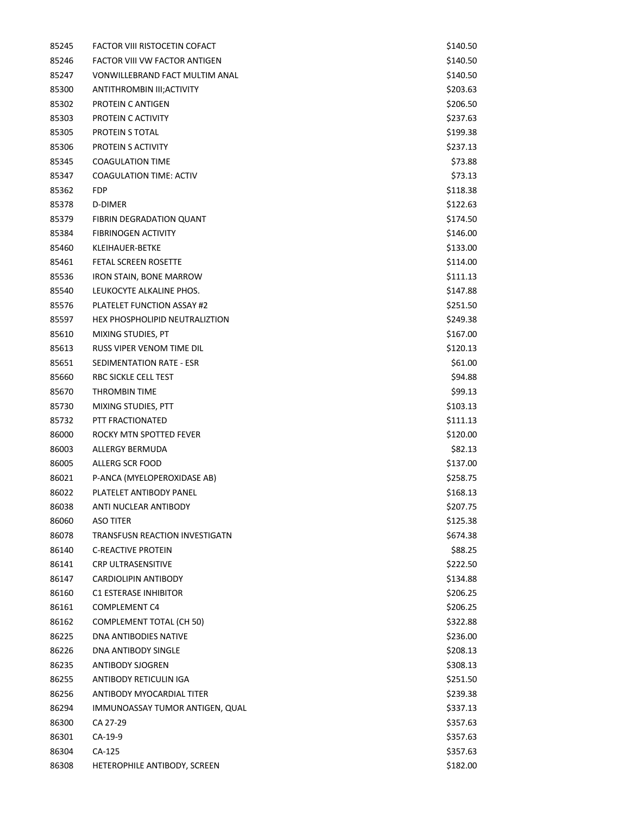| 85245 | FACTOR VIII RISTOCETIN COFACT         | \$140.50 |
|-------|---------------------------------------|----------|
| 85246 | <b>FACTOR VIII VW FACTOR ANTIGEN</b>  | \$140.50 |
| 85247 | <b>VONWILLEBRAND FACT MULTIM ANAL</b> | \$140.50 |
| 85300 | ANTITHROMBIN III; ACTIVITY            | \$203.63 |
| 85302 | PROTEIN C ANTIGEN                     | \$206.50 |
| 85303 | PROTEIN C ACTIVITY                    | \$237.63 |
| 85305 | PROTEIN S TOTAL                       | \$199.38 |
| 85306 | PROTEIN S ACTIVITY                    | \$237.13 |
| 85345 | <b>COAGULATION TIME</b>               | \$73.88  |
| 85347 | <b>COAGULATION TIME: ACTIV</b>        | \$73.13  |
| 85362 | <b>FDP</b>                            | \$118.38 |
| 85378 | D-DIMER                               | \$122.63 |
| 85379 | FIBRIN DEGRADATION QUANT              | \$174.50 |
| 85384 | <b>FIBRINOGEN ACTIVITY</b>            | \$146.00 |
| 85460 | KLEIHAUER-BETKE                       | \$133.00 |
| 85461 | <b>FETAL SCREEN ROSETTE</b>           | \$114.00 |
| 85536 | <b>IRON STAIN, BONE MARROW</b>        | \$111.13 |
| 85540 | LEUKOCYTE ALKALINE PHOS.              | \$147.88 |
| 85576 | PLATELET FUNCTION ASSAY #2            | \$251.50 |
| 85597 | HEX PHOSPHOLIPID NEUTRALIZTION        | \$249.38 |
| 85610 | MIXING STUDIES, PT                    | \$167.00 |
| 85613 | RUSS VIPER VENOM TIME DIL             | \$120.13 |
| 85651 | SEDIMENTATION RATE - ESR              | \$61.00  |
| 85660 | RBC SICKLE CELL TEST                  | \$94.88  |
| 85670 | THROMBIN TIME                         | \$99.13  |
| 85730 | MIXING STUDIES, PTT                   | \$103.13 |
| 85732 | PTT FRACTIONATED                      | \$111.13 |
| 86000 | ROCKY MTN SPOTTED FEVER               | \$120.00 |
| 86003 | ALLERGY BERMUDA                       | \$82.13  |
| 86005 | ALLERG SCR FOOD                       | \$137.00 |
| 86021 | P-ANCA (MYELOPEROXIDASE AB)           | \$258.75 |
| 86022 | PLATELET ANTIBODY PANEL               | \$168.13 |
| 86038 | <b>ANTI NUCLEAR ANTIBODY</b>          | \$207.75 |
| 86060 | ASO TITER                             | \$125.38 |
| 86078 | TRANSFUSN REACTION INVESTIGATN        | \$674.38 |
| 86140 | <b>C-REACTIVE PROTEIN</b>             | \$88.25  |
| 86141 | <b>CRP ULTRASENSITIVE</b>             | \$222.50 |
| 86147 | CARDIOLIPIN ANTIBODY                  | \$134.88 |
| 86160 | <b>C1 ESTERASE INHIBITOR</b>          | \$206.25 |
| 86161 | <b>COMPLEMENT C4</b>                  | \$206.25 |
| 86162 | <b>COMPLEMENT TOTAL (CH 50)</b>       | \$322.88 |
| 86225 | DNA ANTIBODIES NATIVE                 | \$236.00 |
| 86226 | DNA ANTIBODY SINGLE                   | \$208.13 |
| 86235 | <b>ANTIBODY SJOGREN</b>               | \$308.13 |
| 86255 | ANTIBODY RETICULIN IGA                | \$251.50 |
| 86256 | ANTIBODY MYOCARDIAL TITER             | \$239.38 |
| 86294 | IMMUNOASSAY TUMOR ANTIGEN, QUAL       | \$337.13 |
| 86300 | CA 27-29                              | \$357.63 |
| 86301 | CA-19-9                               | \$357.63 |
| 86304 | CA-125                                | \$357.63 |
| 86308 | HETEROPHILE ANTIBODY, SCREEN          | \$182.00 |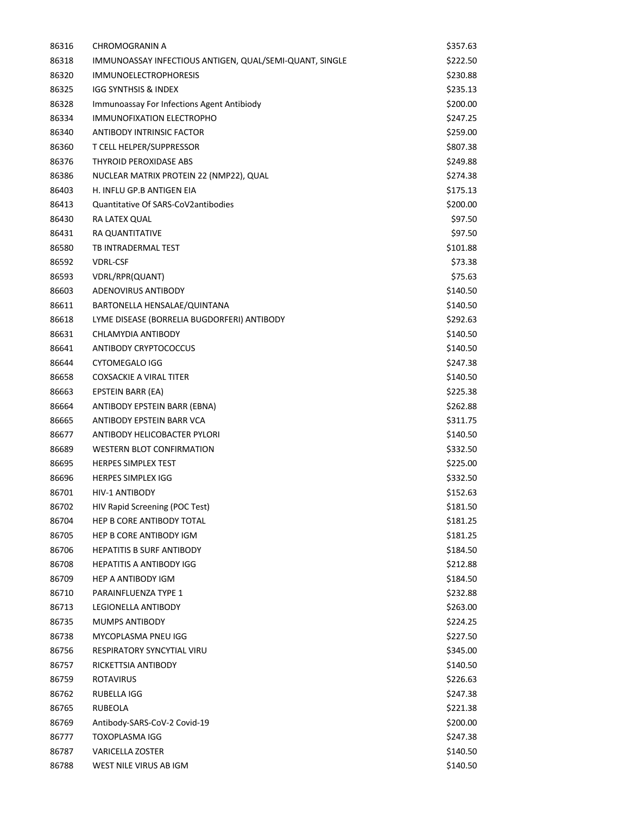| 86316 | CHROMOGRANIN A                                          | \$357.63 |
|-------|---------------------------------------------------------|----------|
| 86318 | IMMUNOASSAY INFECTIOUS ANTIGEN, QUAL/SEMI-QUANT, SINGLE | \$222.50 |
| 86320 | <b>IMMUNOELECTROPHORESIS</b>                            | \$230.88 |
| 86325 | IGG SYNTHSIS & INDEX                                    | \$235.13 |
| 86328 | Immunoassay For Infections Agent Antibiody              | \$200.00 |
| 86334 | IMMUNOFIXATION ELECTROPHO                               | \$247.25 |
| 86340 | ANTIBODY INTRINSIC FACTOR                               | \$259.00 |
| 86360 | T CELL HELPER/SUPPRESSOR                                | \$807.38 |
| 86376 | THYROID PEROXIDASE ABS                                  | \$249.88 |
| 86386 | NUCLEAR MATRIX PROTEIN 22 (NMP22), QUAL                 | \$274.38 |
| 86403 | H. INFLU GP.B ANTIGEN EIA                               | \$175.13 |
| 86413 | Quantitative Of SARS-CoV2antibodies                     | \$200.00 |
| 86430 | RA LATEX QUAL                                           | \$97.50  |
| 86431 | RA QUANTITATIVE                                         | \$97.50  |
| 86580 | TB INTRADERMAL TEST                                     | \$101.88 |
| 86592 | <b>VDRL-CSF</b>                                         | \$73.38  |
| 86593 | VDRL/RPR(QUANT)                                         | \$75.63  |
| 86603 | ADENOVIRUS ANTIBODY                                     | \$140.50 |
| 86611 | BARTONELLA HENSALAE/QUINTANA                            | \$140.50 |
| 86618 | LYME DISEASE (BORRELIA BUGDORFERI) ANTIBODY             | \$292.63 |
| 86631 | CHLAMYDIA ANTIBODY                                      | \$140.50 |
| 86641 | ANTIBODY CRYPTOCOCCUS                                   | \$140.50 |
| 86644 | <b>CYTOMEGALO IGG</b>                                   | \$247.38 |
| 86658 | <b>COXSACKIE A VIRAL TITER</b>                          | \$140.50 |
| 86663 | EPSTEIN BARR (EA)                                       | \$225.38 |
| 86664 | ANTIBODY EPSTEIN BARR (EBNA)                            | \$262.88 |
| 86665 | ANTIBODY EPSTEIN BARR VCA                               | \$311.75 |
| 86677 | ANTIBODY HELICOBACTER PYLORI                            | \$140.50 |
| 86689 | <b>WESTERN BLOT CONFIRMATION</b>                        | \$332.50 |
| 86695 | <b>HERPES SIMPLEX TEST</b>                              | \$225.00 |
| 86696 | <b>HERPES SIMPLEX IGG</b>                               | \$332.50 |
| 86701 | HIV-1 ANTIBODY                                          | \$152.63 |
| 86702 | HIV Rapid Screening (POC Test)                          | \$181.50 |
| 86704 | <b>HEP B CORE ANTIBODY TOTAL</b>                        | \$181.25 |
| 86705 | <b>HEP B CORE ANTIBODY IGM</b>                          | \$181.25 |
| 86706 | <b>HEPATITIS B SURF ANTIBODY</b>                        | \$184.50 |
| 86708 | HEPATITIS A ANTIBODY IGG                                | \$212.88 |
| 86709 | HEP A ANTIBODY IGM                                      | \$184.50 |
| 86710 | PARAINFLUENZA TYPE 1                                    | \$232.88 |
| 86713 | LEGIONELLA ANTIBODY                                     | \$263.00 |
| 86735 | <b>MUMPS ANTIBODY</b>                                   | \$224.25 |
| 86738 | MYCOPLASMA PNEU IGG                                     | \$227.50 |
| 86756 | RESPIRATORY SYNCYTIAL VIRU                              | \$345.00 |
| 86757 | RICKETTSIA ANTIBODY                                     | \$140.50 |
| 86759 | <b>ROTAVIRUS</b>                                        | \$226.63 |
| 86762 | RUBELLA IGG                                             | \$247.38 |
| 86765 | <b>RUBEOLA</b>                                          | \$221.38 |
| 86769 | Antibody-SARS-CoV-2 Covid-19                            | \$200.00 |
| 86777 | TOXOPLASMA IGG                                          | \$247.38 |
| 86787 | <b>VARICELLA ZOSTER</b>                                 | \$140.50 |
| 86788 | WEST NILE VIRUS AB IGM                                  | \$140.50 |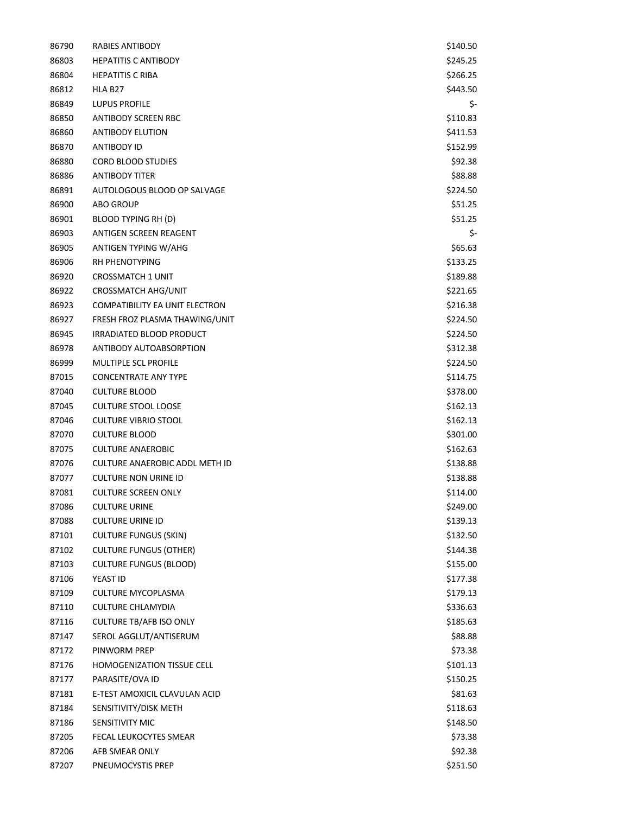| 86790 | RABIES ANTIBODY                       | \$140.50 |
|-------|---------------------------------------|----------|
| 86803 | <b>HEPATITIS C ANTIBODY</b>           | \$245.25 |
| 86804 | <b>HEPATITIS C RIBA</b>               | \$266.25 |
| 86812 | HLA B <sub>27</sub>                   | \$443.50 |
| 86849 | LUPUS PROFILE                         | \$-      |
| 86850 | ANTIBODY SCREEN RBC                   | \$110.83 |
| 86860 | <b>ANTIBODY ELUTION</b>               | \$411.53 |
| 86870 | ANTIBODY ID                           | \$152.99 |
| 86880 | <b>CORD BLOOD STUDIES</b>             | \$92.38  |
| 86886 | ANTIBODY TITER                        | \$88.88  |
| 86891 | AUTOLOGOUS BLOOD OP SALVAGE           | \$224.50 |
| 86900 | <b>ABO GROUP</b>                      | \$51.25  |
| 86901 | BLOOD TYPING RH (D)                   | \$51.25  |
| 86903 | ANTIGEN SCREEN REAGENT                | \$-      |
| 86905 | ANTIGEN TYPING W/AHG                  | \$65.63  |
| 86906 | <b>RH PHENOTYPING</b>                 | \$133.25 |
| 86920 | <b>CROSSMATCH 1 UNIT</b>              | \$189.88 |
| 86922 | <b>CROSSMATCH AHG/UNIT</b>            | \$221.65 |
| 86923 | <b>COMPATIBILITY EA UNIT ELECTRON</b> | \$216.38 |
| 86927 | FRESH FROZ PLASMA THAWING/UNIT        | \$224.50 |
| 86945 | IRRADIATED BLOOD PRODUCT              | \$224.50 |
| 86978 | ANTIBODY AUTOABSORPTION               | \$312.38 |
| 86999 | <b>MULTIPLE SCL PROFILE</b>           | \$224.50 |
| 87015 | <b>CONCENTRATE ANY TYPE</b>           | \$114.75 |
| 87040 | <b>CULTURE BLOOD</b>                  | \$378.00 |
| 87045 | <b>CULTURE STOOL LOOSE</b>            | \$162.13 |
| 87046 | <b>CULTURE VIBRIO STOOL</b>           | \$162.13 |
| 87070 | <b>CULTURE BLOOD</b>                  | \$301.00 |
| 87075 | <b>CULTURE ANAEROBIC</b>              | \$162.63 |
| 87076 | <b>CULTURE ANAEROBIC ADDL METH ID</b> | \$138.88 |
| 87077 | <b>CULTURE NON URINE ID</b>           | \$138.88 |
| 87081 | <b>CULTURE SCREEN ONLY</b>            | \$114.00 |
| 87086 | <b>CULTURE URINE</b>                  | \$249.00 |
| 87088 | <b>CULTURE URINE ID</b>               | \$139.13 |
| 87101 | <b>CULTURE FUNGUS (SKIN)</b>          | \$132.50 |
| 87102 | <b>CULTURE FUNGUS (OTHER)</b>         | \$144.38 |
| 87103 | <b>CULTURE FUNGUS (BLOOD)</b>         | \$155.00 |
| 87106 | YEAST ID                              | \$177.38 |
| 87109 | CULTURE MYCOPLASMA                    | \$179.13 |
| 87110 | <b>CULTURE CHLAMYDIA</b>              | \$336.63 |
| 87116 | <b>CULTURE TB/AFB ISO ONLY</b>        | \$185.63 |
| 87147 | SEROL AGGLUT/ANTISERUM                | \$88.88  |
| 87172 | PINWORM PREP                          | \$73.38  |
| 87176 | <b>HOMOGENIZATION TISSUE CELL</b>     | \$101.13 |
| 87177 | PARASITE/OVA ID                       | \$150.25 |
| 87181 | E-TEST AMOXICIL CLAVULAN ACID         | \$81.63  |
| 87184 | SENSITIVITY/DISK METH                 | \$118.63 |
| 87186 | SENSITIVITY MIC                       | \$148.50 |
| 87205 | FECAL LEUKOCYTES SMEAR                | \$73.38  |
| 87206 | AFB SMEAR ONLY                        | \$92.38  |
| 87207 | PNEUMOCYSTIS PREP                     | \$251.50 |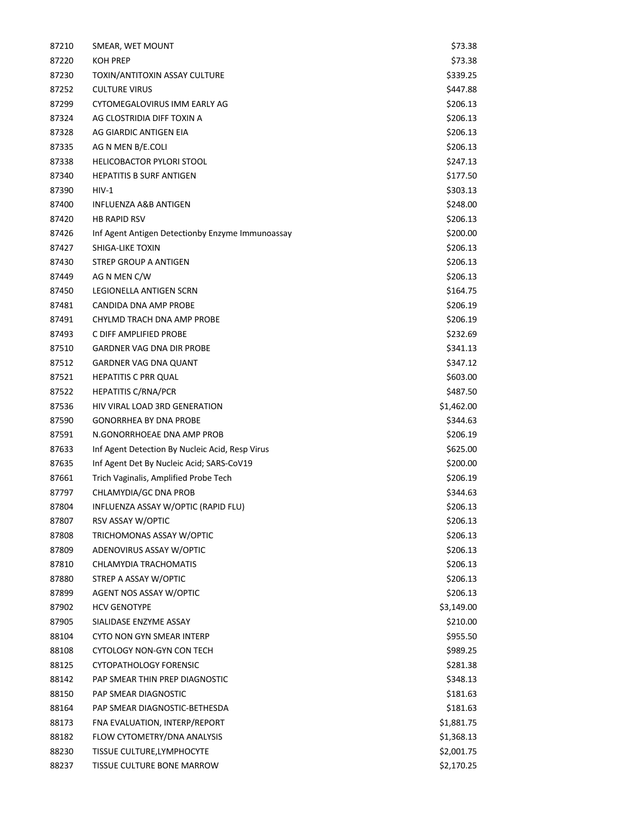| 87210 | SMEAR, WET MOUNT                                 | \$73.38    |
|-------|--------------------------------------------------|------------|
| 87220 | <b>KOH PREP</b>                                  | \$73.38    |
| 87230 | TOXIN/ANTITOXIN ASSAY CULTURE                    | \$339.25   |
| 87252 | <b>CULTURE VIRUS</b>                             | \$447.88   |
| 87299 | CYTOMEGALOVIRUS IMM EARLY AG                     | \$206.13   |
| 87324 | AG CLOSTRIDIA DIFF TOXIN A                       | \$206.13   |
| 87328 | AG GIARDIC ANTIGEN EIA                           | \$206.13   |
| 87335 | AG N MEN B/E.COLI                                | \$206.13   |
| 87338 | <b>HELICOBACTOR PYLORI STOOL</b>                 | \$247.13   |
| 87340 | <b>HEPATITIS B SURF ANTIGEN</b>                  | \$177.50   |
| 87390 | $HIV-1$                                          | \$303.13   |
| 87400 | INFLUENZA A&B ANTIGEN                            | \$248.00   |
| 87420 | <b>HB RAPID RSV</b>                              | \$206.13   |
| 87426 | Inf Agent Antigen Detectionby Enzyme Immunoassay | \$200.00   |
| 87427 | SHIGA-LIKE TOXIN                                 | \$206.13   |
| 87430 | STREP GROUP A ANTIGEN                            | \$206.13   |
| 87449 | AG N MEN C/W                                     | \$206.13   |
| 87450 | LEGIONELLA ANTIGEN SCRN                          | \$164.75   |
| 87481 | CANDIDA DNA AMP PROBE                            | \$206.19   |
| 87491 | CHYLMD TRACH DNA AMP PROBE                       | \$206.19   |
| 87493 | C DIFF AMPLIFIED PROBE                           | \$232.69   |
| 87510 | GARDNER VAG DNA DIR PROBE                        | \$341.13   |
| 87512 | <b>GARDNER VAG DNA QUANT</b>                     | \$347.12   |
| 87521 | <b>HEPATITIS C PRR QUAL</b>                      | \$603.00   |
| 87522 | <b>HEPATITIS C/RNA/PCR</b>                       | \$487.50   |
| 87536 | HIV VIRAL LOAD 3RD GENERATION                    | \$1,462.00 |
| 87590 | <b>GONORRHEA BY DNA PROBE</b>                    | \$344.63   |
| 87591 | N.GONORRHOEAE DNA AMP PROB                       | \$206.19   |
| 87633 | Inf Agent Detection By Nucleic Acid, Resp Virus  | \$625.00   |
| 87635 | Inf Agent Det By Nucleic Acid; SARS-CoV19        | \$200.00   |
| 87661 | Trich Vaginalis, Amplified Probe Tech            | \$206.19   |
| 87797 | CHLAMYDIA/GC DNA PROB                            | \$344.63   |
| 87804 | INFLUENZA ASSAY W/OPTIC (RAPID FLU)              | \$206.13   |
| 87807 | RSV ASSAY W/OPTIC                                | \$206.13   |
| 87808 | TRICHOMONAS ASSAY W/OPTIC                        | \$206.13   |
| 87809 | ADENOVIRUS ASSAY W/OPTIC                         | \$206.13   |
| 87810 | CHLAMYDIA TRACHOMATIS                            | \$206.13   |
| 87880 | STREP A ASSAY W/OPTIC                            | \$206.13   |
| 87899 | AGENT NOS ASSAY W/OPTIC                          | \$206.13   |
| 87902 | <b>HCV GENOTYPE</b>                              | \$3,149.00 |
| 87905 | SIALIDASE ENZYME ASSAY                           | \$210.00   |
| 88104 | <b>CYTO NON GYN SMEAR INTERP</b>                 | \$955.50   |
| 88108 | CYTOLOGY NON-GYN CON TECH                        | \$989.25   |
| 88125 | CYTOPATHOLOGY FORENSIC                           | \$281.38   |
| 88142 | PAP SMEAR THIN PREP DIAGNOSTIC                   | \$348.13   |
| 88150 | PAP SMEAR DIAGNOSTIC                             | \$181.63   |
| 88164 | PAP SMEAR DIAGNOSTIC-BETHESDA                    | \$181.63   |
| 88173 | FNA EVALUATION, INTERP/REPORT                    | \$1,881.75 |
| 88182 | FLOW CYTOMETRY/DNA ANALYSIS                      | \$1,368.13 |
| 88230 | TISSUE CULTURE, LYMPHOCYTE                       | \$2,001.75 |
| 88237 | TISSUE CULTURE BONE MARROW                       | \$2,170.25 |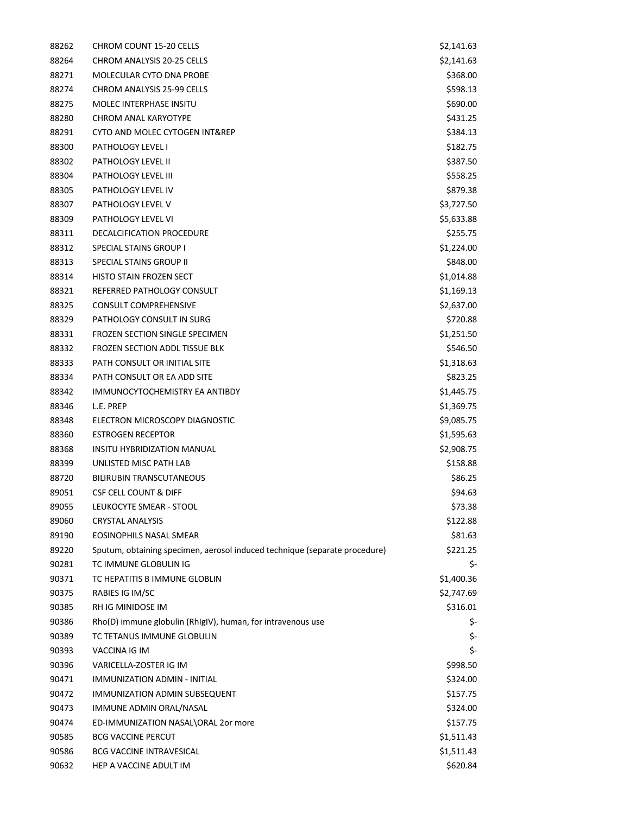| 88262 | <b>CHROM COUNT 15-20 CELLS</b>                                             | \$2,141.63 |
|-------|----------------------------------------------------------------------------|------------|
| 88264 | <b>CHROM ANALYSIS 20-25 CELLS</b>                                          | \$2,141.63 |
| 88271 | MOLECULAR CYTO DNA PROBE                                                   | \$368.00   |
| 88274 | CHROM ANALYSIS 25-99 CELLS                                                 | \$598.13   |
| 88275 | <b>MOLEC INTERPHASE INSITU</b>                                             | \$690.00   |
| 88280 | <b>CHROM ANAL KARYOTYPE</b>                                                | \$431.25   |
| 88291 | CYTO AND MOLEC CYTOGEN INT&REP                                             | \$384.13   |
| 88300 | <b>PATHOLOGY LEVEL I</b>                                                   | \$182.75   |
| 88302 | PATHOLOGY LEVEL II                                                         | \$387.50   |
| 88304 | PATHOLOGY LEVEL III                                                        | \$558.25   |
| 88305 | PATHOLOGY LEVEL IV                                                         | \$879.38   |
| 88307 | PATHOLOGY LEVEL V                                                          | \$3,727.50 |
| 88309 | PATHOLOGY LEVEL VI                                                         | \$5,633.88 |
| 88311 | DECALCIFICATION PROCEDURE                                                  | \$255.75   |
| 88312 | <b>SPECIAL STAINS GROUP I</b>                                              | \$1,224.00 |
| 88313 | SPECIAL STAINS GROUP II                                                    | \$848.00   |
| 88314 | <b>HISTO STAIN FROZEN SECT</b>                                             | \$1,014.88 |
| 88321 | REFERRED PATHOLOGY CONSULT                                                 | \$1,169.13 |
| 88325 | <b>CONSULT COMPREHENSIVE</b>                                               | \$2,637.00 |
| 88329 | PATHOLOGY CONSULT IN SURG                                                  | \$720.88   |
| 88331 | <b>FROZEN SECTION SINGLE SPECIMEN</b>                                      | \$1,251.50 |
| 88332 | FROZEN SECTION ADDL TISSUE BLK                                             | \$546.50   |
| 88333 | PATH CONSULT OR INITIAL SITE                                               | \$1,318.63 |
| 88334 | PATH CONSULT OR EA ADD SITE                                                | \$823.25   |
| 88342 | IMMUNOCYTOCHEMISTRY EA ANTIBDY                                             | \$1,445.75 |
| 88346 | L.E. PREP                                                                  | \$1,369.75 |
| 88348 | ELECTRON MICROSCOPY DIAGNOSTIC                                             | \$9,085.75 |
| 88360 | <b>ESTROGEN RECEPTOR</b>                                                   | \$1,595.63 |
| 88368 | <b>INSITU HYBRIDIZATION MANUAL</b>                                         | \$2,908.75 |
| 88399 | UNLISTED MISC PATH LAB                                                     | \$158.88   |
| 88720 | <b>BILIRUBIN TRANSCUTANEOUS</b>                                            | \$86.25    |
| 89051 | <b>CSF CELL COUNT &amp; DIFF</b>                                           | \$94.63    |
| 89055 | LEUKOCYTE SMEAR - STOOL                                                    | \$73.38    |
| 89060 | <b>CRYSTAL ANALYSIS</b>                                                    | \$122.88   |
| 89190 | EOSINOPHILS NASAL SMEAR                                                    | \$81.63    |
| 89220 | Sputum, obtaining specimen, aerosol induced technique (separate procedure) | \$221.25   |
| 90281 | TC IMMUNE GLOBULIN IG                                                      | \$-        |
| 90371 | TC HEPATITIS B IMMUNE GLOBLIN                                              | \$1,400.36 |
| 90375 | RABIES IG IM/SC                                                            | \$2,747.69 |
| 90385 | RH IG MINIDOSE IM                                                          | \$316.01   |
| 90386 | Rho(D) immune globulin (RhIgIV), human, for intravenous use                | \$-        |
| 90389 | TC TETANUS IMMUNE GLOBULIN                                                 | \$-        |
| 90393 | VACCINA IG IM                                                              | \$-        |
| 90396 | VARICELLA-ZOSTER IG IM                                                     | \$998.50   |
| 90471 | IMMUNIZATION ADMIN - INITIAL                                               | \$324.00   |
| 90472 | IMMUNIZATION ADMIN SUBSEQUENT                                              | \$157.75   |
| 90473 | IMMUNE ADMIN ORAL/NASAL                                                    | \$324.00   |
| 90474 | ED-IMMUNIZATION NASAL\ORAL 2or more                                        | \$157.75   |
| 90585 | <b>BCG VACCINE PERCUT</b>                                                  | \$1,511.43 |
| 90586 | <b>BCG VACCINE INTRAVESICAL</b>                                            | \$1,511.43 |
| 90632 | HEP A VACCINE ADULT IM                                                     | \$620.84   |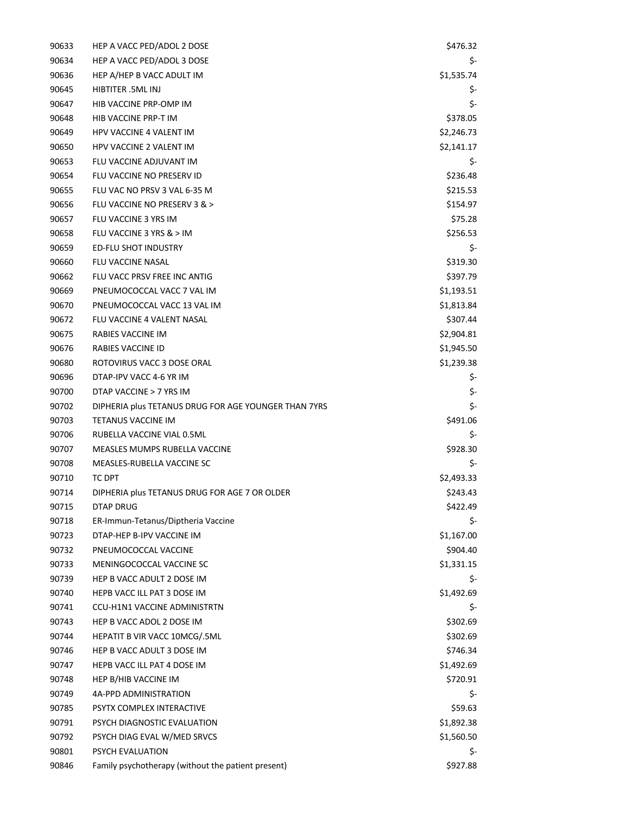| 90633 | HEP A VACC PED/ADOL 2 DOSE                           | \$476.32   |
|-------|------------------------------------------------------|------------|
| 90634 | HEP A VACC PED/ADOL 3 DOSE                           | \$-        |
| 90636 | HEP A/HEP B VACC ADULT IM                            | \$1,535.74 |
| 90645 | HIBTITER .5ML INJ                                    | \$-        |
| 90647 | HIB VACCINE PRP-OMP IM                               | \$-        |
| 90648 | HIB VACCINE PRP-T IM                                 | \$378.05   |
| 90649 | <b>HPV VACCINE 4 VALENT IM</b>                       | \$2,246.73 |
| 90650 | <b>HPV VACCINE 2 VALENT IM</b>                       | \$2,141.17 |
| 90653 | FLU VACCINE ADJUVANT IM                              | \$-        |
| 90654 | FLU VACCINE NO PRESERV ID                            | \$236.48   |
| 90655 | FLU VAC NO PRSV 3 VAL 6-35 M                         | \$215.53   |
| 90656 | FLU VACCINE NO PRESERV 3 & >                         | \$154.97   |
| 90657 | FLU VACCINE 3 YRS IM                                 | \$75.28    |
| 90658 | FLU VACCINE 3 YRS & > IM                             | \$256.53   |
| 90659 | <b>ED-FLU SHOT INDUSTRY</b>                          | \$-        |
| 90660 | FLU VACCINE NASAL                                    | \$319.30   |
| 90662 | FLU VACC PRSV FREE INC ANTIG                         | \$397.79   |
| 90669 | PNEUMOCOCCAL VACC 7 VAL IM                           | \$1,193.51 |
| 90670 | PNEUMOCOCCAL VACC 13 VAL IM                          | \$1,813.84 |
| 90672 | FLU VACCINE 4 VALENT NASAL                           | \$307.44   |
| 90675 | RABIES VACCINE IM                                    | \$2,904.81 |
| 90676 | RABIES VACCINE ID                                    | \$1,945.50 |
| 90680 | ROTOVIRUS VACC 3 DOSE ORAL                           | \$1,239.38 |
| 90696 | DTAP-IPV VACC 4-6 YR IM                              | \$-        |
| 90700 | DTAP VACCINE > 7 YRS IM                              | \$-        |
| 90702 | DIPHERIA plus TETANUS DRUG FOR AGE YOUNGER THAN 7YRS | \$-        |
| 90703 | TETANUS VACCINE IM                                   | \$491.06   |
| 90706 | RUBELLA VACCINE VIAL 0.5ML                           | \$-        |
| 90707 | MEASLES MUMPS RUBELLA VACCINE                        | \$928.30   |
| 90708 | MEASLES-RUBELLA VACCINE SC                           | \$-        |
| 90710 | TC DPT                                               | \$2,493.33 |
| 90714 | DIPHERIA plus TETANUS DRUG FOR AGE 7 OR OLDER        | \$243.43   |
| 90715 | DTAP DRUG                                            | \$422.49   |
| 90718 | ER-Immun-Tetanus/Diptheria Vaccine                   | \$-        |
| 90723 | DTAP-HEP B-IPV VACCINE IM                            | \$1,167.00 |
| 90732 | PNEUMOCOCCAL VACCINE                                 | \$904.40   |
| 90733 | MENINGOCOCCAL VACCINE SC                             | \$1,331.15 |
| 90739 | HEP B VACC ADULT 2 DOSE IM                           | \$-        |
| 90740 | HEPB VACC ILL PAT 3 DOSE IM                          | \$1,492.69 |
| 90741 | <b>CCU-H1N1 VACCINE ADMINISTRTN</b>                  | \$-        |
| 90743 | HEP B VACC ADOL 2 DOSE IM                            | \$302.69   |
| 90744 | HEPATIT B VIR VACC 10MCG/.5ML                        | \$302.69   |
| 90746 | HEP B VACC ADULT 3 DOSE IM                           | \$746.34   |
| 90747 | HEPB VACC ILL PAT 4 DOSE IM                          | \$1,492.69 |
| 90748 | HEP B/HIB VACCINE IM                                 | \$720.91   |
| 90749 | 4A-PPD ADMINISTRATION                                | \$-        |
| 90785 | PSYTX COMPLEX INTERACTIVE                            | \$59.63    |
| 90791 | PSYCH DIAGNOSTIC EVALUATION                          | \$1,892.38 |
| 90792 | PSYCH DIAG EVAL W/MED SRVCS                          | \$1,560.50 |
| 90801 | PSYCH EVALUATION                                     | \$-        |
| 90846 | Family psychotherapy (without the patient present)   | \$927.88   |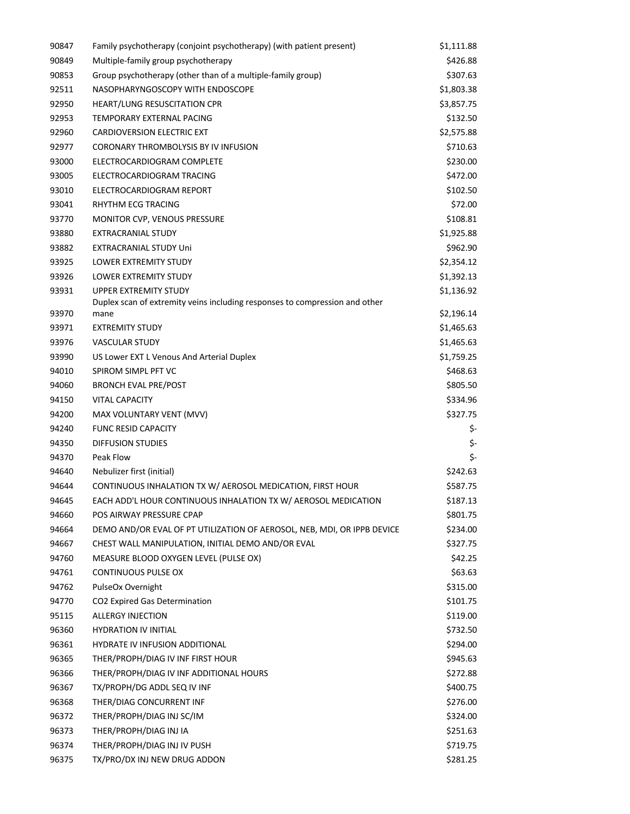| 90847 | Family psychotherapy (conjoint psychotherapy) (with patient present)        | \$1,111.88 |
|-------|-----------------------------------------------------------------------------|------------|
| 90849 | Multiple-family group psychotherapy                                         | \$426.88   |
| 90853 | Group psychotherapy (other than of a multiple-family group)                 | \$307.63   |
| 92511 | NASOPHARYNGOSCOPY WITH ENDOSCOPE                                            | \$1,803.38 |
| 92950 | HEART/LUNG RESUSCITATION CPR                                                | \$3,857.75 |
| 92953 | TEMPORARY EXTERNAL PACING                                                   | \$132.50   |
| 92960 | CARDIOVERSION ELECTRIC EXT                                                  | \$2,575.88 |
| 92977 | CORONARY THROMBOLYSIS BY IV INFUSION                                        | \$710.63   |
| 93000 | ELECTROCARDIOGRAM COMPLETE                                                  | \$230.00   |
| 93005 | ELECTROCARDIOGRAM TRACING                                                   | \$472.00   |
| 93010 | ELECTROCARDIOGRAM REPORT                                                    | \$102.50   |
| 93041 | RHYTHM ECG TRACING                                                          | \$72.00    |
| 93770 | MONITOR CVP, VENOUS PRESSURE                                                | \$108.81   |
| 93880 | <b>EXTRACRANIAL STUDY</b>                                                   | \$1,925.88 |
| 93882 | <b>EXTRACRANIAL STUDY Uni</b>                                               | \$962.90   |
| 93925 | LOWER EXTREMITY STUDY                                                       | \$2,354.12 |
| 93926 | <b>LOWER EXTREMITY STUDY</b>                                                | \$1,392.13 |
| 93931 | <b>UPPER EXTREMITY STUDY</b>                                                | \$1,136.92 |
|       | Duplex scan of extremity veins including responses to compression and other |            |
| 93970 | mane                                                                        | \$2,196.14 |
| 93971 | <b>EXTREMITY STUDY</b>                                                      | \$1,465.63 |
| 93976 | <b>VASCULAR STUDY</b>                                                       | \$1,465.63 |
| 93990 | US Lower EXT L Venous And Arterial Duplex                                   | \$1,759.25 |
| 94010 | SPIROM SIMPL PFT VC                                                         | \$468.63   |
| 94060 | <b>BRONCH EVAL PRE/POST</b>                                                 | \$805.50   |
| 94150 | <b>VITAL CAPACITY</b>                                                       | \$334.96   |
| 94200 | MAX VOLUNTARY VENT (MVV)                                                    | \$327.75   |
| 94240 | <b>FUNC RESID CAPACITY</b>                                                  | \$-        |
| 94350 | <b>DIFFUSION STUDIES</b>                                                    | \$-        |
| 94370 | Peak Flow                                                                   | \$-        |
| 94640 | Nebulizer first (initial)                                                   | \$242.63   |
| 94644 | CONTINUOUS INHALATION TX W/ AEROSOL MEDICATION, FIRST HOUR                  | \$587.75   |
| 94645 | EACH ADD'L HOUR CONTINUOUS INHALATION TX W/ AEROSOL MEDICATION              | \$187.13   |
| 94660 | POS AIRWAY PRESSURE CPAP                                                    | \$801.75   |
| 94664 | DEMO AND/OR EVAL OF PT UTILIZATION OF AEROSOL, NEB, MDI, OR IPPB DEVICE     | \$234.00   |
| 94667 | CHEST WALL MANIPULATION, INITIAL DEMO AND/OR EVAL                           | \$327.75   |
| 94760 | MEASURE BLOOD OXYGEN LEVEL (PULSE OX)                                       | \$42.25    |
| 94761 | CONTINUOUS PULSE OX                                                         | \$63.63    |
| 94762 | PulseOx Overnight                                                           | \$315.00   |
| 94770 | CO2 Expired Gas Determination                                               | \$101.75   |
| 95115 | <b>ALLERGY INJECTION</b>                                                    | \$119.00   |
| 96360 | <b>HYDRATION IV INITIAL</b>                                                 | \$732.50   |
| 96361 | HYDRATE IV INFUSION ADDITIONAL                                              | \$294.00   |
| 96365 | THER/PROPH/DIAG IV INF FIRST HOUR                                           | \$945.63   |
| 96366 | THER/PROPH/DIAG IV INF ADDITIONAL HOURS                                     | \$272.88   |
| 96367 | TX/PROPH/DG ADDL SEQ IV INF                                                 | \$400.75   |
| 96368 | THER/DIAG CONCURRENT INF                                                    | \$276.00   |
| 96372 | THER/PROPH/DIAG INJ SC/IM                                                   | \$324.00   |
| 96373 | THER/PROPH/DIAG INJ IA                                                      | \$251.63   |
| 96374 | THER/PROPH/DIAG INJ IV PUSH                                                 | \$719.75   |
| 96375 | TX/PRO/DX INJ NEW DRUG ADDON                                                | \$281.25   |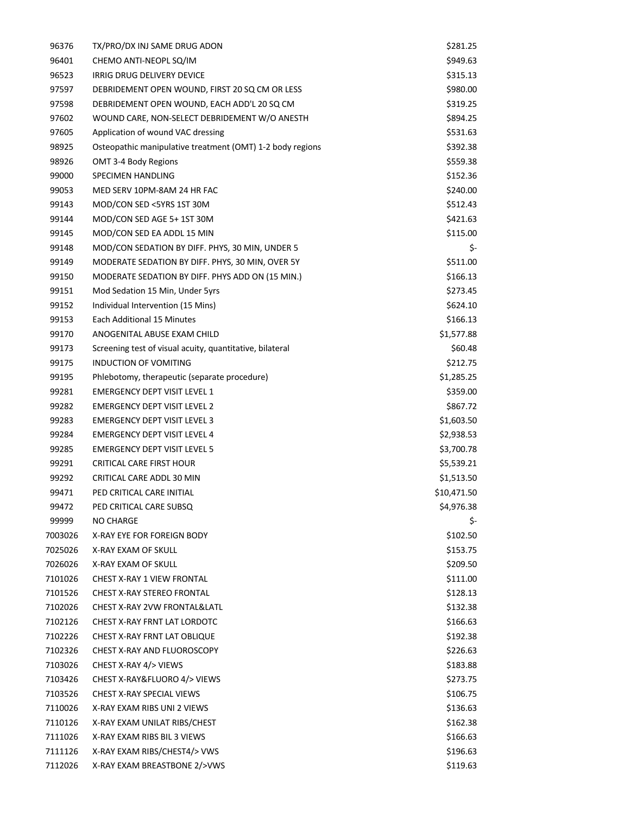| 96376   | TX/PRO/DX INJ SAME DRUG ADON                              | \$281.25    |
|---------|-----------------------------------------------------------|-------------|
| 96401   | CHEMO ANTI-NEOPL SQ/IM                                    | \$949.63    |
| 96523   | IRRIG DRUG DELIVERY DEVICE                                | \$315.13    |
| 97597   | DEBRIDEMENT OPEN WOUND, FIRST 20 SQ CM OR LESS            | \$980.00    |
| 97598   | DEBRIDEMENT OPEN WOUND, EACH ADD'L 20 SQ CM               | \$319.25    |
| 97602   | WOUND CARE, NON-SELECT DEBRIDEMENT W/O ANESTH             | \$894.25    |
| 97605   | Application of wound VAC dressing                         | \$531.63    |
| 98925   | Osteopathic manipulative treatment (OMT) 1-2 body regions | \$392.38    |
| 98926   | OMT 3-4 Body Regions                                      | \$559.38    |
| 99000   | SPECIMEN HANDLING                                         | \$152.36    |
| 99053   | MED SERV 10PM-8AM 24 HR FAC                               | \$240.00    |
| 99143   | MOD/CON SED <5YRS 1ST 30M                                 | \$512.43    |
| 99144   | MOD/CON SED AGE 5+1ST 30M                                 | \$421.63    |
| 99145   | MOD/CON SED EA ADDL 15 MIN                                | \$115.00    |
| 99148   | MOD/CON SEDATION BY DIFF. PHYS, 30 MIN, UNDER 5           | \$-         |
| 99149   | MODERATE SEDATION BY DIFF. PHYS, 30 MIN, OVER 5Y          | \$511.00    |
| 99150   | MODERATE SEDATION BY DIFF. PHYS ADD ON (15 MIN.)          | \$166.13    |
| 99151   | Mod Sedation 15 Min, Under 5yrs                           | \$273.45    |
| 99152   | Individual Intervention (15 Mins)                         | \$624.10    |
| 99153   | Each Additional 15 Minutes                                | \$166.13    |
| 99170   | ANOGENITAL ABUSE EXAM CHILD                               | \$1,577.88  |
| 99173   | Screening test of visual acuity, quantitative, bilateral  | \$60.48     |
| 99175   | INDUCTION OF VOMITING                                     | \$212.75    |
| 99195   | Phlebotomy, therapeutic (separate procedure)              | \$1,285.25  |
| 99281   | <b>EMERGENCY DEPT VISIT LEVEL 1</b>                       | \$359.00    |
| 99282   | <b>EMERGENCY DEPT VISIT LEVEL 2</b>                       | \$867.72    |
| 99283   | <b>EMERGENCY DEPT VISIT LEVEL 3</b>                       | \$1,603.50  |
| 99284   | <b>EMERGENCY DEPT VISIT LEVEL 4</b>                       | \$2,938.53  |
| 99285   | <b>EMERGENCY DEPT VISIT LEVEL 5</b>                       | \$3,700.78  |
| 99291   | <b>CRITICAL CARE FIRST HOUR</b>                           | \$5,539.21  |
| 99292   | CRITICAL CARE ADDL 30 MIN                                 | \$1,513.50  |
| 99471   | PED CRITICAL CARE INITIAL                                 | \$10,471.50 |
| 99472   | PED CRITICAL CARE SUBSQ                                   | \$4,976.38  |
| 99999   | NO CHARGE                                                 | Ş-          |
| 7003026 | X-RAY EYE FOR FOREIGN BODY                                | \$102.50    |
| 7025026 | X-RAY EXAM OF SKULL                                       | \$153.75    |
| 7026026 | X-RAY EXAM OF SKULL                                       | \$209.50    |
| 7101026 | CHEST X-RAY 1 VIEW FRONTAL                                | \$111.00    |
| 7101526 | <b>CHEST X-RAY STEREO FRONTAL</b>                         | \$128.13    |
| 7102026 | CHEST X-RAY 2VW FRONTAL&LATL                              | \$132.38    |
| 7102126 | CHEST X-RAY FRNT LAT LORDOTC                              | \$166.63    |
| 7102226 | CHEST X-RAY FRNT LAT OBLIQUE                              | \$192.38    |
| 7102326 | CHEST X-RAY AND FLUOROSCOPY                               | \$226.63    |
| 7103026 | CHEST X-RAY 4/> VIEWS                                     | \$183.88    |
| 7103426 | CHEST X-RAY&FLUORO 4/> VIEWS                              | \$273.75    |
| 7103526 | CHEST X-RAY SPECIAL VIEWS                                 | \$106.75    |
| 7110026 | X-RAY EXAM RIBS UNI 2 VIEWS                               | \$136.63    |
| 7110126 | X-RAY EXAM UNILAT RIBS/CHEST                              | \$162.38    |
| 7111026 | X-RAY EXAM RIBS BIL 3 VIEWS                               | \$166.63    |
|         |                                                           |             |
| 7111126 | X-RAY EXAM RIBS/CHEST4/> VWS                              | \$196.63    |
| 7112026 | X-RAY EXAM BREASTBONE 2/>VWS                              | \$119.63    |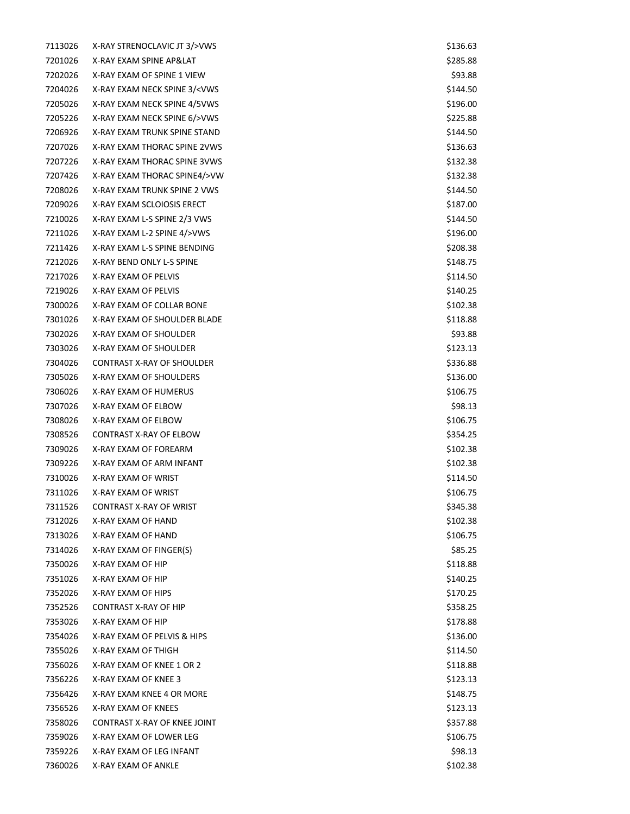| 7113026 | X-RAY STRENOCLAVIC JT 3/>VWS                                  | \$136.63 |
|---------|---------------------------------------------------------------|----------|
| 7201026 | X-RAY EXAM SPINE AP&LAT                                       | \$285.88 |
| 7202026 | X-RAY EXAM OF SPINE 1 VIEW                                    | \$93.88  |
| 7204026 | X-RAY EXAM NECK SPINE 3/ <vws< td=""><td>\$144.50</td></vws<> | \$144.50 |
| 7205026 | X-RAY EXAM NECK SPINE 4/5VWS                                  | \$196.00 |
| 7205226 | X-RAY EXAM NECK SPINE 6/>VWS                                  | \$225.88 |
| 7206926 | X-RAY EXAM TRUNK SPINE STAND                                  | \$144.50 |
| 7207026 | X-RAY EXAM THORAC SPINE 2VWS                                  | \$136.63 |
| 7207226 | X-RAY EXAM THORAC SPINE 3VWS                                  | \$132.38 |
| 7207426 | X-RAY EXAM THORAC SPINE4/>VW                                  | \$132.38 |
| 7208026 | X-RAY EXAM TRUNK SPINE 2 VWS                                  | \$144.50 |
| 7209026 | X-RAY EXAM SCLOIOSIS ERECT                                    | \$187.00 |
| 7210026 | X-RAY EXAM L-S SPINE 2/3 VWS                                  | \$144.50 |
| 7211026 | X-RAY EXAM L-2 SPINE 4/>VWS                                   | \$196.00 |
| 7211426 | X-RAY EXAM L-S SPINE BENDING                                  | \$208.38 |
| 7212026 | X-RAY BEND ONLY L-S SPINE                                     | \$148.75 |
| 7217026 | X-RAY EXAM OF PELVIS                                          | \$114.50 |
| 7219026 | X-RAY EXAM OF PELVIS                                          | \$140.25 |
| 7300026 | X-RAY EXAM OF COLLAR BONE                                     | \$102.38 |
| 7301026 | X-RAY EXAM OF SHOULDER BLADE                                  | \$118.88 |
| 7302026 | X-RAY EXAM OF SHOULDER                                        | \$93.88  |
| 7303026 | X-RAY EXAM OF SHOULDER                                        | \$123.13 |
| 7304026 | CONTRAST X-RAY OF SHOULDER                                    | \$336.88 |
| 7305026 | X-RAY EXAM OF SHOULDERS                                       | \$136.00 |
| 7306026 | X-RAY EXAM OF HUMERUS                                         | \$106.75 |
| 7307026 | X-RAY EXAM OF ELBOW                                           | \$98.13  |
| 7308026 | X-RAY EXAM OF ELBOW                                           | \$106.75 |
| 7308526 | CONTRAST X-RAY OF ELBOW                                       | \$354.25 |
| 7309026 | X-RAY EXAM OF FOREARM                                         | \$102.38 |
| 7309226 | X-RAY EXAM OF ARM INFANT                                      | \$102.38 |
| 7310026 | X-RAY EXAM OF WRIST                                           | \$114.50 |
| 7311026 | X-RAY EXAM OF WRIST                                           | \$106.75 |
| 7311526 | <b>CONTRAST X-RAY OF WRIST</b>                                | \$345.38 |
| 7312026 | X-RAY EXAM OF HAND                                            | \$102.38 |
| 7313026 | X-RAY EXAM OF HAND                                            | \$106.75 |
| 7314026 | X-RAY EXAM OF FINGER(S)                                       | \$85.25  |
| 7350026 | X-RAY EXAM OF HIP                                             | \$118.88 |
| 7351026 | X-RAY EXAM OF HIP                                             | \$140.25 |
| 7352026 | X-RAY EXAM OF HIPS                                            | \$170.25 |
| 7352526 | CONTRAST X-RAY OF HIP                                         | \$358.25 |
| 7353026 | X-RAY EXAM OF HIP                                             | \$178.88 |
| 7354026 | X-RAY EXAM OF PELVIS & HIPS                                   | \$136.00 |
| 7355026 | X-RAY EXAM OF THIGH                                           | \$114.50 |
| 7356026 | X-RAY EXAM OF KNEE 1 OR 2                                     | \$118.88 |
| 7356226 | X-RAY EXAM OF KNEE 3                                          | \$123.13 |
| 7356426 | X-RAY EXAM KNEE 4 OR MORE                                     | \$148.75 |
| 7356526 | X-RAY EXAM OF KNEES                                           | \$123.13 |
| 7358026 | CONTRAST X-RAY OF KNEE JOINT                                  | \$357.88 |
| 7359026 | X-RAY EXAM OF LOWER LEG                                       | \$106.75 |
| 7359226 | X-RAY EXAM OF LEG INFANT                                      | \$98.13  |
| 7360026 | X-RAY EXAM OF ANKLE                                           | \$102.38 |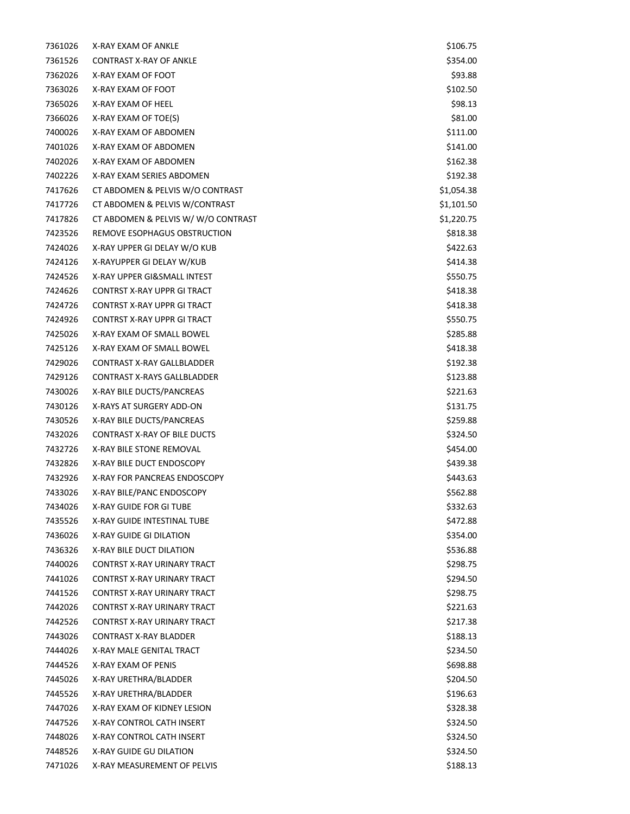| 7361026 | X-RAY EXAM OF ANKLE                 | \$106.75   |
|---------|-------------------------------------|------------|
| 7361526 | <b>CONTRAST X-RAY OF ANKLE</b>      | \$354.00   |
| 7362026 | X-RAY EXAM OF FOOT                  | \$93.88    |
| 7363026 | X-RAY EXAM OF FOOT                  | \$102.50   |
| 7365026 | X-RAY EXAM OF HEEL                  | \$98.13    |
| 7366026 | X-RAY EXAM OF TOE(S)                | \$81.00    |
| 7400026 | X-RAY EXAM OF ABDOMEN               | \$111.00   |
| 7401026 | X-RAY EXAM OF ABDOMEN               | \$141.00   |
| 7402026 | X-RAY EXAM OF ABDOMEN               | \$162.38   |
| 7402226 | X-RAY EXAM SERIES ABDOMEN           | \$192.38   |
| 7417626 | CT ABDOMEN & PELVIS W/O CONTRAST    | \$1,054.38 |
| 7417726 | CT ABDOMEN & PELVIS W/CONTRAST      | \$1,101.50 |
| 7417826 | CT ABDOMEN & PELVIS W/W/O CONTRAST  | \$1,220.75 |
| 7423526 | REMOVE ESOPHAGUS OBSTRUCTION        | \$818.38   |
| 7424026 | X-RAY UPPER GI DELAY W/O KUB        | \$422.63   |
| 7424126 | X-RAYUPPER GI DELAY W/KUB           | \$414.38   |
| 7424526 | X-RAY UPPER GI&SMALL INTEST         | \$550.75   |
| 7424626 | <b>CONTRST X-RAY UPPR GI TRACT</b>  | \$418.38   |
| 7424726 | <b>CONTRST X-RAY UPPR GI TRACT</b>  | \$418.38   |
| 7424926 | <b>CONTRST X-RAY UPPR GI TRACT</b>  | \$550.75   |
| 7425026 | X-RAY EXAM OF SMALL BOWEL           | \$285.88   |
| 7425126 | X-RAY EXAM OF SMALL BOWEL           | \$418.38   |
| 7429026 | <b>CONTRAST X-RAY GALLBLADDER</b>   | \$192.38   |
| 7429126 | <b>CONTRAST X-RAYS GALLBLADDER</b>  | \$123.88   |
| 7430026 | X-RAY BILE DUCTS/PANCREAS           | \$221.63   |
| 7430126 | X-RAYS AT SURGERY ADD-ON            | \$131.75   |
| 7430526 | X-RAY BILE DUCTS/PANCREAS           | \$259.88   |
| 7432026 | <b>CONTRAST X-RAY OF BILE DUCTS</b> | \$324.50   |
| 7432726 | X-RAY BILE STONE REMOVAL            | \$454.00   |
| 7432826 | X-RAY BILE DUCT ENDOSCOPY           | \$439.38   |
| 7432926 | X-RAY FOR PANCREAS ENDOSCOPY        | \$443.63   |
| 7433026 | X-RAY BILE/PANC ENDOSCOPY           | \$562.88   |
| 7434026 | X-RAY GUIDE FOR GI TUBE             | \$332.63   |
| 7435526 | X-RAY GUIDE INTESTINAL TUBE         | \$472.88   |
| 7436026 | X-RAY GUIDE GI DILATION             | \$354.00   |
| 7436326 | X-RAY BILE DUCT DILATION            | \$536.88   |
| 7440026 | CONTRST X-RAY URINARY TRACT         | \$298.75   |
| 7441026 | <b>CONTRST X-RAY URINARY TRACT</b>  | \$294.50   |
| 7441526 | CONTRST X-RAY URINARY TRACT         | \$298.75   |
| 7442026 | CONTRST X-RAY URINARY TRACT         | \$221.63   |
| 7442526 | <b>CONTRST X-RAY URINARY TRACT</b>  | \$217.38   |
| 7443026 | <b>CONTRAST X-RAY BLADDER</b>       | \$188.13   |
| 7444026 | X-RAY MALE GENITAL TRACT            | \$234.50   |
| 7444526 | X-RAY EXAM OF PENIS                 | \$698.88   |
| 7445026 | X-RAY URETHRA/BLADDER               | \$204.50   |
| 7445526 | X-RAY URETHRA/BLADDER               | \$196.63   |
| 7447026 | X-RAY EXAM OF KIDNEY LESION         | \$328.38   |
| 7447526 | X-RAY CONTROL CATH INSERT           | \$324.50   |
| 7448026 | X-RAY CONTROL CATH INSERT           | \$324.50   |
| 7448526 | X-RAY GUIDE GU DILATION             | \$324.50   |
| 7471026 | X-RAY MEASUREMENT OF PELVIS         | \$188.13   |
|         |                                     |            |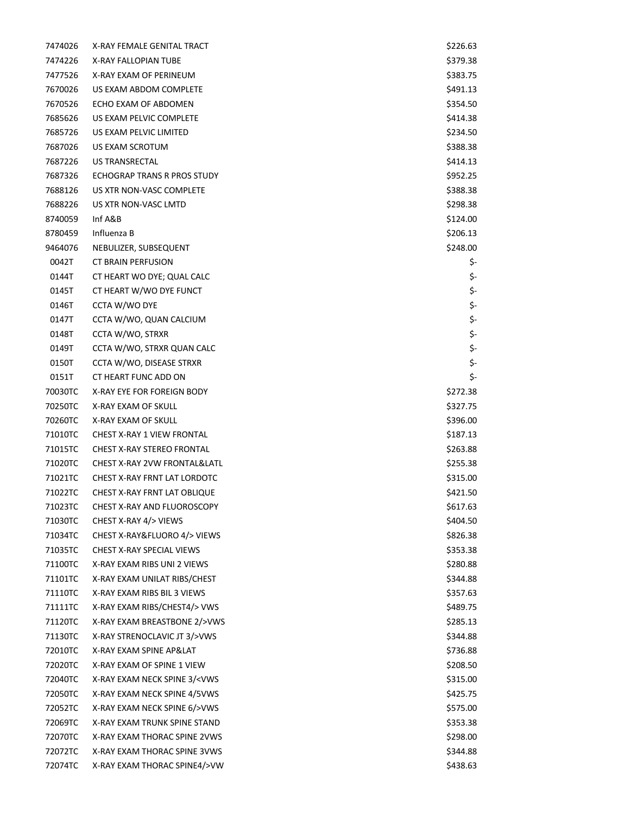| 7474026 | X-RAY FEMALE GENITAL TRACT                                    | \$226.63 |
|---------|---------------------------------------------------------------|----------|
| 7474226 | X-RAY FALLOPIAN TUBE                                          | \$379.38 |
| 7477526 | X-RAY EXAM OF PERINEUM                                        | \$383.75 |
| 7670026 | US EXAM ABDOM COMPLETE                                        | \$491.13 |
| 7670526 | ECHO EXAM OF ABDOMEN                                          | \$354.50 |
| 7685626 | US EXAM PELVIC COMPLETE                                       | \$414.38 |
| 7685726 | US EXAM PELVIC LIMITED                                        | \$234.50 |
| 7687026 | US EXAM SCROTUM                                               | \$388.38 |
| 7687226 | US TRANSRECTAL                                                | \$414.13 |
| 7687326 | ECHOGRAP TRANS R PROS STUDY                                   | \$952.25 |
| 7688126 | US XTR NON-VASC COMPLETE                                      | \$388.38 |
| 7688226 | US XTR NON-VASC LMTD                                          | \$298.38 |
| 8740059 | Inf A&B                                                       | \$124.00 |
| 8780459 | Influenza B                                                   | \$206.13 |
| 9464076 | NEBULIZER, SUBSEQUENT                                         | \$248.00 |
| 0042T   | <b>CT BRAIN PERFUSION</b>                                     | \$-      |
| 0144T   | CT HEART WO DYE; QUAL CALC                                    | \$-      |
| 0145T   | CT HEART W/WO DYE FUNCT                                       | \$-      |
| 0146T   | CCTA W/WO DYE                                                 | \$-      |
| 0147T   | CCTA W/WO, QUAN CALCIUM                                       | \$-      |
| 0148T   | CCTA W/WO, STRXR                                              | \$-      |
| 0149T   | CCTA W/WO, STRXR QUAN CALC                                    | \$-      |
| 0150T   | CCTA W/WO, DISEASE STRXR                                      | \$-      |
| 0151T   | CT HEART FUNC ADD ON                                          | \$-      |
| 70030TC | X-RAY EYE FOR FOREIGN BODY                                    | \$272.38 |
| 70250TC | X-RAY EXAM OF SKULL                                           | \$327.75 |
| 70260TC | X-RAY EXAM OF SKULL                                           | \$396.00 |
| 71010TC | CHEST X-RAY 1 VIEW FRONTAL                                    | \$187.13 |
| 71015TC | <b>CHEST X-RAY STEREO FRONTAL</b>                             | \$263.88 |
| 71020TC | CHEST X-RAY 2VW FRONTAL&LATL                                  | \$255.38 |
| 71021TC | CHEST X-RAY FRNT LAT LORDOTC                                  | \$315.00 |
| 71022TC | <b>CHEST X-RAY FRNT LAT OBLIQUE</b>                           | \$421.50 |
| 71023TC | <b>CHEST X-RAY AND FLUOROSCOPY</b>                            | \$617.63 |
| 71030TC | CHEST X-RAY 4/> VIEWS                                         | \$404.50 |
| 71034TC | CHEST X-RAY&FLUORO 4/> VIEWS                                  | \$826.38 |
| 71035TC | CHEST X-RAY SPECIAL VIEWS                                     | \$353.38 |
| 71100TC | X-RAY EXAM RIBS UNI 2 VIEWS                                   | \$280.88 |
| 71101TC | X-RAY EXAM UNILAT RIBS/CHEST                                  | \$344.88 |
| 71110TC | X-RAY EXAM RIBS BIL 3 VIEWS                                   | \$357.63 |
| 71111TC | X-RAY EXAM RIBS/CHEST4/> VWS                                  | \$489.75 |
| 71120TC | X-RAY EXAM BREASTBONE 2/>VWS                                  | \$285.13 |
| 71130TC | X-RAY STRENOCLAVIC JT 3/>VWS                                  | \$344.88 |
| 72010TC | X-RAY EXAM SPINE AP&LAT                                       | \$736.88 |
| 72020TC | X-RAY EXAM OF SPINE 1 VIEW                                    | \$208.50 |
| 72040TC | X-RAY EXAM NECK SPINE 3/ <vws< td=""><td>\$315.00</td></vws<> | \$315.00 |
| 72050TC | X-RAY EXAM NECK SPINE 4/5VWS                                  | \$425.75 |
| 72052TC | X-RAY EXAM NECK SPINE 6/>VWS                                  | \$575.00 |
| 72069TC | X-RAY EXAM TRUNK SPINE STAND                                  | \$353.38 |
| 72070TC | X-RAY EXAM THORAC SPINE 2VWS                                  | \$298.00 |
| 72072TC | X-RAY EXAM THORAC SPINE 3VWS                                  | \$344.88 |
| 72074TC | X-RAY EXAM THORAC SPINE4/>VW                                  | \$438.63 |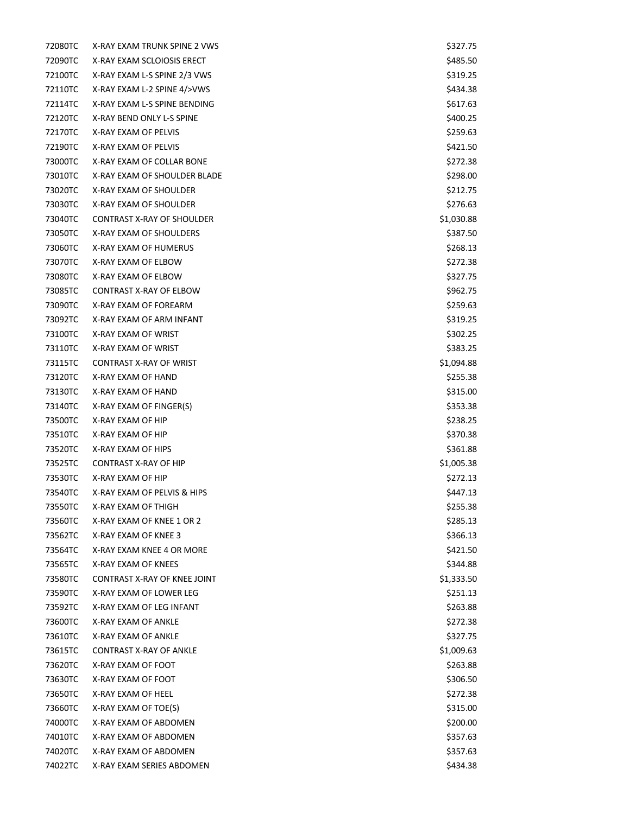| 72080TC | X-RAY EXAM TRUNK SPINE 2 VWS   | \$327.75   |
|---------|--------------------------------|------------|
| 72090TC | X-RAY EXAM SCLOIOSIS ERECT     | \$485.50   |
| 72100TC | X-RAY EXAM L-S SPINE 2/3 VWS   | \$319.25   |
| 72110TC | X-RAY EXAM L-2 SPINE 4/>VWS    | \$434.38   |
| 72114TC | X-RAY EXAM L-S SPINE BENDING   | \$617.63   |
| 72120TC | X-RAY BEND ONLY L-S SPINE      | \$400.25   |
| 72170TC | X-RAY EXAM OF PELVIS           | \$259.63   |
| 72190TC | X-RAY EXAM OF PELVIS           | \$421.50   |
| 73000TC | X-RAY EXAM OF COLLAR BONE      | \$272.38   |
| 73010TC | X-RAY EXAM OF SHOULDER BLADE   | \$298.00   |
| 73020TC | X-RAY EXAM OF SHOULDER         | \$212.75   |
| 73030TC | X-RAY EXAM OF SHOULDER         | \$276.63   |
| 73040TC | CONTRAST X-RAY OF SHOULDER     | \$1,030.88 |
| 73050TC | X-RAY EXAM OF SHOULDERS        | \$387.50   |
| 73060TC | X-RAY EXAM OF HUMERUS          | \$268.13   |
| 73070TC | X-RAY EXAM OF ELBOW            | \$272.38   |
| 73080TC | X-RAY EXAM OF ELBOW            | \$327.75   |
| 73085TC | CONTRAST X-RAY OF ELBOW        | \$962.75   |
| 73090TC | X-RAY EXAM OF FOREARM          | \$259.63   |
| 73092TC | X-RAY EXAM OF ARM INFANT       | \$319.25   |
| 73100TC | X-RAY EXAM OF WRIST            | \$302.25   |
| 73110TC | X-RAY EXAM OF WRIST            | \$383.25   |
| 73115TC | <b>CONTRAST X-RAY OF WRIST</b> | \$1,094.88 |
| 73120TC | X-RAY EXAM OF HAND             | \$255.38   |
| 73130TC | X-RAY EXAM OF HAND             | \$315.00   |
| 73140TC | X-RAY EXAM OF FINGER(S)        | \$353.38   |
| 73500TC | X-RAY EXAM OF HIP              | \$238.25   |
| 73510TC | X-RAY EXAM OF HIP              | \$370.38   |
| 73520TC | X-RAY EXAM OF HIPS             | \$361.88   |
| 73525TC | <b>CONTRAST X-RAY OF HIP</b>   | \$1,005.38 |
| 73530TC | X-RAY EXAM OF HIP              | \$272.13   |
| 73540TC | X-RAY EXAM OF PELVIS & HIPS    | \$447.13   |
| 73550TC | X-RAY EXAM OF THIGH            | \$255.38   |
| 73560TC | X-RAY EXAM OF KNEE 1 OR 2      | \$285.13   |
| 73562TC | X-RAY EXAM OF KNEE 3           | \$366.13   |
| 73564TC | X-RAY EXAM KNEE 4 OR MORE      | \$421.50   |
| 73565TC | X-RAY EXAM OF KNEES            | \$344.88   |
| 73580TC | CONTRAST X-RAY OF KNEE JOINT   | \$1,333.50 |
| 73590TC | X-RAY EXAM OF LOWER LEG        | \$251.13   |
| 73592TC | X-RAY EXAM OF LEG INFANT       | \$263.88   |
| 73600TC | X-RAY EXAM OF ANKLE            | \$272.38   |
| 73610TC | X-RAY EXAM OF ANKLE            | \$327.75   |
| 73615TC | <b>CONTRAST X-RAY OF ANKLE</b> | \$1,009.63 |
| 73620TC | X-RAY EXAM OF FOOT             | \$263.88   |
| 73630TC | X-RAY EXAM OF FOOT             | \$306.50   |
| 73650TC | X-RAY EXAM OF HEEL             | \$272.38   |
| 73660TC | X-RAY EXAM OF TOE(S)           | \$315.00   |
| 74000TC | X-RAY EXAM OF ABDOMEN          | \$200.00   |
| 74010TC | X-RAY EXAM OF ABDOMEN          | \$357.63   |
| 74020TC | X-RAY EXAM OF ABDOMEN          | \$357.63   |
| 74022TC | X-RAY EXAM SERIES ABDOMEN      | \$434.38   |
|         |                                |            |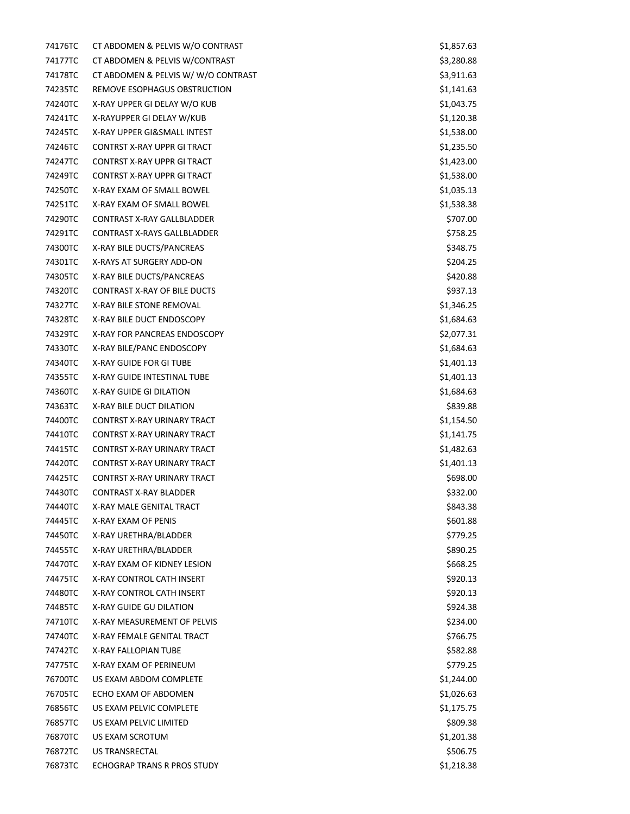| 74176TC | CT ABDOMEN & PELVIS W/O CONTRAST    | \$1,857.63 |
|---------|-------------------------------------|------------|
| 74177TC | CT ABDOMEN & PELVIS W/CONTRAST      | \$3,280.88 |
| 74178TC | CT ABDOMEN & PELVIS W/W/O CONTRAST  | \$3,911.63 |
| 74235TC | REMOVE ESOPHAGUS OBSTRUCTION        | \$1,141.63 |
| 74240TC | X-RAY UPPER GI DELAY W/O KUB        | \$1,043.75 |
| 74241TC | X-RAYUPPER GI DELAY W/KUB           | \$1,120.38 |
| 74245TC | X-RAY UPPER GI&SMALL INTEST         | \$1,538.00 |
| 74246TC | <b>CONTRST X-RAY UPPR GI TRACT</b>  | \$1,235.50 |
| 74247TC | CONTRST X-RAY UPPR GI TRACT         | \$1,423.00 |
| 74249TC | <b>CONTRST X-RAY UPPR GI TRACT</b>  | \$1,538.00 |
| 74250TC | X-RAY EXAM OF SMALL BOWEL           | \$1,035.13 |
| 74251TC | X-RAY EXAM OF SMALL BOWEL           | \$1,538.38 |
| 74290TC | CONTRAST X-RAY GALLBLADDER          | \$707.00   |
| 74291TC | <b>CONTRAST X-RAYS GALLBLADDER</b>  | \$758.25   |
| 74300TC | X-RAY BILE DUCTS/PANCREAS           | \$348.75   |
| 74301TC | X-RAYS AT SURGERY ADD-ON            | \$204.25   |
| 74305TC | X-RAY BILE DUCTS/PANCREAS           | \$420.88   |
| 74320TC | <b>CONTRAST X-RAY OF BILE DUCTS</b> | \$937.13   |
| 74327TC | X-RAY BILE STONE REMOVAL            | \$1,346.25 |
| 74328TC | X-RAY BILE DUCT ENDOSCOPY           | \$1,684.63 |
| 74329TC | X-RAY FOR PANCREAS ENDOSCOPY        | \$2,077.31 |
| 74330TC | X-RAY BILE/PANC ENDOSCOPY           | \$1,684.63 |
| 74340TC | X-RAY GUIDE FOR GITUBE              | \$1,401.13 |
| 74355TC | X-RAY GUIDE INTESTINAL TUBE         | \$1,401.13 |
| 74360TC | X-RAY GUIDE GI DILATION             | \$1,684.63 |
| 74363TC | X-RAY BILE DUCT DILATION            | \$839.88   |
| 74400TC | CONTRST X-RAY URINARY TRACT         | \$1,154.50 |
| 74410TC | CONTRST X-RAY URINARY TRACT         | \$1,141.75 |
| 74415TC | CONTRST X-RAY URINARY TRACT         | \$1,482.63 |
| 74420TC | CONTRST X-RAY URINARY TRACT         | \$1,401.13 |
| 74425TC | CONTRST X-RAY URINARY TRACT         | \$698.00   |
| 74430TC | <b>CONTRAST X-RAY BLADDER</b>       | \$332.00   |
| 74440TC | X-RAY MALE GENITAL TRACT            | \$843.38   |
| 74445TC | X-RAY EXAM OF PENIS                 | \$601.88   |
| 74450TC | X-RAY URETHRA/BLADDER               | \$779.25   |
| 74455TC | X-RAY URETHRA/BLADDER               | \$890.25   |
| 74470TC | X-RAY EXAM OF KIDNEY LESION         | \$668.25   |
| 74475TC | X-RAY CONTROL CATH INSERT           | \$920.13   |
| 74480TC | X-RAY CONTROL CATH INSERT           | \$920.13   |
| 74485TC | X-RAY GUIDE GU DILATION             | \$924.38   |
| 74710TC | X-RAY MEASUREMENT OF PELVIS         | \$234.00   |
| 74740TC | X-RAY FEMALE GENITAL TRACT          | \$766.75   |
| 74742TC | X-RAY FALLOPIAN TUBE                | \$582.88   |
| 74775TC | X-RAY EXAM OF PERINEUM              | \$779.25   |
| 76700TC | US EXAM ABDOM COMPLETE              | \$1,244.00 |
| 76705TC | ECHO EXAM OF ABDOMEN                | \$1,026.63 |
| 76856TC | US EXAM PELVIC COMPLETE             | \$1,175.75 |
| 76857TC | US EXAM PELVIC LIMITED              | \$809.38   |
| 76870TC | US EXAM SCROTUM                     | \$1,201.38 |
| 76872TC | US TRANSRECTAL                      | \$506.75   |
| 76873TC | ECHOGRAP TRANS R PROS STUDY         | \$1,218.38 |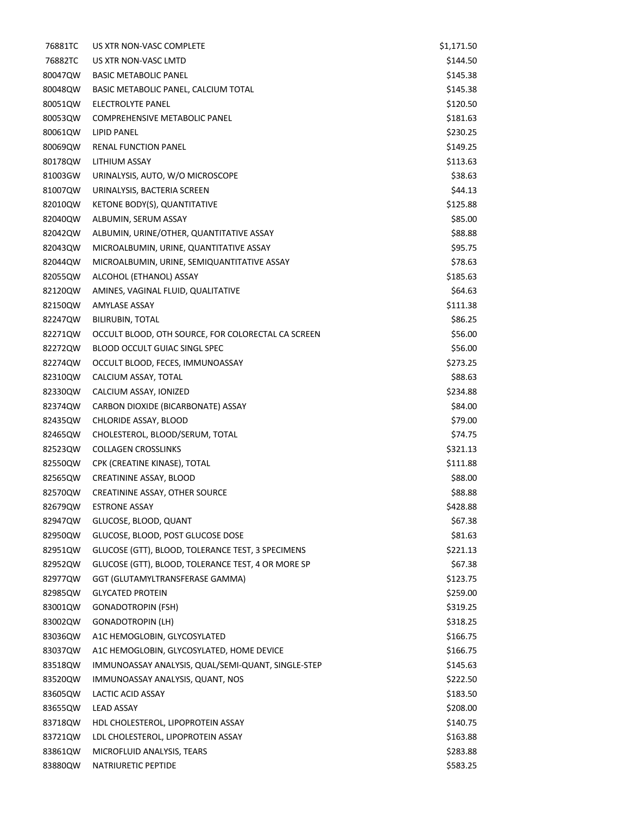| 76881TC | US XTR NON-VASC COMPLETE                           | \$1,171.50 |
|---------|----------------------------------------------------|------------|
| 76882TC | US XTR NON-VASC LMTD                               | \$144.50   |
| 80047QW | <b>BASIC METABOLIC PANEL</b>                       | \$145.38   |
| 80048QW | BASIC METABOLIC PANEL, CALCIUM TOTAL               | \$145.38   |
| 80051QW | ELECTROLYTE PANEL                                  | \$120.50   |
| 80053QW | <b>COMPREHENSIVE METABOLIC PANEL</b>               | \$181.63   |
| 80061QW | LIPID PANEL                                        | \$230.25   |
| 80069QW | RENAL FUNCTION PANEL                               | \$149.25   |
| 80178QW | LITHIUM ASSAY                                      | \$113.63   |
| 81003GW | URINALYSIS, AUTO, W/O MICROSCOPE                   | \$38.63    |
| 81007QW | URINALYSIS, BACTERIA SCREEN                        | \$44.13    |
| 82010QW | KETONE BODY(S), QUANTITATIVE                       | \$125.88   |
| 82040QW | ALBUMIN, SERUM ASSAY                               | \$85.00    |
| 82042QW | ALBUMIN, URINE/OTHER, QUANTITATIVE ASSAY           | \$88.88    |
| 82043QW | MICROALBUMIN, URINE, QUANTITATIVE ASSAY            | \$95.75    |
| 82044QW | MICROALBUMIN, URINE, SEMIQUANTITATIVE ASSAY        | \$78.63    |
| 82055QW | ALCOHOL (ETHANOL) ASSAY                            | \$185.63   |
| 82120QW | AMINES, VAGINAL FLUID, QUALITATIVE                 | \$64.63    |
| 82150QW | <b>AMYLASE ASSAY</b>                               | \$111.38   |
| 82247QW | <b>BILIRUBIN, TOTAL</b>                            | \$86.25    |
| 82271QW | OCCULT BLOOD, OTH SOURCE, FOR COLORECTAL CA SCREEN | \$56.00    |
| 82272QW | BLOOD OCCULT GUIAC SINGL SPEC                      | \$56.00    |
| 82274QW | OCCULT BLOOD, FECES, IMMUNOASSAY                   | \$273.25   |
| 82310QW | CALCIUM ASSAY, TOTAL                               | \$88.63    |
| 82330QW | CALCIUM ASSAY, IONIZED                             | \$234.88   |
| 82374QW | CARBON DIOXIDE (BICARBONATE) ASSAY                 | \$84.00    |
| 82435QW | CHLORIDE ASSAY, BLOOD                              | \$79.00    |
| 82465QW | CHOLESTEROL, BLOOD/SERUM, TOTAL                    | \$74.75    |
| 82523QW | <b>COLLAGEN CROSSLINKS</b>                         | \$321.13   |
| 82550QW | CPK (CREATINE KINASE), TOTAL                       | \$111.88   |
| 82565QW | CREATININE ASSAY, BLOOD                            | \$88.00    |
| 82570QW | CREATININE ASSAY, OTHER SOURCE                     | \$88.88    |
| 82679QW | <b>ESTRONE ASSAY</b>                               | \$428.88   |
| 82947QW | GLUCOSE, BLOOD, QUANT                              | \$67.38    |
| 82950QW | GLUCOSE, BLOOD, POST GLUCOSE DOSE                  | \$81.63    |
| 82951QW | GLUCOSE (GTT), BLOOD, TOLERANCE TEST, 3 SPECIMENS  | \$221.13   |
| 82952QW | GLUCOSE (GTT), BLOOD, TOLERANCE TEST, 4 OR MORE SP | \$67.38    |
| 82977QW | GGT (GLUTAMYLTRANSFERASE GAMMA)                    | \$123.75   |
| 82985QW | <b>GLYCATED PROTEIN</b>                            | \$259.00   |
| 83001QW | <b>GONADOTROPIN (FSH)</b>                          | \$319.25   |
| 83002QW | <b>GONADOTROPIN (LH)</b>                           | \$318.25   |
| 83036QW | A1C HEMOGLOBIN, GLYCOSYLATED                       | \$166.75   |
| 83037QW | A1C HEMOGLOBIN, GLYCOSYLATED, HOME DEVICE          | \$166.75   |
| 83518QW | IMMUNOASSAY ANALYSIS, QUAL/SEMI-QUANT, SINGLE-STEP | \$145.63   |
| 83520QW | IMMUNOASSAY ANALYSIS, QUANT, NOS                   | \$222.50   |
| 83605QW | LACTIC ACID ASSAY                                  | \$183.50   |
| 83655QW | LEAD ASSAY                                         | \$208.00   |
| 83718QW | HDL CHOLESTEROL, LIPOPROTEIN ASSAY                 | \$140.75   |
| 83721QW | LDL CHOLESTEROL, LIPOPROTEIN ASSAY                 | \$163.88   |
| 83861QW | MICROFLUID ANALYSIS, TEARS                         | \$283.88   |
| 83880QW | NATRIURETIC PEPTIDE                                | \$583.25   |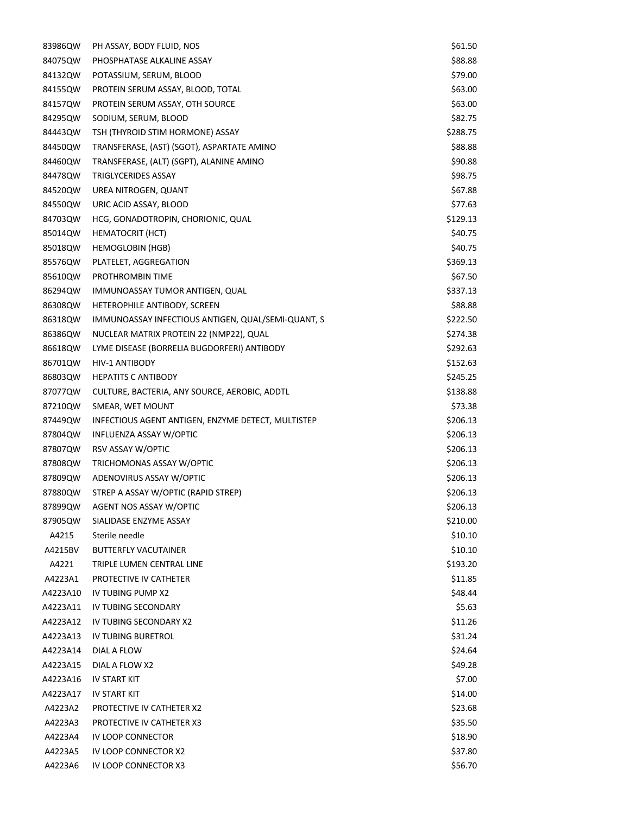| 83986QW  | PH ASSAY, BODY FLUID, NOS                          | \$61.50  |
|----------|----------------------------------------------------|----------|
| 84075QW  | PHOSPHATASE ALKALINE ASSAY                         | \$88.88  |
| 84132QW  | POTASSIUM, SERUM, BLOOD                            | \$79.00  |
| 84155QW  | PROTEIN SERUM ASSAY, BLOOD, TOTAL                  | \$63.00  |
| 84157QW  | PROTEIN SERUM ASSAY, OTH SOURCE                    | \$63.00  |
| 84295QW  | SODIUM, SERUM, BLOOD                               | \$82.75  |
| 84443QW  | TSH (THYROID STIM HORMONE) ASSAY                   | \$288.75 |
| 84450QW  | TRANSFERASE, (AST) (SGOT), ASPARTATE AMINO         | \$88.88  |
| 84460QW  | TRANSFERASE, (ALT) (SGPT), ALANINE AMINO           | \$90.88  |
| 84478QW  | TRIGLYCERIDES ASSAY                                | \$98.75  |
| 84520QW  | UREA NITROGEN, QUANT                               | \$67.88  |
| 84550QW  | URIC ACID ASSAY, BLOOD                             | \$77.63  |
| 84703QW  | HCG, GONADOTROPIN, CHORIONIC, QUAL                 | \$129.13 |
| 85014QW  | HEMATOCRIT (HCT)                                   | \$40.75  |
| 85018QW  | <b>HEMOGLOBIN (HGB)</b>                            | \$40.75  |
| 85576QW  | PLATELET, AGGREGATION                              | \$369.13 |
| 85610QW  | PROTHROMBIN TIME                                   | \$67.50  |
| 86294QW  | IMMUNOASSAY TUMOR ANTIGEN, QUAL                    | \$337.13 |
| 86308QW  | HETEROPHILE ANTIBODY, SCREEN                       | \$88.88  |
| 86318QW  | IMMUNOASSAY INFECTIOUS ANTIGEN, QUAL/SEMI-QUANT, S | \$222.50 |
| 86386QW  | NUCLEAR MATRIX PROTEIN 22 (NMP22), QUAL            | \$274.38 |
| 86618QW  | LYME DISEASE (BORRELIA BUGDORFERI) ANTIBODY        | \$292.63 |
| 86701QW  | <b>HIV-1 ANTIBODY</b>                              | \$152.63 |
| 86803QW  | <b>HEPATITS C ANTIBODY</b>                         | \$245.25 |
| 87077QW  | CULTURE, BACTERIA, ANY SOURCE, AEROBIC, ADDTL      | \$138.88 |
| 87210QW  | SMEAR, WET MOUNT                                   | \$73.38  |
| 87449QW  | INFECTIOUS AGENT ANTIGEN, ENZYME DETECT, MULTISTEP | \$206.13 |
| 87804QW  | INFLUENZA ASSAY W/OPTIC                            | \$206.13 |
| 87807QW  | RSV ASSAY W/OPTIC                                  | \$206.13 |
| 87808QW  | TRICHOMONAS ASSAY W/OPTIC                          | \$206.13 |
| 87809QW  | ADENOVIRUS ASSAY W/OPTIC                           | \$206.13 |
| 87880QW  | STREP A ASSAY W/OPTIC (RAPID STREP)                | \$206.13 |
| 87899QW  | <b>AGENT NOS ASSAY W/OPTIC</b>                     | \$206.13 |
| 87905QW  | SIALIDASE ENZYME ASSAY                             | \$210.00 |
| A4215    | Sterile needle                                     | \$10.10  |
| A4215BV  | <b>BUTTERFLY VACUTAINER</b>                        | \$10.10  |
| A4221    | TRIPLE LUMEN CENTRAL LINE                          | \$193.20 |
| A4223A1  | PROTECTIVE IV CATHETER                             | \$11.85  |
| A4223A10 | IV TUBING PUMP X2                                  | \$48.44  |
| A4223A11 | IV TUBING SECONDARY                                | \$5.63   |
| A4223A12 | IV TUBING SECONDARY X2                             | \$11.26  |
| A4223A13 | IV TUBING BURETROL                                 | \$31.24  |
| A4223A14 | DIAL A FLOW                                        | \$24.64  |
| A4223A15 | DIAL A FLOW X2                                     | \$49.28  |
| A4223A16 | IV START KIT                                       | \$7.00   |
| A4223A17 | IV START KIT                                       | \$14.00  |
| A4223A2  | PROTECTIVE IV CATHETER X2                          | \$23.68  |
| A4223A3  | PROTECTIVE IV CATHETER X3                          | \$35.50  |
| A4223A4  | IV LOOP CONNECTOR                                  | \$18.90  |
| A4223A5  | IV LOOP CONNECTOR X2                               | \$37.80  |
| A4223A6  | IV LOOP CONNECTOR X3                               | \$56.70  |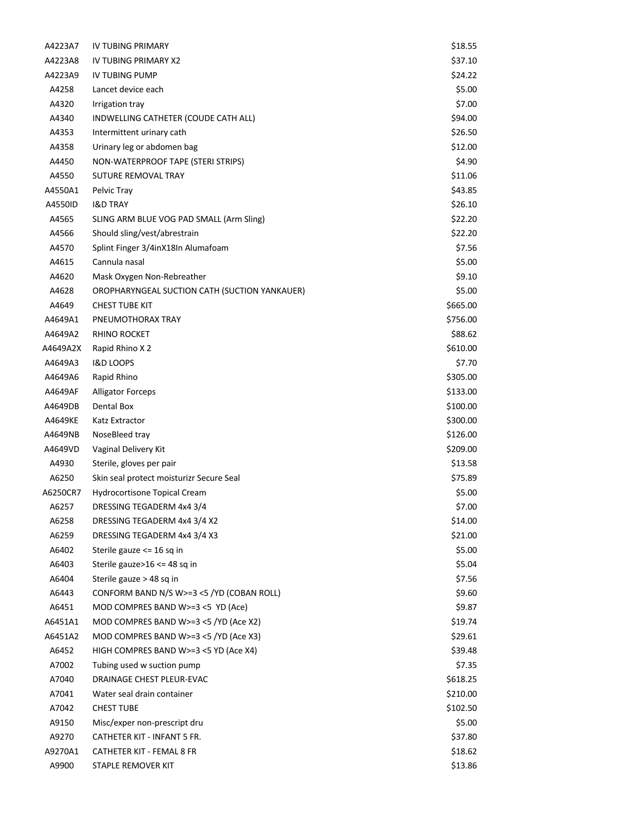| A4223A7  | IV TUBING PRIMARY                             | \$18.55  |
|----------|-----------------------------------------------|----------|
| A4223A8  | IV TUBING PRIMARY X2                          | \$37.10  |
| A4223A9  | <b>IV TUBING PUMP</b>                         | \$24.22  |
| A4258    | Lancet device each                            | \$5.00   |
| A4320    | Irrigation tray                               | \$7.00   |
| A4340    | INDWELLING CATHETER (COUDE CATH ALL)          | \$94.00  |
| A4353    | Intermittent urinary cath                     | \$26.50  |
| A4358    | Urinary leg or abdomen bag                    | \$12.00  |
| A4450    | NON-WATERPROOF TAPE (STERI STRIPS)            | \$4.90   |
| A4550    | SUTURE REMOVAL TRAY                           | \$11.06  |
| A4550A1  | Pelvic Tray                                   | \$43.85  |
| A4550ID  | <b>I&amp;D TRAY</b>                           | \$26.10  |
| A4565    | SLING ARM BLUE VOG PAD SMALL (Arm Sling)      | \$22.20  |
| A4566    | Should sling/vest/abrestrain                  | \$22.20  |
| A4570    | Splint Finger 3/4inX18In Alumafoam            | \$7.56   |
| A4615    | Cannula nasal                                 | \$5.00   |
| A4620    | Mask Oxygen Non-Rebreather                    | \$9.10   |
| A4628    | OROPHARYNGEAL SUCTION CATH (SUCTION YANKAUER) | \$5.00   |
| A4649    | <b>CHEST TUBE KIT</b>                         | \$665.00 |
| A4649A1  | PNEUMOTHORAX TRAY                             | \$756.00 |
| A4649A2  | <b>RHINO ROCKET</b>                           | \$88.62  |
| A4649A2X | Rapid Rhino X 2                               | \$610.00 |
| A4649A3  | <b>I&amp;D LOOPS</b>                          | \$7.70   |
| A4649A6  | Rapid Rhino                                   | \$305.00 |
| A4649AF  | <b>Alligator Forceps</b>                      | \$133.00 |
| A4649DB  | Dental Box                                    | \$100.00 |
| A4649KE  | Katz Extractor                                | \$300.00 |
| A4649NB  | NoseBleed tray                                | \$126.00 |
| A4649VD  | Vaginal Delivery Kit                          | \$209.00 |
| A4930    | Sterile, gloves per pair                      | \$13.58  |
| A6250    | Skin seal protect moisturizr Secure Seal      | \$75.89  |
| A6250CR7 | Hydrocortisone Topical Cream                  | \$5.00   |
| A6257    | DRESSING TEGADERM 4x4 3/4                     | \$7.00   |
| A6258    | DRESSING TEGADERM 4x4 3/4 X2                  | \$14.00  |
| A6259    | DRESSING TEGADERM 4x4 3/4 X3                  | \$21.00  |
| A6402    | Sterile gauze <= 16 sq in                     | \$5.00   |
| A6403    | Sterile gauze>16 <= 48 sq in                  | \$5.04   |
| A6404    | Sterile gauze > 48 sq in                      | \$7.56   |
| A6443    | CONFORM BAND N/S W>=3 <5 /YD (COBAN ROLL)     | \$9.60   |
| A6451    | MOD COMPRES BAND W>=3 $<$ 5 YD (Ace)          | \$9.87   |
| A6451A1  | MOD COMPRES BAND W>=3 <5 /YD (Ace X2)         | \$19.74  |
| A6451A2  | MOD COMPRES BAND W>=3 <5 /YD (Ace X3)         | \$29.61  |
| A6452    | HIGH COMPRES BAND W>=3 <5 YD (Ace X4)         | \$39.48  |
| A7002    | Tubing used w suction pump                    | \$7.35   |
| A7040    | DRAINAGE CHEST PLEUR-EVAC                     | \$618.25 |
| A7041    | Water seal drain container                    | \$210.00 |
| A7042    | <b>CHEST TUBE</b>                             | \$102.50 |
| A9150    | Misc/exper non-prescript dru                  | \$5.00   |
| A9270    | CATHETER KIT - INFANT 5 FR.                   | \$37.80  |
| A9270A1  | CATHETER KIT - FEMAL 8 FR                     | \$18.62  |
| A9900    | STAPLE REMOVER KIT                            | \$13.86  |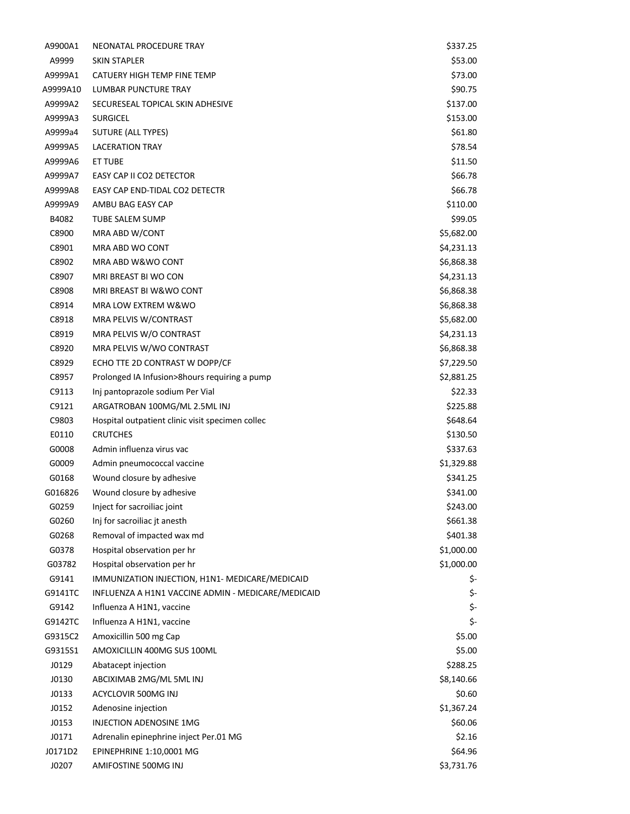| A9900A1  | NEONATAL PROCEDURE TRAY                            | \$337.25   |
|----------|----------------------------------------------------|------------|
| A9999    | <b>SKIN STAPLER</b>                                | \$53.00    |
| A9999A1  | CATUERY HIGH TEMP FINE TEMP                        | \$73.00    |
| A9999A10 | LUMBAR PUNCTURE TRAY                               | \$90.75    |
| A9999A2  | SECURESEAL TOPICAL SKIN ADHESIVE                   | \$137.00   |
| A9999A3  | <b>SURGICEL</b>                                    | \$153.00   |
| A9999a4  | SUTURE (ALL TYPES)                                 | \$61.80    |
| A9999A5  | <b>LACERATION TRAY</b>                             | \$78.54    |
| A9999A6  | ET TUBE                                            | \$11.50    |
| A9999A7  | EASY CAP II CO2 DETECTOR                           | \$66.78    |
| A9999A8  | EASY CAP END-TIDAL CO2 DETECTR                     | \$66.78    |
| A9999A9  | AMBU BAG EASY CAP                                  | \$110.00   |
| B4082    | TUBE SALEM SUMP                                    | \$99.05    |
| C8900    | MRA ABD W/CONT                                     | \$5,682.00 |
| C8901    | MRA ABD WO CONT                                    | \$4,231.13 |
| C8902    | MRA ABD W&WO CONT                                  | \$6,868.38 |
| C8907    | MRI BREAST BI WO CON                               | \$4,231.13 |
| C8908    | MRI BREAST BI W&WO CONT                            | \$6,868.38 |
| C8914    | MRA LOW EXTREM W&WO                                | \$6,868.38 |
| C8918    | MRA PELVIS W/CONTRAST                              | \$5,682.00 |
| C8919    | MRA PELVIS W/O CONTRAST                            | \$4,231.13 |
| C8920    | MRA PELVIS W/WO CONTRAST                           | \$6,868.38 |
| C8929    | ECHO TTE 2D CONTRAST W DOPP/CF                     | \$7,229.50 |
| C8957    | Prolonged IA Infusion>8hours requiring a pump      | \$2,881.25 |
| C9113    | Inj pantoprazole sodium Per Vial                   | \$22.33    |
| C9121    | ARGATROBAN 100MG/ML 2.5ML INJ                      | \$225.88   |
| C9803    | Hospital outpatient clinic visit specimen collec   | \$648.64   |
| E0110    | <b>CRUTCHES</b>                                    | \$130.50   |
| G0008    | Admin influenza virus vac                          | \$337.63   |
|          |                                                    |            |
| G0009    | Admin pneumococcal vaccine                         | \$1,329.88 |
| G0168    | Wound closure by adhesive                          | \$341.25   |
| G016826  | Wound closure by adhesive                          | \$341.00   |
| G0259    | Inject for sacroiliac joint                        | \$243.00   |
| G0260    | Inj for sacroiliac jt anesth                       | \$661.38   |
| G0268    | Removal of impacted wax md                         | \$401.38   |
| G0378    | Hospital observation per hr                        | \$1,000.00 |
| G03782   | Hospital observation per hr                        | \$1,000.00 |
| G9141    | IMMUNIZATION INJECTION, H1N1- MEDICARE/MEDICAID    | \$-        |
| G9141TC  | INFLUENZA A H1N1 VACCINE ADMIN - MEDICARE/MEDICAID | \$-        |
| G9142    | Influenza A H1N1, vaccine                          | \$-        |
| G9142TC  | Influenza A H1N1, vaccine                          | \$-        |
| G9315C2  | Amoxicillin 500 mg Cap                             | \$5.00     |
| G9315S1  | AMOXICILLIN 400MG SUS 100ML                        | \$5.00     |
| J0129    | Abatacept injection                                | \$288.25   |
| J0130    | ABCIXIMAB 2MG/ML 5ML INJ                           | \$8,140.66 |
| J0133    | ACYCLOVIR 500MG INJ                                | \$0.60     |
| J0152    | Adenosine injection                                | \$1,367.24 |
| J0153    | INJECTION ADENOSINE 1MG                            | \$60.06    |
| J0171    | Adrenalin epinephrine inject Per.01 MG             | \$2.16     |
| J0171D2  | EPINEPHRINE 1:10,0001 MG                           | \$64.96    |
| J0207    | AMIFOSTINE 500MG INJ                               | \$3,731.76 |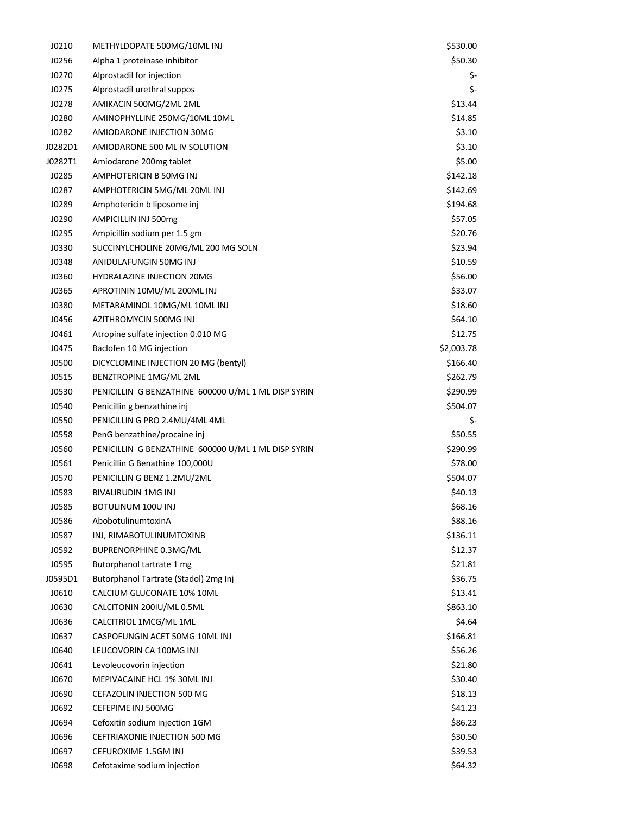| J0210   | METHYLDOPATE 500MG/10ML INJ                         | \$530.00   |
|---------|-----------------------------------------------------|------------|
| J0256   | Alpha 1 proteinase inhibitor                        | \$50.30    |
| J0270   | Alprostadil for injection                           | \$-        |
| J0275   | Alprostadil urethral suppos                         | \$-        |
| J0278   | AMIKACIN 500MG/2ML 2ML                              | \$13.44    |
| J0280   | AMINOPHYLLINE 250MG/10ML 10ML                       | \$14.85    |
| J0282   | AMIODARONE INJECTION 30MG                           | \$3.10     |
| J0282D1 | AMIODARONE 500 ML IV SOLUTION                       | \$3.10     |
| J0282T1 | Amiodarone 200mg tablet                             | \$5.00     |
| J0285   | AMPHOTERICIN B 50MG INJ                             | \$142.18   |
| J0287   | AMPHOTERICIN 5MG/ML 20ML INJ                        | \$142.69   |
| J0289   | Amphotericin b liposome inj                         | \$194.68   |
| J0290   | AMPICILLIN INJ 500mg                                | \$57.05    |
| J0295   | Ampicillin sodium per 1.5 gm                        | \$20.76    |
| J0330   | SUCCINYLCHOLINE 20MG/ML 200 MG SOLN                 | \$23.94    |
| J0348   | ANIDULAFUNGIN 50MG INJ                              | \$10.59    |
| J0360   | HYDRALAZINE INJECTION 20MG                          | \$56.00    |
| J0365   | APROTININ 10MU/ML 200ML INJ                         | \$33.07    |
| J0380   | METARAMINOL 10MG/ML 10ML INJ                        | \$18.60    |
| J0456   | AZITHROMYCIN 500MG INJ                              | \$64.10    |
| J0461   | Atropine sulfate injection 0.010 MG                 | \$12.75    |
| J0475   | Baclofen 10 MG injection                            | \$2,003.78 |
| J0500   | DICYCLOMINE INJECTION 20 MG (bentyl)                | \$166.40   |
| J0515   | BENZTROPINE 1MG/ML 2ML                              | \$262.79   |
| J0530   | PENICILLIN G BENZATHINE 600000 U/ML 1 ML DISP SYRIN | \$290.99   |
| J0540   | Penicillin g benzathine inj                         | \$504.07   |
| J0550   | PENICILLIN G PRO 2.4MU/4ML 4ML                      | \$-        |
| J0558   | PenG benzathine/procaine inj                        | \$50.55    |
| J0560   | PENICILLIN G BENZATHINE 600000 U/ML 1 ML DISP SYRIN | \$290.99   |
| J0561   | Penicillin G Benathine 100,000U                     | \$78.00    |
| J0570   | PENICILLIN G BENZ 1.2MU/2ML                         | \$504.07   |
| J0583   | BIVALIRUDIN 1MG INJ                                 | \$40.13    |
| J0585   | <b>BOTULINUM 100U INJ</b>                           | \$68.16    |
| J0586   | AbobotulinumtoxinA                                  | \$88.16    |
| J0587   | INJ, RIMABOTULINUMTOXINB                            | \$136.11   |
| J0592   | BUPRENORPHINE 0.3MG/ML                              | \$12.37    |
| J0595   | Butorphanol tartrate 1 mg                           | \$21.81    |
| J0595D1 | Butorphanol Tartrate (Stadol) 2mg Inj               | \$36.75    |
| J0610   | CALCIUM GLUCONATE 10% 10ML                          | \$13.41    |
| J0630   | CALCITONIN 200IU/ML 0.5ML                           | \$863.10   |
| J0636   | CALCITRIOL 1MCG/ML 1ML                              | \$4.64     |
| J0637   | CASPOFUNGIN ACET 50MG 10ML INJ                      | \$166.81   |
| J0640   | LEUCOVORIN CA 100MG INJ                             | \$56.26    |
| J0641   | Levoleucovorin injection                            | \$21.80    |
| J0670   | MEPIVACAINE HCL 1% 30ML INJ                         | \$30.40    |
| J0690   | CEFAZOLIN INJECTION 500 MG                          | \$18.13    |
| J0692   | CEFEPIME INJ 500MG                                  | \$41.23    |
| J0694   | Cefoxitin sodium injection 1GM                      | \$86.23    |
| J0696   | CEFTRIAXONIE INJECTION 500 MG                       | \$30.50    |
| J0697   | CEFUROXIME 1.5GM INJ                                | \$39.53    |
| J0698   | Cefotaxime sodium injection                         | \$64.32    |
|         |                                                     |            |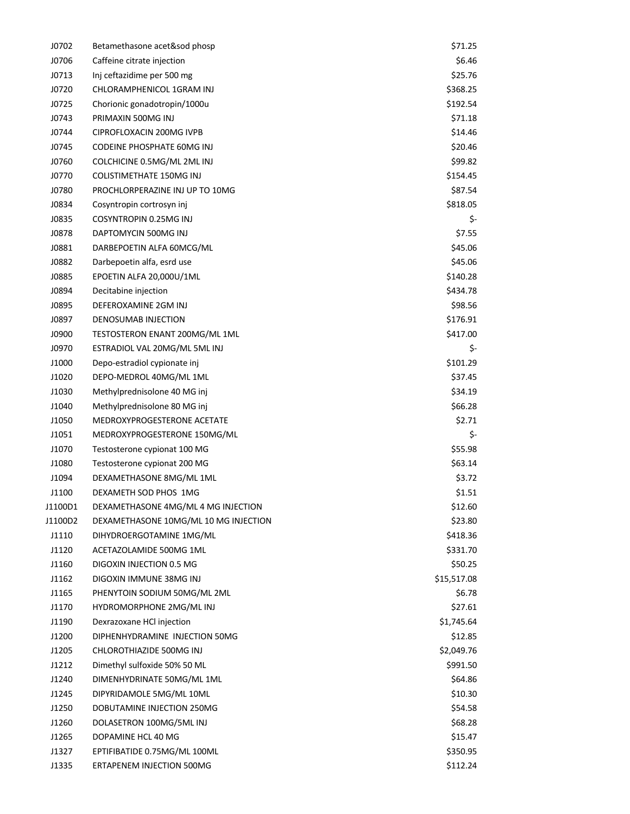| J0702   | Betamethasone acet&sod phosp          | \$71.25     |
|---------|---------------------------------------|-------------|
| J0706   | Caffeine citrate injection            | \$6.46      |
| J0713   | Inj ceftazidime per 500 mg            | \$25.76     |
| J0720   | CHLORAMPHENICOL 1GRAM INJ             | \$368.25    |
| J0725   | Chorionic gonadotropin/1000u          | \$192.54    |
| J0743   | PRIMAXIN 500MG INJ                    | \$71.18     |
| J0744   | CIPROFLOXACIN 200MG IVPB              | \$14.46     |
| J0745   | CODEINE PHOSPHATE 60MG INJ            | \$20.46     |
| J0760   | COLCHICINE 0.5MG/ML 2ML INJ           | \$99.82     |
| J0770   | COLISTIMETHATE 150MG INJ              | \$154.45    |
| J0780   | PROCHLORPERAZINE INJ UP TO 10MG       | \$87.54     |
| J0834   | Cosyntropin cortrosyn inj             | \$818.05    |
| J0835   | COSYNTROPIN 0.25MG INJ                | \$-         |
| J0878   | DAPTOMYCIN 500MG INJ                  | \$7.55      |
| J0881   | DARBEPOETIN ALFA 60MCG/ML             | \$45.06     |
| J0882   | Darbepoetin alfa, esrd use            | \$45.06     |
| J0885   | EPOETIN ALFA 20,000U/1ML              | \$140.28    |
| J0894   | Decitabine injection                  | \$434.78    |
| J0895   | DEFEROXAMINE 2GM INJ                  | \$98.56     |
| J0897   | DENOSUMAB INJECTION                   | \$176.91    |
| J0900   | TESTOSTERON ENANT 200MG/ML 1ML        | \$417.00    |
| J0970   | ESTRADIOL VAL 20MG/ML 5ML INJ         | \$-         |
| J1000   | Depo-estradiol cypionate inj          | \$101.29    |
| J1020   | DEPO-MEDROL 40MG/ML 1ML               | \$37.45     |
| J1030   | Methylprednisolone 40 MG inj          | \$34.19     |
| J1040   | Methylprednisolone 80 MG inj          | \$66.28     |
| J1050   | MEDROXYPROGESTERONE ACETATE           | \$2.71      |
| J1051   | MEDROXYPROGESTERONE 150MG/ML          | \$-         |
| J1070   | Testosterone cypionat 100 MG          | \$55.98     |
| J1080   | Testosterone cypionat 200 MG          | \$63.14     |
| J1094   | DEXAMETHASONE 8MG/ML 1ML              | \$3.72      |
| J1100   | DEXAMETH SOD PHOS 1MG                 | \$1.51      |
| J1100D1 | DEXAMETHASONE 4MG/ML 4 MG INJECTION   | \$12.60     |
| J1100D2 | DEXAMETHASONE 10MG/ML 10 MG INJECTION | \$23.80     |
| J1110   | DIHYDROERGOTAMINE 1MG/ML              | \$418.36    |
| J1120   | ACETAZOLAMIDE 500MG 1ML               | \$331.70    |
| J1160   | DIGOXIN INJECTION 0.5 MG              | \$50.25     |
| J1162   | DIGOXIN IMMUNE 38MG INJ               | \$15,517.08 |
| J1165   | PHENYTOIN SODIUM 50MG/ML 2ML          | \$6.78      |
| J1170   | HYDROMORPHONE 2MG/ML INJ              | \$27.61     |
| J1190   | Dexrazoxane HCl injection             | \$1,745.64  |
| J1200   | DIPHENHYDRAMINE INJECTION 50MG        | \$12.85     |
| J1205   | CHLOROTHIAZIDE 500MG INJ              | \$2,049.76  |
| J1212   | Dimethyl sulfoxide 50% 50 ML          | \$991.50    |
| J1240   | DIMENHYDRINATE 50MG/ML 1ML            | \$64.86     |
| J1245   | DIPYRIDAMOLE 5MG/ML 10ML              | \$10.30     |
| J1250   | DOBUTAMINE INJECTION 250MG            | \$54.58     |
| J1260   | DOLASETRON 100MG/5ML INJ              | \$68.28     |
| J1265   | DOPAMINE HCL 40 MG                    | \$15.47     |
| J1327   | EPTIFIBATIDE 0.75MG/ML 100ML          | \$350.95    |
| J1335   | ERTAPENEM INJECTION 500MG             | \$112.24    |
|         |                                       |             |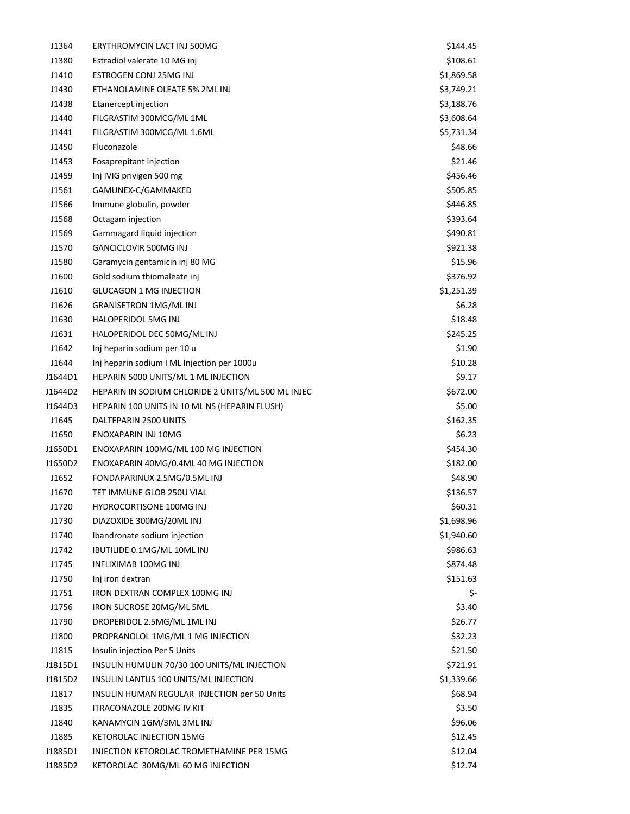| J1364   | ERYTHROMYCIN LACT INJ 500MG                        | \$144.45   |
|---------|----------------------------------------------------|------------|
| J1380   | Estradiol valerate 10 MG inj                       | \$108.61   |
| J1410   | ESTROGEN CONJ 25MG INJ                             | \$1,869.58 |
| J1430   | ETHANOLAMINE OLEATE 5% 2ML INJ                     | \$3,749.21 |
| J1438   | Etanercept injection                               | \$3,188.76 |
| J1440   | FILGRASTIM 300MCG/ML 1ML                           | \$3,608.64 |
| J1441   | FILGRASTIM 300MCG/ML 1.6ML                         | \$5,731.34 |
| J1450   | Fluconazole                                        | \$48.66    |
| J1453   | Fosaprepitant injection                            | \$21.46    |
| J1459   | Inj IVIG privigen 500 mg                           | \$456.46   |
| J1561   | GAMUNEX-C/GAMMAKED                                 | \$505.85   |
| J1566   | Immune globulin, powder                            | \$446.85   |
| J1568   | Octagam injection                                  | \$393.64   |
| J1569   | Gammagard liquid injection                         | \$490.81   |
| J1570   | <b>GANCICLOVIR 500MG INJ</b>                       | \$921.38   |
| J1580   | Garamycin gentamicin inj 80 MG                     | \$15.96    |
| J1600   | Gold sodium thiomaleate inj                        | \$376.92   |
| J1610   | <b>GLUCAGON 1 MG INJECTION</b>                     | \$1,251.39 |
| J1626   | <b>GRANISETRON 1MG/MLINJ</b>                       | \$6.28     |
| J1630   | HALOPERIDOL 5MG INJ                                | \$18.48    |
| J1631   | HALOPERIDOL DEC 50MG/ML INJ                        | \$245.25   |
| J1642   | Inj heparin sodium per 10 u                        | \$1.90     |
| J1644   | Inj heparin sodium I ML Injection per 1000u        | \$10.28    |
| J1644D1 | HEPARIN 5000 UNITS/ML 1 ML INJECTION               | \$9.17     |
| J1644D2 | HEPARIN IN SODIUM CHLORIDE 2 UNITS/ML 500 ML INJEC | \$672.00   |
| J1644D3 | HEPARIN 100 UNITS IN 10 ML NS (HEPARIN FLUSH)      | \$5.00     |
| J1645   | DALTEPARIN 2500 UNITS                              | \$162.35   |
| J1650   | ENOXAPARIN INJ 10MG                                | \$6.23     |
| J1650D1 | ENOXAPARIN 100MG/ML 100 MG INJECTION               | \$454.30   |
| J1650D2 | ENOXAPARIN 40MG/0.4ML 40 MG INJECTION              | \$182.00   |
| J1652   | FONDAPARINUX 2.5MG/0.5ML INJ                       | \$48.90    |
| J1670   | TET IMMUNE GLOB 250U VIAL                          | \$136.57   |
| J1720   | HYDROCORTISONE 100MG INJ                           | \$60.31    |
| J1730   | DIAZOXIDE 300MG/20ML INJ                           | \$1,698.96 |
| J1740   | Ibandronate sodium injection                       | \$1,940.60 |
| J1742   | IBUTILIDE 0.1MG/ML 10ML INJ                        | \$986.63   |
| J1745   | INFLIXIMAB 100MG INJ                               | \$874.48   |
| J1750   | Inj iron dextran                                   | \$151.63   |
| J1751   | IRON DEXTRAN COMPLEX 100MG INJ                     | \$-        |
| J1756   | IRON SUCROSE 20MG/ML 5ML                           | \$3.40     |
| J1790   | DROPERIDOL 2.5MG/ML 1ML INJ                        | \$26.77    |
| J1800   | PROPRANOLOL 1MG/ML 1 MG INJECTION                  | \$32.23    |
| J1815   | Insulin injection Per 5 Units                      | \$21.50    |
| J1815D1 | INSULIN HUMULIN 70/30 100 UNITS/ML INJECTION       | \$721.91   |
| J1815D2 | INSULIN LANTUS 100 UNITS/ML INJECTION              | \$1,339.66 |
| J1817   | INSULIN HUMAN REGULAR INJECTION per 50 Units       | \$68.94    |
| J1835   | ITRACONAZOLE 200MG IV KIT                          | \$3.50     |
| J1840   | KANAMYCIN 1GM/3ML 3ML INJ                          | \$96.06    |
| J1885   | KETOROLAC INJECTION 15MG                           | \$12.45    |
| J1885D1 | INJECTION KETOROLAC TROMETHAMINE PER 15MG          | \$12.04    |
| J1885D2 | KETOROLAC 30MG/ML 60 MG INJECTION                  | \$12.74    |
|         |                                                    |            |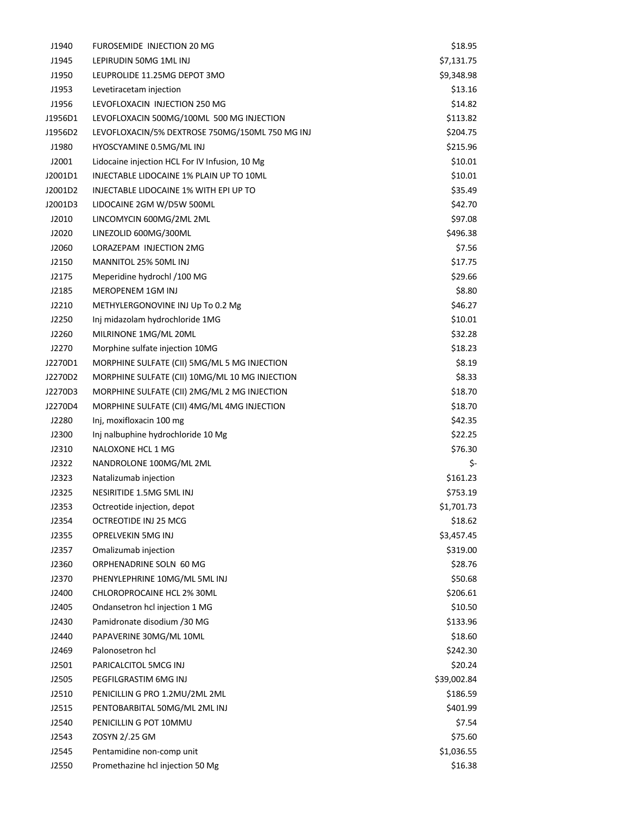| J1940   | FUROSEMIDE INJECTION 20 MG                      | \$18.95     |
|---------|-------------------------------------------------|-------------|
| J1945   | LEPIRUDIN 50MG 1ML INJ                          | \$7,131.75  |
| J1950   | LEUPROLIDE 11.25MG DEPOT 3MO                    | \$9,348.98  |
| J1953   | Levetiracetam injection                         | \$13.16     |
| J1956   | LEVOFLOXACIN INJECTION 250 MG                   | \$14.82     |
| J1956D1 | LEVOFLOXACIN 500MG/100ML 500 MG INJECTION       | \$113.82    |
| J1956D2 | LEVOFLOXACIN/5% DEXTROSE 750MG/150ML 750 MG INJ | \$204.75    |
| J1980   | HYOSCYAMINE 0.5MG/ML INJ                        | \$215.96    |
| J2001   | Lidocaine injection HCL For IV Infusion, 10 Mg  | \$10.01     |
| J2001D1 | INJECTABLE LIDOCAINE 1% PLAIN UP TO 10ML        | \$10.01     |
| J2001D2 | INJECTABLE LIDOCAINE 1% WITH EPI UP TO          | \$35.49     |
| J2001D3 | LIDOCAINE 2GM W/D5W 500ML                       | \$42.70     |
| J2010   | LINCOMYCIN 600MG/2ML 2ML                        | \$97.08     |
| J2020   | LINEZOLID 600MG/300ML                           | \$496.38    |
| J2060   | LORAZEPAM INJECTION 2MG                         | \$7.56      |
| J2150   | MANNITOL 25% 50ML INJ                           | \$17.75     |
| J2175   | Meperidine hydrochl /100 MG                     | \$29.66     |
| J2185   | MEROPENEM 1GM INJ                               | \$8.80      |
| J2210   | METHYLERGONOVINE INJ Up To 0.2 Mg               | \$46.27     |
| J2250   | Inj midazolam hydrochloride 1MG                 | \$10.01     |
| J2260   | MILRINONE 1MG/ML 20ML                           | \$32.28     |
| J2270   | Morphine sulfate injection 10MG                 | \$18.23     |
| J2270D1 | MORPHINE SULFATE (CII) 5MG/ML 5 MG INJECTION    | \$8.19      |
| J2270D2 | MORPHINE SULFATE (CII) 10MG/ML 10 MG INJECTION  | \$8.33      |
| J2270D3 | MORPHINE SULFATE (CII) 2MG/ML 2 MG INJECTION    | \$18.70     |
| J2270D4 | MORPHINE SULFATE (CII) 4MG/ML 4MG INJECTION     | \$18.70     |
| J2280   | Inj, moxifloxacin 100 mg                        | \$42.35     |
| J2300   | Inj nalbuphine hydrochloride 10 Mg              | \$22.25     |
| J2310   | NALOXONE HCL 1 MG                               | \$76.30     |
| J2322   | NANDROLONE 100MG/ML 2ML                         | \$-         |
| J2323   | Natalizumab injection                           | \$161.23    |
| J2325   | NESIRITIDE 1.5MG 5ML INJ                        | \$753.19    |
| J2353   | Octreotide injection, depot                     | \$1,701.73  |
| J2354   | OCTREOTIDE INJ 25 MCG                           | \$18.62     |
| J2355   | OPRELVEKIN 5MG INJ                              | \$3,457.45  |
| J2357   | Omalizumab injection                            | \$319.00    |
| J2360   | ORPHENADRINE SOLN 60 MG                         | \$28.76     |
| J2370   | PHENYLEPHRINE 10MG/ML 5ML INJ                   | \$50.68     |
| J2400   | CHLOROPROCAINE HCL 2% 30ML                      | \$206.61    |
| J2405   | Ondansetron hcl injection 1 MG                  | \$10.50     |
| J2430   | Pamidronate disodium /30 MG                     | \$133.96    |
| J2440   | PAPAVERINE 30MG/ML 10ML                         | \$18.60     |
| J2469   | Palonosetron hcl                                | \$242.30    |
| J2501   | PARICALCITOL 5MCG INJ                           | \$20.24     |
| J2505   | PEGFILGRASTIM 6MG INJ                           | \$39,002.84 |
| J2510   | PENICILLIN G PRO 1.2MU/2ML 2ML                  | \$186.59    |
| J2515   | PENTOBARBITAL 50MG/ML 2ML INJ                   | \$401.99    |
| J2540   | PENICILLIN G POT 10MMU                          | \$7.54      |
| J2543   | ZOSYN 2/.25 GM                                  | \$75.60     |
| J2545   | Pentamidine non-comp unit                       | \$1,036.55  |
| J2550   | Promethazine hcl injection 50 Mg                | \$16.38     |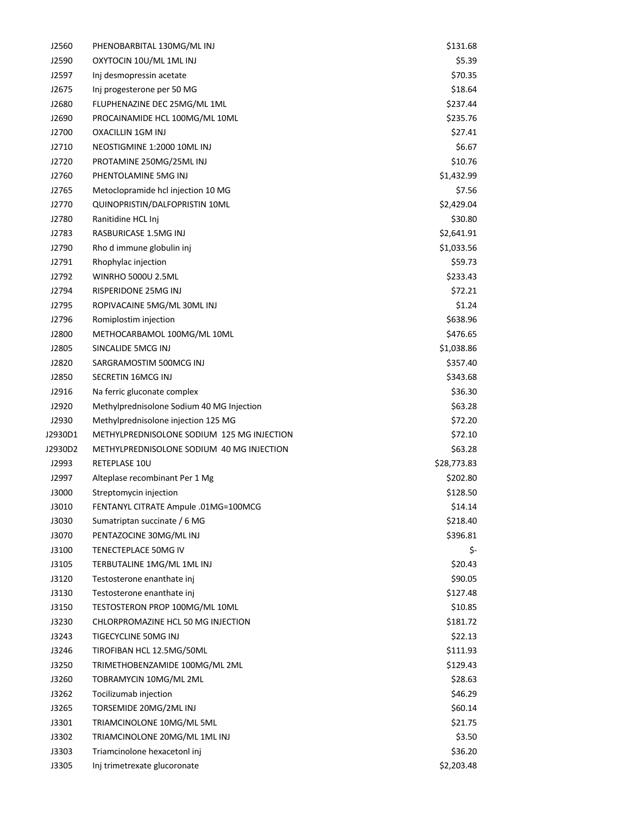| J2560          | PHENOBARBITAL 130MG/ML INJ                      | \$131.68              |
|----------------|-------------------------------------------------|-----------------------|
| J2590          | OXYTOCIN 10U/ML 1ML INJ                         | \$5.39                |
| J2597          | Inj desmopressin acetate                        | \$70.35               |
| J2675          | Inj progesterone per 50 MG                      | \$18.64               |
| J2680          | FLUPHENAZINE DEC 25MG/ML 1ML                    | \$237.44              |
| J2690          | PROCAINAMIDE HCL 100MG/ML 10ML                  | \$235.76              |
| J2700          | OXACILLIN 1GM INJ                               | \$27.41               |
| J2710          | NEOSTIGMINE 1:2000 10ML INJ                     | \$6.67                |
| J2720          | PROTAMINE 250MG/25ML INJ                        | \$10.76               |
| J2760          | PHENTOLAMINE 5MG INJ                            | \$1,432.99            |
| J2765          | Metoclopramide hcl injection 10 MG              | \$7.56                |
| J2770          | QUINOPRISTIN/DALFOPRISTIN 10ML                  | \$2,429.04            |
| J2780          | Ranitidine HCL Inj                              | \$30.80               |
| J2783          | RASBURICASE 1.5MG INJ                           | \$2,641.91            |
| J2790          | Rho d immune globulin inj                       | \$1,033.56            |
| J2791          | Rhophylac injection                             | \$59.73               |
| J2792          | <b>WINRHO 5000U 2.5ML</b>                       | \$233.43              |
| J2794          | RISPERIDONE 25MG INJ                            | \$72.21               |
| J2795          | ROPIVACAINE 5MG/ML 30ML INJ                     | \$1.24                |
| J2796          | Romiplostim injection                           | \$638.96              |
| J2800          | METHOCARBAMOL 100MG/ML 10ML                     | \$476.65              |
| J2805          | SINCALIDE 5MCG INJ                              | \$1,038.86            |
| J2820          | SARGRAMOSTIM 500MCG INJ                         | \$357.40              |
| J2850          | SECRETIN 16MCG INJ                              | \$343.68              |
| J2916          | Na ferric gluconate complex                     | \$36.30               |
| J2920          | Methylprednisolone Sodium 40 MG Injection       | \$63.28               |
| J2930          | Methylprednisolone injection 125 MG             | \$72.20               |
| J2930D1        | METHYLPREDNISOLONE SODIUM 125 MG INJECTION      | \$72.10               |
| J2930D2        | METHYLPREDNISOLONE SODIUM 40 MG INJECTION       | \$63.28               |
| J2993          | RETEPLASE 10U                                   | \$28,773.83           |
| J2997          | Alteplase recombinant Per 1 Mg                  | \$202.80              |
| J3000          | Streptomycin injection                          | \$128.50              |
| J3010          | FENTANYL CITRATE Ampule .01MG=100MCG            | \$14.14               |
| J3030          | Sumatriptan succinate / 6 MG                    | \$218.40              |
| J3070          | PENTAZOCINE 30MG/ML INJ                         | \$396.81              |
| J3100          | TENECTEPLACE 50MG IV                            | \$-                   |
| J3105          | TERBUTALINE 1MG/ML 1ML INJ                      | \$20.43               |
| J3120          | Testosterone enanthate inj                      | \$90.05               |
| J3130          | Testosterone enanthate inj                      | \$127.48              |
| J3150          | TESTOSTERON PROP 100MG/ML 10ML                  | \$10.85               |
| J3230          | CHLORPROMAZINE HCL 50 MG INJECTION              | \$181.72              |
| J3243          | TIGECYCLINE 50MG INJ                            | \$22.13               |
| J3246          | TIROFIBAN HCL 12.5MG/50ML                       | \$111.93              |
| J3250          | TRIMETHOBENZAMIDE 100MG/ML 2ML                  | \$129.43              |
| J3260          | TOBRAMYCIN 10MG/ML 2ML                          | \$28.63               |
| J3262          |                                                 |                       |
|                | Tocilizumab injection<br>TORSEMIDE 20MG/2ML INJ | \$46.29               |
| J3265<br>J3301 | TRIAMCINOLONE 10MG/ML 5ML                       | \$60.14               |
|                |                                                 | \$21.75               |
| J3302          | TRIAMCINOLONE 20MG/ML 1ML INJ                   | \$3.50                |
| J3303          | Triamcinolone hexacetonl inj                    | \$36.20<br>\$2,203.48 |
| J3305          | Inj trimetrexate glucoronate                    |                       |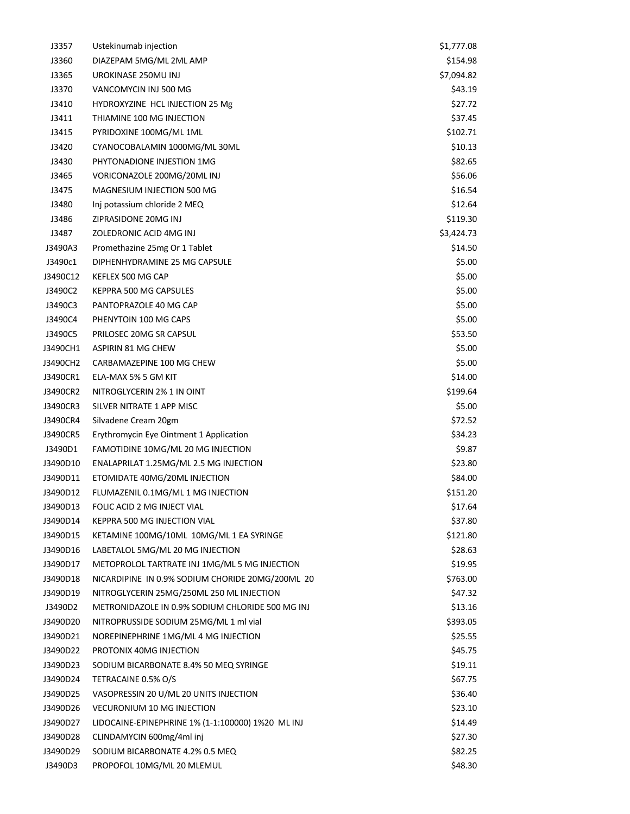| J3357    | Ustekinumab injection                             | \$1,777.08 |
|----------|---------------------------------------------------|------------|
| J3360    | DIAZEPAM 5MG/ML 2ML AMP                           | \$154.98   |
| J3365    | UROKINASE 250MU INJ                               | \$7,094.82 |
| J3370    | VANCOMYCIN INJ 500 MG                             | \$43.19    |
| J3410    | HYDROXYZINE HCL INJECTION 25 Mg                   | \$27.72    |
| J3411    | THIAMINE 100 MG INJECTION                         | \$37.45    |
| J3415    | PYRIDOXINE 100MG/ML 1ML                           | \$102.71   |
| J3420    | CYANOCOBALAMIN 1000MG/ML 30ML                     | \$10.13    |
| J3430    | PHYTONADIONE INJESTION 1MG                        | \$82.65    |
| J3465    | VORICONAZOLE 200MG/20ML INJ                       | \$56.06    |
| J3475    | MAGNESIUM INJECTION 500 MG                        | \$16.54    |
| J3480    | Inj potassium chloride 2 MEQ                      | \$12.64    |
| J3486    | ZIPRASIDONE 20MG INJ                              | \$119.30   |
| J3487    | ZOLEDRONIC ACID 4MG INJ                           | \$3,424.73 |
| J3490A3  | Promethazine 25mg Or 1 Tablet                     | \$14.50    |
| J3490c1  | DIPHENHYDRAMINE 25 MG CAPSULE                     | \$5.00     |
| J3490C12 | KEFLEX 500 MG CAP                                 | \$5.00     |
| J3490C2  | KEPPRA 500 MG CAPSULES                            | \$5.00     |
| J3490C3  | PANTOPRAZOLE 40 MG CAP                            | \$5.00     |
| J3490C4  | PHENYTOIN 100 MG CAPS                             | \$5.00     |
| J3490C5  | PRILOSEC 20MG SR CAPSUL                           | \$53.50    |
| J3490CH1 | ASPIRIN 81 MG CHEW                                | \$5.00     |
| J3490CH2 | CARBAMAZEPINE 100 MG CHEW                         | \$5.00     |
| J3490CR1 | ELA-MAX 5% 5 GM KIT                               | \$14.00    |
| J3490CR2 | NITROGLYCERIN 2% 1 IN OINT                        | \$199.64   |
| J3490CR3 | SILVER NITRATE 1 APP MISC                         | \$5.00     |
| J3490CR4 | Silvadene Cream 20gm                              | \$72.52    |
| J3490CR5 | Erythromycin Eye Ointment 1 Application           | \$34.23    |
| J3490D1  | FAMOTIDINE 10MG/ML 20 MG INJECTION                | \$9.87     |
| J3490D10 | ENALAPRILAT 1.25MG/ML 2.5 MG INJECTION            | \$23.80    |
| J3490D11 | ETOMIDATE 40MG/20ML INJECTION                     | \$84.00    |
| J3490D12 | FLUMAZENIL 0.1MG/ML 1 MG INJECTION                | \$151.20   |
| J3490D13 | FOLIC ACID 2 MG INJECT VIAL                       | \$17.64    |
| J3490D14 | KEPPRA 500 MG INJECTION VIAL                      | \$37.80    |
| J3490D15 | KETAMINE 100MG/10ML 10MG/ML 1 EA SYRINGE          | \$121.80   |
| J3490D16 | LABETALOL 5MG/ML 20 MG INJECTION                  | \$28.63    |
| J3490D17 | METOPROLOL TARTRATE INJ 1MG/ML 5 MG INJECTION     | \$19.95    |
| J3490D18 | NICARDIPINE IN 0.9% SODIUM CHORIDE 20MG/200ML 20  | \$763.00   |
| J3490D19 | NITROGLYCERIN 25MG/250ML 250 ML INJECTION         | \$47.32    |
| J3490D2  | METRONIDAZOLE IN 0.9% SODIUM CHLORIDE 500 MG INJ  | \$13.16    |
| J3490D20 | NITROPRUSSIDE SODIUM 25MG/ML 1 ml vial            | \$393.05   |
| J3490D21 | NOREPINEPHRINE 1MG/ML 4 MG INJECTION              | \$25.55    |
| J3490D22 | PROTONIX 40MG INJECTION                           | \$45.75    |
| J3490D23 | SODIUM BICARBONATE 8.4% 50 MEQ SYRINGE            | \$19.11    |
| J3490D24 | TETRACAINE 0.5% O/S                               | \$67.75    |
|          | VASOPRESSIN 20 U/ML 20 UNITS INJECTION            |            |
| J3490D25 |                                                   | \$36.40    |
| J3490D26 | <b>VECURONIUM 10 MG INJECTION</b>                 | \$23.10    |
| J3490D27 | LIDOCAINE-EPINEPHRINE 1% (1-1:100000) 1%20 ML INJ | \$14.49    |
| J3490D28 | CLINDAMYCIN 600mg/4ml inj                         | \$27.30    |
| J3490D29 | SODIUM BICARBONATE 4.2% 0.5 MEQ                   | \$82.25    |
| J3490D3  | PROPOFOL 10MG/ML 20 MLEMUL                        | \$48.30    |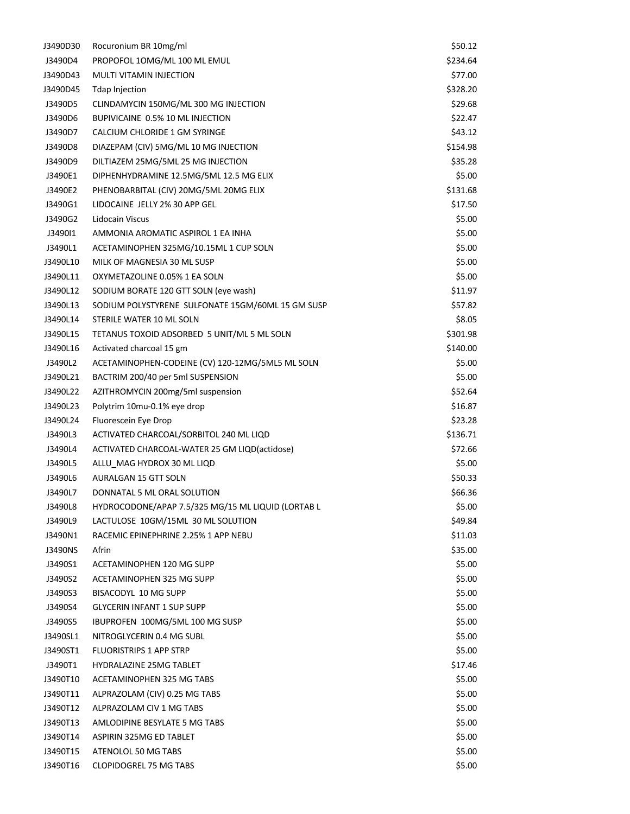| J3490D30             | Rocuronium BR 10mg/ml                                     | \$50.12          |
|----------------------|-----------------------------------------------------------|------------------|
| J3490D4              | PROPOFOL 10MG/ML 100 ML EMUL                              | \$234.64         |
| J3490D43             | <b>MULTI VITAMIN INJECTION</b>                            | \$77.00          |
| J3490D45             | <b>Tdap Injection</b>                                     | \$328.20         |
| J3490D5              | CLINDAMYCIN 150MG/ML 300 MG INJECTION                     | \$29.68          |
| J3490D6              | BUPIVICAINE 0.5% 10 ML INJECTION                          | \$22.47          |
| J3490D7              | CALCIUM CHLORIDE 1 GM SYRINGE                             | \$43.12          |
| J3490D8              | DIAZEPAM (CIV) 5MG/ML 10 MG INJECTION                     | \$154.98         |
| J3490D9              | DILTIAZEM 25MG/5ML 25 MG INJECTION                        | \$35.28          |
| J3490E1              | DIPHENHYDRAMINE 12.5MG/5ML 12.5 MG ELIX                   | \$5.00           |
| J3490E2              | PHENOBARBITAL (CIV) 20MG/5ML 20MG ELIX                    | \$131.68         |
| J3490G1              | LIDOCAINE JELLY 2% 30 APP GEL                             | \$17.50          |
| J3490G2              | Lidocain Viscus                                           | \$5.00           |
| J349011              | AMMONIA AROMATIC ASPIROL 1 EA INHA                        | \$5.00           |
| J3490L1              | ACETAMINOPHEN 325MG/10.15ML 1 CUP SOLN                    | \$5.00           |
| J3490L10             | MILK OF MAGNESIA 30 ML SUSP                               | \$5.00           |
| J3490L11             | OXYMETAZOLINE 0.05% 1 EA SOLN                             | \$5.00           |
| J3490L12             | SODIUM BORATE 120 GTT SOLN (eye wash)                     | \$11.97          |
| J3490L13             | SODIUM POLYSTYRENE SULFONATE 15GM/60ML 15 GM SUSP         | \$57.82          |
| J3490L14             | STERILE WATER 10 ML SOLN                                  | \$8.05           |
| J3490L15             | TETANUS TOXOID ADSORBED 5 UNIT/ML 5 ML SOLN               | \$301.98         |
| J3490L16             | Activated charcoal 15 gm                                  | \$140.00         |
| J3490L2              | ACETAMINOPHEN-CODEINE (CV) 120-12MG/5ML5 ML SOLN          | \$5.00           |
| J3490L21             | BACTRIM 200/40 per 5ml SUSPENSION                         | \$5.00           |
| J3490L22             | AZITHROMYCIN 200mg/5ml suspension                         | \$52.64          |
| J3490L23             | Polytrim 10mu-0.1% eye drop                               | \$16.87          |
| J3490L24             | Fluorescein Eye Drop                                      | \$23.28          |
| J3490L3              | ACTIVATED CHARCOAL/SORBITOL 240 ML LIQD                   | \$136.71         |
| J3490L4              | ACTIVATED CHARCOAL-WATER 25 GM LIQD(actidose)             | \$72.66          |
| J3490L5              | ALLU MAG HYDROX 30 ML LIQD                                | \$5.00           |
| J3490L6              | <b>AURALGAN 15 GTT SOLN</b>                               | \$50.33          |
| J3490L7              | DONNATAL 5 ML ORAL SOLUTION                               | \$66.36          |
| J3490L8              | HYDROCODONE/APAP 7.5/325 MG/15 ML LIQUID (LORTAB L        | \$5.00           |
| J3490L9              | LACTULOSE 10GM/15ML 30 ML SOLUTION                        | \$49.84          |
| J3490N1              | RACEMIC EPINEPHRINE 2.25% 1 APP NEBU                      | \$11.03          |
| J3490NS              | Afrin                                                     | \$35.00          |
| J3490S1              | ACETAMINOPHEN 120 MG SUPP                                 | \$5.00           |
| J3490S2              | ACETAMINOPHEN 325 MG SUPP                                 | \$5.00           |
| J3490S3              | BISACODYL 10 MG SUPP                                      | \$5.00           |
| J3490S4              | <b>GLYCERIN INFANT 1 SUP SUPP</b>                         | \$5.00           |
| J3490S5              | IBUPROFEN 100MG/5ML 100 MG SUSP                           | \$5.00           |
| J3490SL1             | NITROGLYCERIN 0.4 MG SUBL                                 | \$5.00           |
| J3490ST1             | <b>FLUORISTRIPS 1 APP STRP</b>                            | \$5.00           |
| J3490T1              | <b>HYDRALAZINE 25MG TABLET</b>                            | \$17.46          |
| J3490T10             | ACETAMINOPHEN 325 MG TABS                                 | \$5.00           |
|                      |                                                           |                  |
| J3490T11             | ALPRAZOLAM (CIV) 0.25 MG TABS<br>ALPRAZOLAM CIV 1 MG TABS | \$5.00<br>\$5.00 |
| J3490T12             | AMLODIPINE BESYLATE 5 MG TABS                             | \$5.00           |
| J3490T13             | ASPIRIN 325MG ED TABLET                                   |                  |
| J3490T14<br>J3490T15 | ATENOLOL 50 MG TABS                                       | \$5.00<br>\$5.00 |
| J3490T16             | <b>CLOPIDOGREL 75 MG TABS</b>                             | \$5.00           |
|                      |                                                           |                  |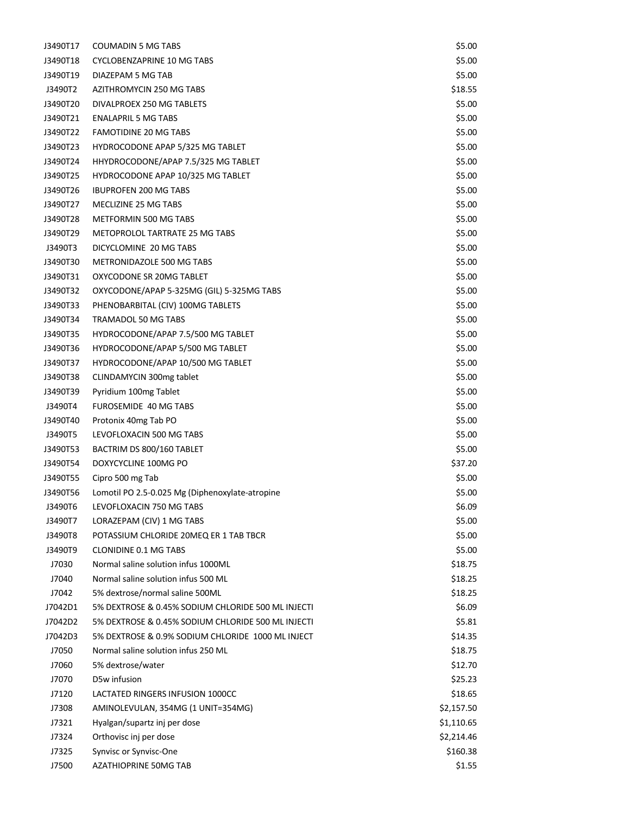| J3490T17           | <b>COUMADIN 5 MG TABS</b>                          | \$5.00     |
|--------------------|----------------------------------------------------|------------|
| J3490T18           | <b>CYCLOBENZAPRINE 10 MG TABS</b>                  | \$5.00     |
| J3490T19           | DIAZEPAM 5 MG TAB                                  | \$5.00     |
| J3490T2            | AZITHROMYCIN 250 MG TABS                           | \$18.55    |
| J3490T20           | DIVALPROEX 250 MG TABLETS                          | \$5.00     |
| J3490T21           | <b>ENALAPRIL 5 MG TABS</b>                         | \$5.00     |
| J3490T22           | FAMOTIDINE 20 MG TABS                              | \$5.00     |
| J3490T23           | HYDROCODONE APAP 5/325 MG TABLET                   | \$5.00     |
| J3490T24           | HHYDROCODONE/APAP 7.5/325 MG TABLET                | \$5.00     |
| J3490T25           | HYDROCODONE APAP 10/325 MG TABLET                  | \$5.00     |
| J3490T26           | <b>IBUPROFEN 200 MG TABS</b>                       | \$5.00     |
| J3490T27           | MECLIZINE 25 MG TABS                               | \$5.00     |
| J3490T28           | METFORMIN 500 MG TABS                              | \$5.00     |
| J3490T29           | <b>METOPROLOL TARTRATE 25 MG TABS</b>              | \$5.00     |
| J3490T3            | DICYCLOMINE 20 MG TABS                             | \$5.00     |
| J3490T30           | METRONIDAZOLE 500 MG TABS                          | \$5.00     |
| J3490T31           | OXYCODONE SR 20MG TABLET                           | \$5.00     |
| J3490T32           | OXYCODONE/APAP 5-325MG (GIL) 5-325MG TABS          | \$5.00     |
| J3490T33           | PHENOBARBITAL (CIV) 100MG TABLETS                  | \$5.00     |
| J3490T34           | <b>TRAMADOL 50 MG TABS</b>                         | \$5.00     |
| J3490T35           | HYDROCODONE/APAP 7.5/500 MG TABLET                 | \$5.00     |
| J3490T36           | HYDROCODONE/APAP 5/500 MG TABLET                   | \$5.00     |
| J3490T37           | HYDROCODONE/APAP 10/500 MG TABLET                  | \$5.00     |
| J3490T38           | CLINDAMYCIN 300mg tablet                           | \$5.00     |
| J3490T39           | Pyridium 100mg Tablet                              | \$5.00     |
| J3490T4            | <b>FUROSEMIDE 40 MG TABS</b>                       | \$5.00     |
| J3490T40           | Protonix 40mg Tab PO                               | \$5.00     |
| J3490T5            | LEVOFLOXACIN 500 MG TABS                           | \$5.00     |
| J3490T53           | BACTRIM DS 800/160 TABLET                          | \$5.00     |
| J3490T54           | DOXYCYCLINE 100MG PO                               | \$37.20    |
| J3490T55           | Cipro 500 mg Tab                                   | \$5.00     |
| J3490T56           | Lomotil PO 2.5-0.025 Mg (Diphenoxylate-atropine    | \$5.00     |
| J3490T6            | LEVOFLOXACIN 750 MG TABS                           | \$6.09     |
| J3490T7            | LORAZEPAM (CIV) 1 MG TABS                          | \$5.00     |
|                    | POTASSIUM CHLORIDE 20MEQ ER 1 TAB TBCR             | \$5.00     |
| J3490T8<br>J3490T9 | <b>CLONIDINE 0.1 MG TABS</b>                       | \$5.00     |
| J7030              | Normal saline solution infus 1000ML                |            |
|                    | Normal saline solution infus 500 ML                | \$18.75    |
| J7040              | 5% dextrose/normal saline 500ML                    | \$18.25    |
| J7042              | 5% DEXTROSE & 0.45% SODIUM CHLORIDE 500 ML INJECTI | \$18.25    |
| J7042D1            | 5% DEXTROSE & 0.45% SODIUM CHLORIDE 500 ML INJECTI | \$6.09     |
| J7042D2            | 5% DEXTROSE & 0.9% SODIUM CHLORIDE 1000 ML INJECT  | \$5.81     |
| J7042D3            |                                                    | \$14.35    |
| J7050              | Normal saline solution infus 250 ML                | \$18.75    |
| J7060              | 5% dextrose/water                                  | \$12.70    |
| J7070              | D5w infusion                                       | \$25.23    |
| J7120              | LACTATED RINGERS INFUSION 1000CC                   | \$18.65    |
| J7308              | AMINOLEVULAN, 354MG (1 UNIT=354MG)                 | \$2,157.50 |
| J7321              | Hyalgan/supartz inj per dose                       | \$1,110.65 |
| J7324              | Orthovisc inj per dose                             | \$2,214.46 |
| J7325              | Synvisc or Synvisc-One                             | \$160.38   |
| J7500              | AZATHIOPRINE 50MG TAB                              | \$1.55     |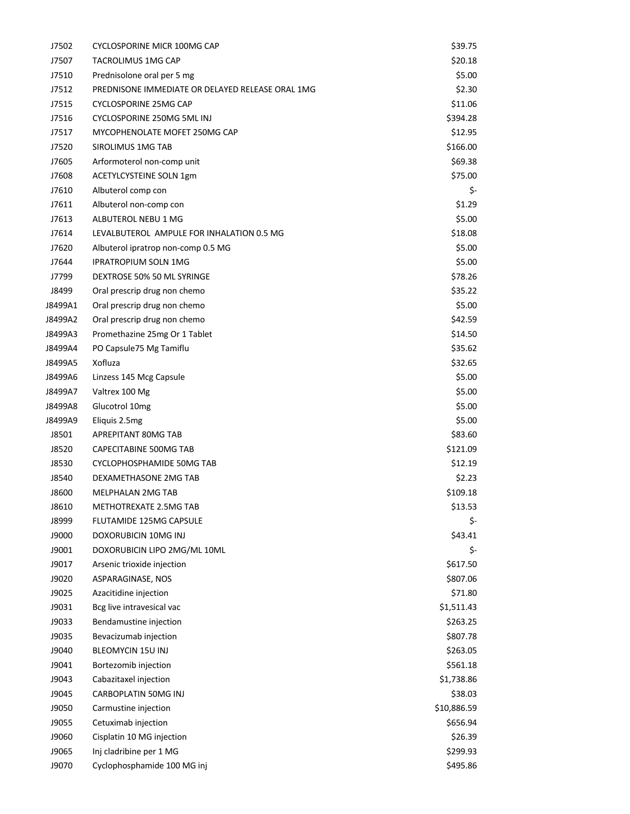| J7502        | CYCLOSPORINE MICR 100MG CAP                      | \$39.75     |
|--------------|--------------------------------------------------|-------------|
| J7507        | TACROLIMUS 1MG CAP                               | \$20.18     |
| J7510        | Prednisolone oral per 5 mg                       | \$5.00      |
| J7512        | PREDNISONE IMMEDIATE OR DELAYED RELEASE ORAL 1MG | \$2.30      |
| J7515        | <b>CYCLOSPORINE 25MG CAP</b>                     | \$11.06     |
| J7516        | CYCLOSPORINE 250MG 5ML INJ                       | \$394.28    |
| J7517        | MYCOPHENOLATE MOFET 250MG CAP                    | \$12.95     |
| J7520        | SIROLIMUS 1MG TAB                                | \$166.00    |
| J7605        | Arformoterol non-comp unit                       | \$69.38     |
| J7608        | <b>ACETYLCYSTEINE SOLN 1gm</b>                   | \$75.00     |
| J7610        | Albuterol comp con                               | \$-         |
| J7611        | Albuterol non-comp con                           | \$1.29      |
| J7613        | ALBUTEROL NEBU 1 MG                              | \$5.00      |
| J7614        | LEVALBUTEROL AMPULE FOR INHALATION 0.5 MG        | \$18.08     |
| J7620        | Albuterol ipratrop non-comp 0.5 MG               | \$5.00      |
| J7644        | <b>IPRATROPIUM SOLN 1MG</b>                      | \$5.00      |
| J7799        | DEXTROSE 50% 50 ML SYRINGE                       | \$78.26     |
| J8499        | Oral prescrip drug non chemo                     | \$35.22     |
| J8499A1      | Oral prescrip drug non chemo                     | \$5.00      |
| J8499A2      | Oral prescrip drug non chemo                     | \$42.59     |
| J8499A3      | Promethazine 25mg Or 1 Tablet                    | \$14.50     |
| J8499A4      | PO Capsule 75 Mg Tamiflu                         | \$35.62     |
| J8499A5      | Xofluza                                          | \$32.65     |
| J8499A6      | Linzess 145 Mcg Capsule                          | \$5.00      |
| J8499A7      | Valtrex 100 Mg                                   | \$5.00      |
| J8499A8      | Glucotrol 10mg                                   | \$5.00      |
| J8499A9      | Eliquis 2.5mg                                    | \$5.00      |
| J8501        | APREPITANT 80MG TAB                              | \$83.60     |
| J8520        | CAPECITABINE 500MG TAB                           | \$121.09    |
| J8530        | CYCLOPHOSPHAMIDE 50MG TAB                        | \$12.19     |
| J8540        | DEXAMETHASONE 2MG TAB                            | \$2.23      |
| <b>J8600</b> | MELPHALAN 2MG TAB                                | \$109.18    |
| J8610        | METHOTREXATE 2.5MG TAB                           | \$13.53     |
| J8999        | FLUTAMIDE 125MG CAPSULE                          | \$-         |
| J9000        | DOXORUBICIN 10MG INJ                             | \$43.41     |
| J9001        | DOXORUBICIN LIPO 2MG/ML 10ML                     | \$-         |
| J9017        | Arsenic trioxide injection                       | \$617.50    |
| J9020        | ASPARAGINASE, NOS                                | \$807.06    |
| J9025        | Azacitidine injection                            | \$71.80     |
| J9031        | Bcg live intravesical vac                        | \$1,511.43  |
| J9033        | Bendamustine injection                           | \$263.25    |
| J9035        | Bevacizumab injection                            | \$807.78    |
| J9040        | BLEOMYCIN 15U INJ                                | \$263.05    |
| J9041        | Bortezomib injection                             | \$561.18    |
| J9043        | Cabazitaxel injection                            | \$1,738.86  |
| J9045        | CARBOPLATIN 50MG INJ                             | \$38.03     |
| J9050        | Carmustine injection                             | \$10,886.59 |
| J9055        | Cetuximab injection                              | \$656.94    |
| J9060        | Cisplatin 10 MG injection                        | \$26.39     |
| J9065        | Inj cladribine per 1 MG                          | \$299.93    |
| J9070        | Cyclophosphamide 100 MG inj                      | \$495.86    |
|              |                                                  |             |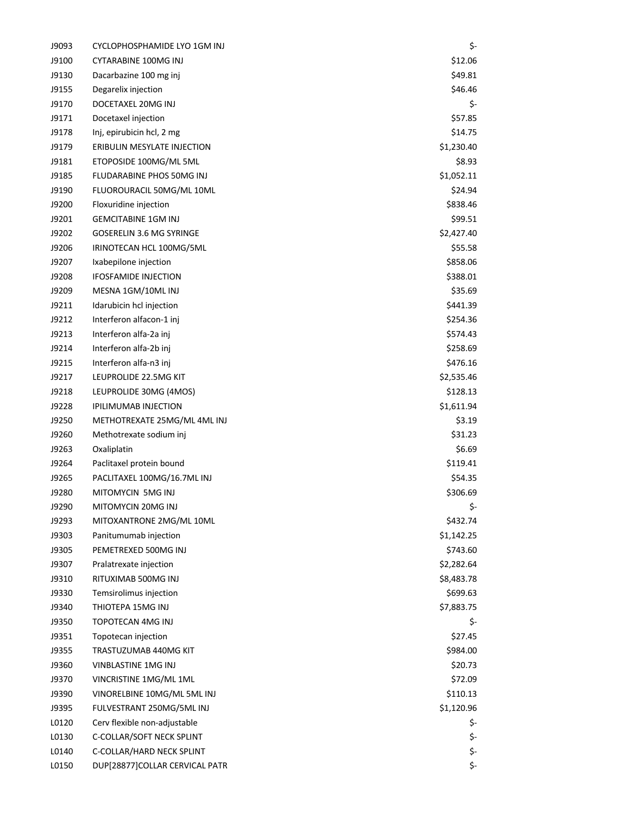| J9093 | CYCLOPHOSPHAMIDE LYO 1GM INJ     | \$-        |
|-------|----------------------------------|------------|
| J9100 | <b>CYTARABINE 100MG INJ</b>      | \$12.06    |
| J9130 | Dacarbazine 100 mg inj           | \$49.81    |
| J9155 | Degarelix injection              | \$46.46    |
| J9170 | DOCETAXEL 20MG INJ               | \$-        |
| J9171 | Docetaxel injection              | \$57.85    |
| J9178 | Inj, epirubicin hcl, 2 mg        | \$14.75    |
| J9179 | ERIBULIN MESYLATE INJECTION      | \$1,230.40 |
| J9181 | ETOPOSIDE 100MG/ML 5ML           | \$8.93     |
| J9185 | <b>FLUDARABINE PHOS 50MG INJ</b> | \$1,052.11 |
| J9190 | FLUOROURACIL 50MG/ML 10ML        | \$24.94    |
| J9200 | Floxuridine injection            | \$838.46   |
| J9201 | <b>GEMCITABINE 1GM INJ</b>       | \$99.51    |
| J9202 | <b>GOSERELIN 3.6 MG SYRINGE</b>  | \$2,427.40 |
| J9206 | IRINOTECAN HCL 100MG/5ML         | \$55.58    |
| J9207 | Ixabepilone injection            | \$858.06   |
| J9208 | <b>IFOSFAMIDE INJECTION</b>      | \$388.01   |
| J9209 | MESNA 1GM/10ML INJ               | \$35.69    |
| J9211 | Idarubicin hcl injection         | \$441.39   |
| J9212 | Interferon alfacon-1 inj         | \$254.36   |
| J9213 | Interferon alfa-2a inj           | \$574.43   |
| J9214 | Interferon alfa-2b inj           | \$258.69   |
| J9215 | Interferon alfa-n3 inj           | \$476.16   |
| J9217 | LEUPROLIDE 22.5MG KIT            | \$2,535.46 |
| J9218 | LEUPROLIDE 30MG (4MOS)           | \$128.13   |
| J9228 | <b>IPILIMUMAB INJECTION</b>      | \$1,611.94 |
| J9250 | METHOTREXATE 25MG/ML 4ML INJ     | \$3.19     |
| J9260 | Methotrexate sodium inj          | \$31.23    |
| J9263 | Oxaliplatin                      | \$6.69     |
| J9264 | Paclitaxel protein bound         | \$119.41   |
| J9265 | PACLITAXEL 100MG/16.7ML INJ      | \$54.35    |
| J9280 | MITOMYCIN 5MG INJ                | \$306.69   |
| J9290 | MITOMYCIN 20MG INJ               | \$-        |
| J9293 | MITOXANTRONE 2MG/ML 10ML         | \$432.74   |
| J9303 | Panitumumab injection            | \$1,142.25 |
| J9305 | PEMETREXED 500MG INJ             | \$743.60   |
| J9307 | Pralatrexate injection           | \$2,282.64 |
| J9310 | RITUXIMAB 500MG INJ              | \$8,483.78 |
| J9330 | Temsirolimus injection           | \$699.63   |
| J9340 | THIOTEPA 15MG INJ                | \$7,883.75 |
| J9350 | <b>TOPOTECAN 4MG INJ</b>         | \$-        |
| J9351 | Topotecan injection              | \$27.45    |
| J9355 | TRASTUZUMAB 440MG KIT            | \$984.00   |
| J9360 | VINBLASTINE 1MG INJ              | \$20.73    |
| J9370 | VINCRISTINE 1MG/ML 1ML           | \$72.09    |
| J9390 | VINORELBINE 10MG/ML 5ML INJ      | \$110.13   |
| J9395 | FULVESTRANT 250MG/5ML INJ        | \$1,120.96 |
| L0120 | Cerv flexible non-adjustable     | \$-        |
| L0130 | C-COLLAR/SOFT NECK SPLINT        | \$-        |
| L0140 | C-COLLAR/HARD NECK SPLINT        | \$-        |
| L0150 | DUP[28877]COLLAR CERVICAL PATR   | \$-        |
|       |                                  |            |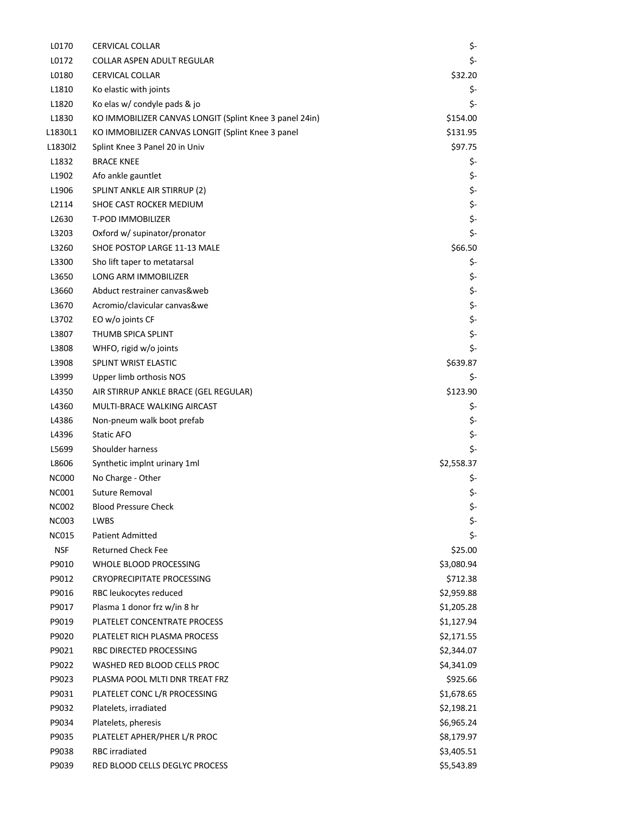| L0170        | <b>CERVICAL COLLAR</b>                                  | \$-        |
|--------------|---------------------------------------------------------|------------|
| L0172        | COLLAR ASPEN ADULT REGULAR                              | \$-        |
| L0180        | <b>CERVICAL COLLAR</b>                                  | \$32.20    |
| L1810        | Ko elastic with joints                                  | \$-        |
| L1820        | Ko elas w/ condyle pads & jo                            | \$-        |
| L1830        | KO IMMOBILIZER CANVAS LONGIT (Splint Knee 3 panel 24in) | \$154.00   |
| L1830L1      | KO IMMOBILIZER CANVAS LONGIT (Splint Knee 3 panel       | \$131.95   |
| L1830l2      | Splint Knee 3 Panel 20 in Univ                          | \$97.75    |
| L1832        | <b>BRACE KNEE</b>                                       | \$-        |
| L1902        | Afo ankle gauntlet                                      | \$-        |
| L1906        | SPLINT ANKLE AIR STIRRUP (2)                            | \$-        |
| L2114        | SHOE CAST ROCKER MEDIUM                                 | \$-        |
| L2630        | <b>T-POD IMMOBILIZER</b>                                | \$-        |
| L3203        | Oxford w/ supinator/pronator                            | \$-        |
| L3260        | SHOE POSTOP LARGE 11-13 MALE                            | \$66.50    |
| L3300        | Sho lift taper to metatarsal                            | \$-        |
| L3650        | LONG ARM IMMOBILIZER                                    | \$-        |
| L3660        | Abduct restrainer canvas&web                            | \$-        |
| L3670        | Acromio/clavicular canvas&we                            | \$-        |
| L3702        | EO w/o joints CF                                        | \$-        |
| L3807        | THUMB SPICA SPLINT                                      | \$-        |
| L3808        | WHFO, rigid w/o joints                                  | \$-        |
| L3908        | SPLINT WRIST ELASTIC                                    | \$639.87   |
| L3999        | Upper limb orthosis NOS                                 | \$-        |
| L4350        | AIR STIRRUP ANKLE BRACE (GEL REGULAR)                   | \$123.90   |
| L4360        | MULTI-BRACE WALKING AIRCAST                             | \$-        |
| L4386        | Non-pneum walk boot prefab                              | \$-        |
| L4396        | Static AFO                                              | \$-        |
| L5699        | Shoulder harness                                        | \$-        |
| L8606        | Synthetic implnt urinary 1ml                            | \$2,558.37 |
| <b>NC000</b> | No Charge - Other                                       | \$-        |
| <b>NC001</b> | Suture Removal                                          | \$-        |
| <b>NC002</b> | <b>Blood Pressure Check</b>                             | \$-        |
| <b>NC003</b> | LWBS                                                    | \$-        |
| <b>NC015</b> | <b>Patient Admitted</b>                                 | \$-        |
| <b>NSF</b>   | <b>Returned Check Fee</b>                               | \$25.00    |
| P9010        | WHOLE BLOOD PROCESSING                                  | \$3,080.94 |
| P9012        | <b>CRYOPRECIPITATE PROCESSING</b>                       | \$712.38   |
| P9016        | RBC leukocytes reduced                                  | \$2,959.88 |
| P9017        | Plasma 1 donor frz w/in 8 hr                            | \$1,205.28 |
| P9019        | PLATELET CONCENTRATE PROCESS                            | \$1,127.94 |
| P9020        | PLATELET RICH PLASMA PROCESS                            | \$2,171.55 |
| P9021        | RBC DIRECTED PROCESSING                                 | \$2,344.07 |
| P9022        | WASHED RED BLOOD CELLS PROC                             | \$4,341.09 |
| P9023        | PLASMA POOL MLTI DNR TREAT FRZ                          | \$925.66   |
| P9031        | PLATELET CONC L/R PROCESSING                            | \$1,678.65 |
| P9032        | Platelets, irradiated                                   | \$2,198.21 |
| P9034        | Platelets, pheresis                                     | \$6,965.24 |
| P9035        | PLATELET APHER/PHER L/R PROC                            | \$8,179.97 |
| P9038        | <b>RBC</b> irradiated                                   | \$3,405.51 |
| P9039        | RED BLOOD CELLS DEGLYC PROCESS                          | \$5,543.89 |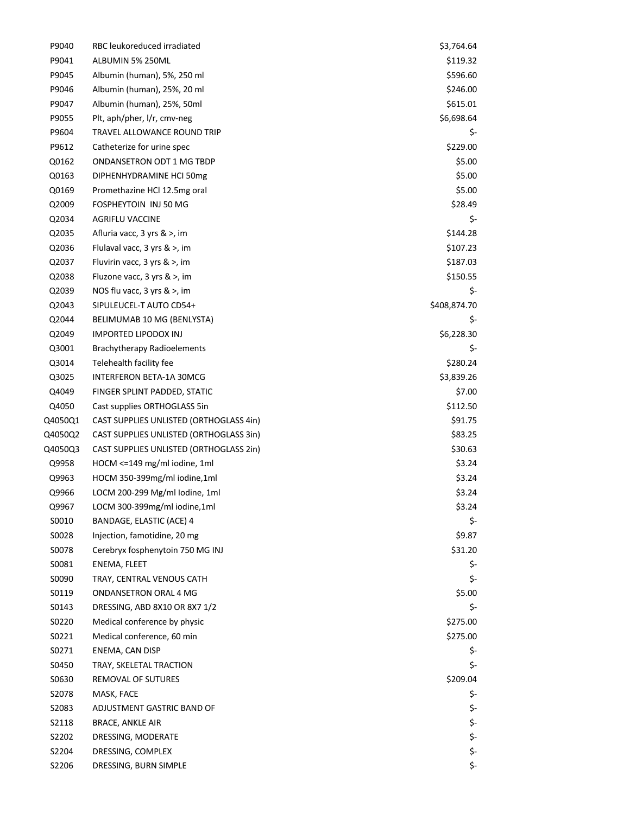| P9040   | RBC leukoreduced irradiated              | \$3,764.64   |
|---------|------------------------------------------|--------------|
| P9041   | ALBUMIN 5% 250ML                         | \$119.32     |
| P9045   | Albumin (human), 5%, 250 ml              | \$596.60     |
| P9046   | Albumin (human), 25%, 20 ml              | \$246.00     |
| P9047   | Albumin (human), 25%, 50ml               | \$615.01     |
| P9055   | Plt, aph/pher, I/r, cmv-neg              | \$6,698.64   |
| P9604   | TRAVEL ALLOWANCE ROUND TRIP              | \$-          |
| P9612   | Catheterize for urine spec               | \$229.00     |
| Q0162   | ONDANSETRON ODT 1 MG TBDP                | \$5.00       |
| Q0163   | DIPHENHYDRAMINE HCI 50mg                 | \$5.00       |
| Q0169   | Promethazine HCl 12.5mg oral             | \$5.00       |
| Q2009   | FOSPHEYTOIN INJ 50 MG                    | \$28.49      |
| Q2034   | AGRIFLU VACCINE                          | \$-          |
| Q2035   | Afluria vacc, 3 yrs & >, im              | \$144.28     |
| Q2036   | Flulaval vacc, 3 yrs & >, im             | \$107.23     |
| Q2037   | Fluvirin vacc, $3 \, \text{yrs} \>$ , im | \$187.03     |
| Q2038   | Fluzone vacc, 3 yrs & >, im              | \$150.55     |
| Q2039   | NOS flu vacc, 3 yrs & >, im              | \$-          |
| Q2043   | SIPULEUCEL-T AUTO CD54+                  | \$408,874.70 |
| Q2044   | BELIMUMAB 10 MG (BENLYSTA)               | \$-          |
| Q2049   | <b>IMPORTED LIPODOX INJ</b>              | \$6,228.30   |
| Q3001   | <b>Brachytherapy Radioelements</b>       | \$-          |
| Q3014   | Telehealth facility fee                  | \$280.24     |
| Q3025   | INTERFERON BETA-1A 30MCG                 | \$3,839.26   |
| Q4049   | FINGER SPLINT PADDED, STATIC             | \$7.00       |
| Q4050   | Cast supplies ORTHOGLASS 5in             | \$112.50     |
| Q4050Q1 | CAST SUPPLIES UNLISTED (ORTHOGLASS 4in)  | \$91.75      |
| Q4050Q2 | CAST SUPPLIES UNLISTED (ORTHOGLASS 3in)  | \$83.25      |
| Q4050Q3 | CAST SUPPLIES UNLISTED (ORTHOGLASS 2in)  | \$30.63      |
| Q9958   | HOCM <= 149 mg/ml iodine, 1ml            | \$3.24       |
| Q9963   | HOCM 350-399mg/ml iodine,1ml             | \$3.24       |
| Q9966   | LOCM 200-299 Mg/ml Iodine, 1ml           | \$3.24       |
| Q9967   | LOCM 300-399mg/ml iodine,1ml             | \$3.24       |
| S0010   | BANDAGE, ELASTIC (ACE) 4                 | \$-          |
| S0028   | Injection, famotidine, 20 mg             | \$9.87       |
| S0078   | Cerebryx fosphenytoin 750 MG INJ         | \$31.20      |
| S0081   | ENEMA, FLEET                             | \$-          |
| S0090   | TRAY, CENTRAL VENOUS CATH                | \$-          |
| S0119   | <b>ONDANSETRON ORAL 4 MG</b>             | \$5.00       |
| S0143   | DRESSING, ABD 8X10 OR 8X7 1/2            | \$-          |
| S0220   | Medical conference by physic             | \$275.00     |
| S0221   | Medical conference, 60 min               | \$275.00     |
| S0271   | ENEMA, CAN DISP                          | \$-          |
| S0450   | TRAY, SKELETAL TRACTION                  | \$-          |
| S0630   | REMOVAL OF SUTURES                       | \$209.04     |
| S2078   | MASK, FACE                               | \$-          |
| S2083   | ADJUSTMENT GASTRIC BAND OF               | \$-          |
| S2118   | <b>BRACE, ANKLE AIR</b>                  | \$-          |
| S2202   | DRESSING, MODERATE                       | \$-          |
| S2204   | DRESSING, COMPLEX                        | \$-          |
| S2206   | DRESSING, BURN SIMPLE                    | \$-          |
|         |                                          |              |